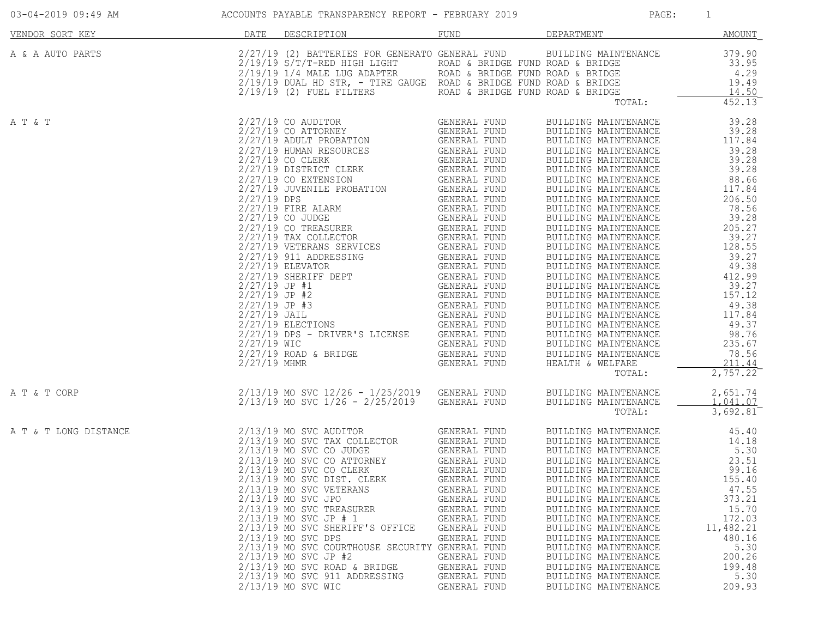| 03-04-2019 09:49 AM   | ACCOUNTS PAYABLE TRANSPARENCY REPORT - FEBRUARY 2019                                                                                                                                                                                                                                                                                                                                                                                                                                                                                                                                                   |                                                                                                                                                                                              | PAGE:                                                                                                                                                                                                                                                                                                                                                                                                                                                                                                                                | $\overline{1}$                                                                                                    |
|-----------------------|--------------------------------------------------------------------------------------------------------------------------------------------------------------------------------------------------------------------------------------------------------------------------------------------------------------------------------------------------------------------------------------------------------------------------------------------------------------------------------------------------------------------------------------------------------------------------------------------------------|----------------------------------------------------------------------------------------------------------------------------------------------------------------------------------------------|--------------------------------------------------------------------------------------------------------------------------------------------------------------------------------------------------------------------------------------------------------------------------------------------------------------------------------------------------------------------------------------------------------------------------------------------------------------------------------------------------------------------------------------|-------------------------------------------------------------------------------------------------------------------|
| VENDOR SORT KEY       | DATE DESCRIPTION                                                                                                                                                                                                                                                                                                                                                                                                                                                                                                                                                                                       | FUND                                                                                                                                                                                         | <b>DEPARTMENT</b>                                                                                                                                                                                                                                                                                                                                                                                                                                                                                                                    | AMOUNT                                                                                                            |
| A & A AUTO PARTS      | 2/27/19 (2) BATTERIES FOR GENERATO GENERAL FUND BUILDING MAINTENANCE<br>2/19/19 S/T/T-RED HIGH LIGHT ROAD & BRIDGE FUND ROAD & BRIDGE 33.95<br>2/19/19 1/4 MALE LUG ADAPTER ROAD & BRIDGE FUND ROAD & BRIDGE 4.29<br>2/19/19 DUAL HD ST                                                                                                                                                                                                                                                                                                                                                                |                                                                                                                                                                                              | TOTAL:                                                                                                                                                                                                                                                                                                                                                                                                                                                                                                                               | 379.90<br>33.95<br>452.13                                                                                         |
| A T & T               |                                                                                                                                                                                                                                                                                                                                                                                                                                                                                                                                                                                                        |                                                                                                                                                                                              | $\begin{tabular}{l c c c} \multicolumn{4}{l}{\multicolumn{4}{l}{\multicolumn{4}{l}{\multicolumn{4}{l}{\multicolumn{4}{l}{\multicolumn{4}{l}{\multicolumn{4}{l}{\multicolumn{4}{l}{\multicolumn{4}{l}{\multicolumn{4}{l}{\multicolumn{4}{l}{\multicolumn{4}{l}{\multicolumn{4}{l}{\multicolumn{4}{l}{\multicolumn{4}{l}{\multicolumn{4}{l}{\multicolumn{4}{l}{\multicolumn{4}{l}{\multicolumn{4}{l}{\multicolumn{4}{l}{\multicolumn{4}{l}{\multicolumn{4}{l}{\multicolumn{4}{l$<br>BUILDING MAINTENANCE<br>HEALTH & WELFARE<br>TOTAL: | 78.56<br>211.44<br>2,757.22                                                                                       |
| A T & T CORP          | 2/13/19 MO SVC 12/26 - 1/25/2019 GENERAL FUND<br>2/13/19 MO SVC 1/26 - 2/25/2019 GENERAL FUND                                                                                                                                                                                                                                                                                                                                                                                                                                                                                                          |                                                                                                                                                                                              | BUILDING MAINTENANCE<br>BUILDING MAINTENANCE<br>TOTAL:                                                                                                                                                                                                                                                                                                                                                                                                                                                                               | 2,651.74<br>1,041.07<br>3,692.81                                                                                  |
| A T & T LONG DISTANCE | 2/13/19 MO SVC AUDITOR GENERAL FUND<br>2/13/19 MO SVC TAX COLLECTOR GENERAL FUND<br>2/13/19 MO SVC CO JUDGE GENERAL FUND<br>2/13/19 MO SVC CO CLERK GENERAL FUND<br>2/13/19 MO SVC CO CLERK GENERAL FUND<br>2/13/19 MO SVC CO CLERK<br>2/13/19 MO SVC DIST. CLERK<br>2/13/19 MO SVC VETERANS<br>2/13/19 MO SVC JPO<br>2/13/19 MO SVC TREASURER<br>$2/13/19$ MO SVC JP # 1<br>2/13/19 MO SVC SHERIFF'S OFFICE<br>2/13/19 MO SVC DPS<br>2/13/19 MO SVC COURTHOUSE SECURITY GENERAL FUND<br>$2/13/19$ MO SVC JP #2<br>2/13/19 MO SVC ROAD & BRIDGE<br>2/13/19 MO SVC 911 ADDRESSING<br>2/13/19 MO SVC WIC | GENERAL FUND<br>GENERAL FUND<br>GENERAL FUND<br>GENERAL FUND<br>GENERAL FUND<br>GENERAL FUND<br>GENERAL FUND<br>GENERAL FUND<br>GENERAL FUND<br>GENERAL FUND<br>GENERAL FUND<br>GENERAL FUND | BUILDING MAINTENANCE 45.40<br>BUILDING MAINTENANCE 14.18<br>BUILDING MAINTENANCE 5.30<br>BUILDING MAINTENANCE 23.51<br>BUILDING MAINTENANCE 99.16<br>BUILDING MAINTENANCE<br>BUILDING MAINTENANCE<br>BUILDING MAINTENANCE<br>BUILDING MAINTENANCE<br>BUILDING MAINTENANCE<br>BUILDING MAINTENANCE<br>BUILDING MAINTENANCE<br>BUILDING MAINTENANCE<br>BUILDING MAINTENANCE<br>BUILDING MAINTENANCE<br>BUILDING MAINTENANCE<br>BUILDING MAINTENANCE                                                                                    | 155.40<br>47.55<br>373.21<br>15.70<br>172.03<br>11,482.21<br>480.16<br>5.30<br>200.26<br>199.48<br>5.30<br>209.93 |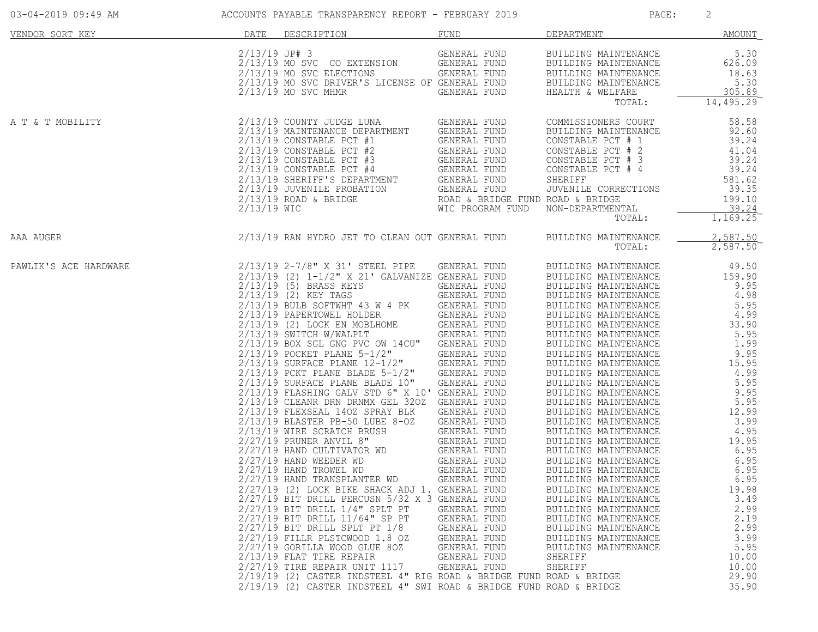| 03-04-2019 09:49 AM   | ACCOUNTS PAYABLE TRANSPARENCY REPORT - FEBRUARY 2019                                                                                                                                                                                                                                                                                                                                                                                                                                                                                                                                                                                                                                                                                                                                                                                                                                                                                                                                                                                                                                                                                                                                                                                                                                                                                                                                                                        |                                                                                                                                                              | PAGE:                                                                                                                                                                                                                                                                                                                                                                                                                                                                                                                                                                                                                                                                                                                                                                                      | 2                                                                                                                                                                                                                                                                               |
|-----------------------|-----------------------------------------------------------------------------------------------------------------------------------------------------------------------------------------------------------------------------------------------------------------------------------------------------------------------------------------------------------------------------------------------------------------------------------------------------------------------------------------------------------------------------------------------------------------------------------------------------------------------------------------------------------------------------------------------------------------------------------------------------------------------------------------------------------------------------------------------------------------------------------------------------------------------------------------------------------------------------------------------------------------------------------------------------------------------------------------------------------------------------------------------------------------------------------------------------------------------------------------------------------------------------------------------------------------------------------------------------------------------------------------------------------------------------|--------------------------------------------------------------------------------------------------------------------------------------------------------------|--------------------------------------------------------------------------------------------------------------------------------------------------------------------------------------------------------------------------------------------------------------------------------------------------------------------------------------------------------------------------------------------------------------------------------------------------------------------------------------------------------------------------------------------------------------------------------------------------------------------------------------------------------------------------------------------------------------------------------------------------------------------------------------------|---------------------------------------------------------------------------------------------------------------------------------------------------------------------------------------------------------------------------------------------------------------------------------|
| VENDOR SORT KEY       | DATE<br>DESCRIPTION                                                                                                                                                                                                                                                                                                                                                                                                                                                                                                                                                                                                                                                                                                                                                                                                                                                                                                                                                                                                                                                                                                                                                                                                                                                                                                                                                                                                         | FUND                                                                                                                                                         | DEPARTMENT                                                                                                                                                                                                                                                                                                                                                                                                                                                                                                                                                                                                                                                                                                                                                                                 | AMOUNT                                                                                                                                                                                                                                                                          |
|                       | GENERAL FUND<br>2/13/19 MO SVC CO EXTENSION GENERAL FUND<br>2/13/19 MO SVC DRIVER'S ITORYST GENERAL FUND<br>2/13/19 MO SVC DRIVER'S ITORYST<br>2/13/19 MO SVC CO EXTENSION<br>2/13/19 MO SVC ELECTIONS<br>2/13/19 MO SVC DRIVER'S LICENSE OF GENERAL FUND<br>2/13/19 MO SVC MHMR<br>2/13/19 MO SVC MHMR<br>GENERAL FUND                                                                                                                                                                                                                                                                                                                                                                                                                                                                                                                                                                                                                                                                                                                                                                                                                                                                                                                                                                                                                                                                                                     | GENERAL FUND                                                                                                                                                 | BUILDING MAINTENANCE<br>BUILDING MAINTENANCE<br>BUILDING MAINTENANCE<br>BUILDING MAINTENANCE<br>HEALTH & WELFARE<br>TOTAL:                                                                                                                                                                                                                                                                                                                                                                                                                                                                                                                                                                                                                                                                 | 5.30<br>626.09<br>18.63<br>5.30<br>305.89<br>14,495.29                                                                                                                                                                                                                          |
| A T & T MOBILITY      |                                                                                                                                                                                                                                                                                                                                                                                                                                                                                                                                                                                                                                                                                                                                                                                                                                                                                                                                                                                                                                                                                                                                                                                                                                                                                                                                                                                                                             |                                                                                                                                                              | COMMISSIONERS COURT<br>BUILDING MAINTENANCE<br>CONSTABLE PCT # 1<br>CONSTABLE PCT # 2<br>CONSTABLE PCT # 3<br>CONSTABLE PCT "<br>CONSTABLE PCT # 4<br>JUVENILE CORRECTIONS<br>NON-DEPARTMENTAL<br>TOTAL:                                                                                                                                                                                                                                                                                                                                                                                                                                                                                                                                                                                   | 58.58<br>92.60<br>39.24<br>41.04<br>39.24<br>39.24<br>581.62<br>39.35<br>199.10<br>39.24<br>1,169.25                                                                                                                                                                            |
| AAA AUGER             | 2/13/19 RAN HYDRO JET TO CLEAN OUT GENERAL FUND                                                                                                                                                                                                                                                                                                                                                                                                                                                                                                                                                                                                                                                                                                                                                                                                                                                                                                                                                                                                                                                                                                                                                                                                                                                                                                                                                                             |                                                                                                                                                              | BUILDING MAINTENANCE<br>TOTAL:                                                                                                                                                                                                                                                                                                                                                                                                                                                                                                                                                                                                                                                                                                                                                             | 2,587.50<br>2,587.50                                                                                                                                                                                                                                                            |
| PAWLIK'S ACE HARDWARE | $2/13/19$ $2-7/8$ " X 31' STEEL PIPE GENERAL FUND<br>$2/13/19$ (2) $1-1/2$ " X 21' GALVANIZE GENERAL FUND<br>2/13/19 (2) 1-1/2" A 21' GALVANIZE GENERAL FUND<br>2/13/19 (2) KEY TAGS<br>2/13/19 BULB SOFTWHT 43 W 4 PK GENERAL FUND<br>2/13/19 PAPERTOWEL HOLDER GENERAL FUND<br>2/13/19 (2) LOCK EN MOBLHOME GENERAL FUND<br>2/13/19 BOY SGL GNG PVC OW 1<br>2/13/19 POCKET PLANE 5-1/2" GENERAL FUND<br>2/13/19 SURFACE PLANE 12-1/2" GENERAL FUND<br>2/13/19 PCKT PLANE BLADE 5-1/2" GENERAL FUND<br>2/13/19 SURFACE PLANE BLADE 10" GENERAL FUND<br>2/13/19 FLASHING GALV STD 6" X 10' GENERAL FUND<br>2/13/19 CLEANR DRN DRNMX GEL 320Z GENERAL FUND<br>2/13/19 FLEXSEAL 1402 SPRAY BLK GENERAL FUND<br>2/13/19 BLASTER PB-50 LUBE 8-02 GENERAL FUND<br>2/13/19 WIRE SCRATCH BRUSH GENERAL FUND<br>2/27/19 HAND CULTIVATOR WD GENERAL FUND<br>2/27/19 HAND CULTIVATOR WD GENERAL FUND<br>2/27/19 HAND<br>$2/27/19$ HAND WEEDER WD<br>2/27/19 HAND TROWEL WD<br>2/27/19 HAND TRANSPLANTER WD<br>2/27/19 (2) LOCK BIKE SHACK ADJ 1. GENERAL FUND<br>2/27/19 BIT DRILL PERCUSN 5/32 X 3 GENERAL FUND<br>$2/27/19$ BIT DRILL $1/4$ " SPLT PT<br>2/27/19 BIT DRILL 11/64" SP PT<br>$2/27/19$ BIT DRILL SPLT PT $1/8$<br>2/27/19 FILLR PLSTCWOOD 1.8 OZ<br>2/27/19 GORILLA WOOD GLUE 80Z<br>2/13/19 FLAT TIRE REPAIR<br>2/27/19 TIRE REPAIR UNIT 1117<br>2/19/19 (2) CASTER INDSTEEL 4" RIG ROAD & BRIDGE FUND ROAD & BRIDGE | GENERAL FUND<br>GENERAL FUND<br>GENERAL FUND<br>GENERAL FUND<br>GENERAL FUND<br>GENERAL FUND<br>GENERAL FUND<br>GENERAL FUND<br>GENERAL FUND<br>GENERAL FUND | BUILDING MAINTENANCE<br>BUILDING MAINTENANCE<br>BUILDING MAINTENANCE<br>BUILDING MAINTENANCE<br>BUILDING MAINTENANCE<br>BUILDING MAINTENANCE<br>BUILDING MAINTENANCE<br>BUILDING MAINTENANCE<br>BUILDING MAINTENANCE<br>BUILDING MAINTENANCE<br>BUILDING MAINTENANCE<br>BUILDING MAINTENANCE<br>BUILDING MAINTENANCE<br>BUILDING MAINTENANCE<br>BUILDING MAINTENANCE<br>BUILDING MAINTENANCE<br>BUILDING MAINTENANCE<br>BUILDING MAINTENANCE<br>BUILDING MAINTENANCE<br>BUILDING MAINTENANCE<br>BUILDING MAINTENANCE<br>BUILDING MAINTENANCE<br>BUILDING MAINTENANCE<br>BUILDING MAINTENANCE<br>BUILDING MAINTENANCE<br>BUILDING MAINTENANCE<br>BUILDING MAINTENANCE<br>BUILDING MAINTENANCE<br>BUILDING MAINTENANCE<br>BUILDING MAINTENANCE<br>BUILDING MAINTENANCE<br>SHERIFF<br>SHERIFF | 49.50<br>159.90<br>9.95<br>4.98<br>5.95<br>4.99<br>33.90<br>5.95<br>1.99<br>9.95<br>15.95<br>4.99<br>5.95<br>9.95<br>5.95<br>12.99<br>3.99<br>4.95<br>19.95<br>6.95<br>6.95<br>6.95<br>6.95<br>19.98<br>3.49<br>2.99<br>2.19<br>2.99<br>3.99<br>5.95<br>10.00<br>10.00<br>29.90 |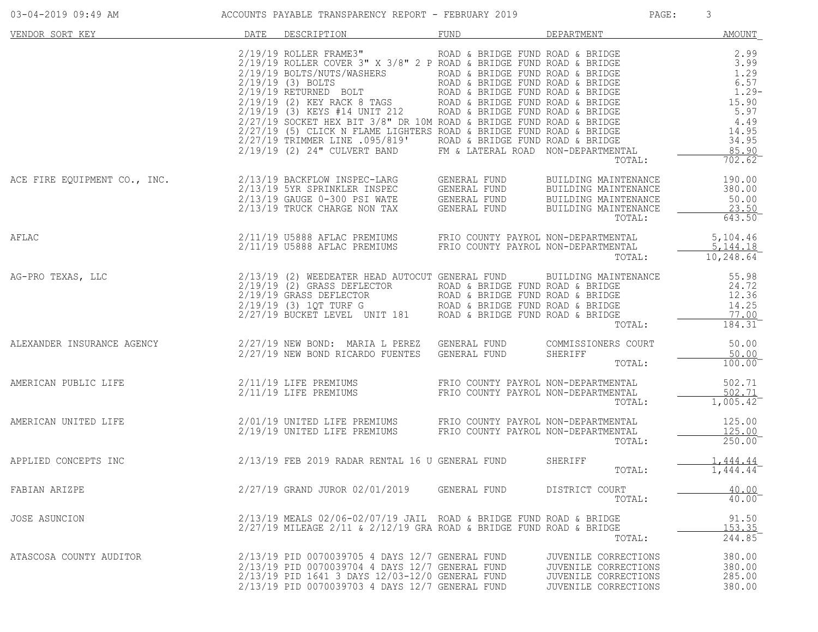| 03-04-2019 09:49 AM     | ACCOUNTS PAYABLE TRANSPARENCY REPORT - FEBRUARY 2019                                                                                                                                                                                                                                                                                                                                                                  |              | PAGE:                                                                                        | 3                                    |
|-------------------------|-----------------------------------------------------------------------------------------------------------------------------------------------------------------------------------------------------------------------------------------------------------------------------------------------------------------------------------------------------------------------------------------------------------------------|--------------|----------------------------------------------------------------------------------------------|--------------------------------------|
| VENDOR SORT KEY         | DESCRIPTION<br>DATE                                                                                                                                                                                                                                                                                                                                                                                                   | FUND         | DEPARTMENT                                                                                   | <b>AMOUNT</b>                        |
|                         |                                                                                                                                                                                                                                                                                                                                                                                                                       |              | TOTAL:                                                                                       | 702.62                               |
|                         | ACE FIRE EQUIPMENT CO., INC.<br>2/13/19 SYR SPRINKLER INSPEC GENERAL FUND BUILDING MAINTENANCE<br>2/13/19 GAUGE 0-300 PSI WATE GENERAL FUND BUILDING MAINTENANCE<br>2/13/19 TRUCK CHARGE NON TAX GENERAL FUND BUILDING MAINTENANCE<br>2/13                                                                                                                                                                            |              | TOTAL:                                                                                       | 50.00<br>23.50<br>643.50             |
| AFLAC                   | 2/11/19 U5888 AFLAC PREMIUMS FRIO COUNTY PAYROL NON-DEPARTMENTAL<br>2/11/19 U5888 AFLAC PREMIUMS FRIO COUNTY PAYROL NON-DEPARTMENTAL                                                                                                                                                                                                                                                                                  |              | TOTAL:                                                                                       | 5,104.46<br>5,144.18<br>10, 248.64   |
|                         | AG-PRO TEXAS, LLC $\begin{array}{ccccccccc} 2/13/19 & (2) & \text{NEEDEATER HEAD AUTOCUT GENERAL FUND & \text{BULIDING MANTENANCE} & 55.98 \\ 2/19/19 & (2) & \text{GRASS DEFLECTOR} & \text{ROAD & \& BRIICE FUND ROAD & \& BRIICE & 24.72 \\ 2/19/19 & (3) & 1QT TURF G & \text{ROAD & BRIDGE FUND ROAD & BRIDGE \\ 2/27/19 BUCKET LEVEL UNIT 181 & \text{ROAD & BRIDGE FUND ROAD & BRIDGE & TOND & 14.25 \\ 2/27/$ |              | TOTAL:                                                                                       | $184.31^{-}$                         |
|                         | ALEXANDER INSURANCE AGENCY <b>2/27/19 NEW BOND: MARIA L PEREZ</b> GENERAL FUND COMMISSIONERS COURT 50.00<br>2/27/19 NEW BOND RICARDO FUENTES GENERAL FUND SHERIFF TOTAL: 100.00                                                                                                                                                                                                                                       |              |                                                                                              |                                      |
|                         | AMERICAN PUBLIC LIFE $\frac{502.71}{2/11/19}$ LIFE PREMIUMS FRIO COUNTY PAYROL NON-DEPARTMENTAL $\frac{502.71}{2/11/19}$ LIFE PREMIUMS FRIO COUNTY PAYROL NON-DEPARTMENTAL $\frac{502.71}{1.005.42}$                                                                                                                                                                                                                  |              | TOTAL:                                                                                       | 502.71<br>$\overline{1,005.42}$      |
|                         |                                                                                                                                                                                                                                                                                                                                                                                                                       |              | TOTAL:                                                                                       | 125.00<br>125.00<br>250.00           |
|                         | APPLIED CONCEPTS INC $2/13/19$ FEB 2019 RADAR RENTAL 16 U GENERAL FUND                                                                                                                                                                                                                                                                                                                                                |              | SHERIFF<br>TOTAL:                                                                            | 1,444.44<br>1,444.44                 |
| FABIAN ARIZPE           | 2/27/19 GRAND JUROR 02/01/2019                                                                                                                                                                                                                                                                                                                                                                                        | GENERAL FUND | DISTRICT COURT<br>TOTAL:                                                                     | 40.00<br>40.00                       |
| <b>JOSE ASUNCION</b>    | $2/13/19$ MEALS $02/06 - 02/07/19$ JAIL ROAD & BRIDGE FUND ROAD & BRIDGE<br>$2/27/19$ MILEAGE 2/11 & 2/12/19 GRA ROAD & BRIDGE FUND ROAD & BRIDGE                                                                                                                                                                                                                                                                     |              | TOTAL:                                                                                       | 91.50<br>153.35<br>244.85            |
| ATASCOSA COUNTY AUDITOR | 2/13/19 PID 0070039705 4 DAYS 12/7 GENERAL FUND<br>2/13/19 PID 0070039704 4 DAYS 12/7 GENERAL FUND<br>2/13/19 PID 1641 3 DAYS 12/03-12/0 GENERAL FUND<br>2/13/19 PID 0070039703 4 DAYS 12/7 GENERAL FUND                                                                                                                                                                                                              |              | JUVENILE CORRECTIONS<br>JUVENILE CORRECTIONS<br>JUVENILE CORRECTIONS<br>JUVENILE CORRECTIONS | 380.00<br>380.00<br>285.00<br>380.00 |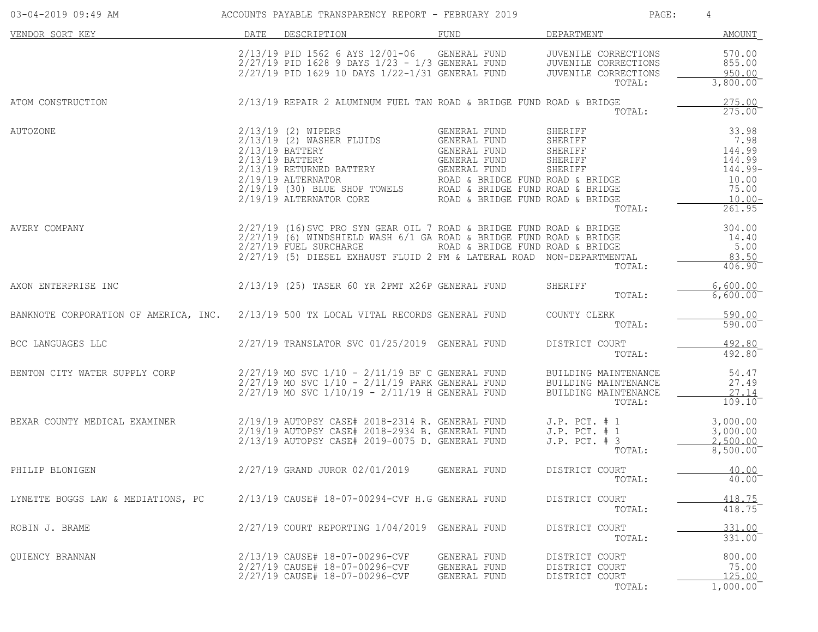| 03-04-2019 09:49 AM                                                                   |      | ACCOUNTS PAYABLE TRANSPARENCY REPORT - FEBRUARY 2019                                                                                                                                                                                             |                                                                                                                  | PAGE:                                                                          | 4                                                                                     |
|---------------------------------------------------------------------------------------|------|--------------------------------------------------------------------------------------------------------------------------------------------------------------------------------------------------------------------------------------------------|------------------------------------------------------------------------------------------------------------------|--------------------------------------------------------------------------------|---------------------------------------------------------------------------------------|
| VENDOR SORT KEY                                                                       | DATE | DESCRIPTION                                                                                                                                                                                                                                      | FUND                                                                                                             | DEPARTMENT                                                                     | AMOUNT                                                                                |
|                                                                                       |      | 2/13/19 PID 1562 6 AYS 12/01-06 GENERAL FUND<br>$2/27/19$ PID 1628 9 DAYS $1/23 - 1/3$ GENERAL FUND<br>2/27/19 PID 1629 10 DAYS 1/22-1/31 GENERAL FUND                                                                                           |                                                                                                                  | JUVENILE CORRECTIONS<br>JUVENILE CORRECTIONS<br>JUVENILE CORRECTIONS<br>TOTAL: | 570.00<br>855.00<br>950.00<br>$3,800.00^{-}$                                          |
| ATOM CONSTRUCTION                                                                     |      | $2/13/19$ REPAIR 2 ALUMINUM FUEL TAN ROAD & BRIDGE FUND ROAD & BRIDGE                                                                                                                                                                            |                                                                                                                  | TOTAL:                                                                         | 275.00<br>275.00                                                                      |
| <b>AUTOZONE</b>                                                                       |      | 2/13/19 (2) WIPERS<br>$2/13/19$ (2) WASHER FLUIDS<br>2/13/19 BATTERY<br>$2/13/19$ BATTERY<br>2/13/19 RETURNED BATTERY<br>$2/19/19$ ALTERNATOR<br>2/19/19 (30) BLUE SHOP TOWELS<br>2/19/19 ALTERNATOR CORE                                        | GENERAL FUND<br>GENERAL FUND<br>GENERAL FUND<br>GENERAL FUND<br>GENERAL FUND<br>ROAD & BRIDGE FUND ROAD & BRIDGE | SHERIFF<br>SHERIFF<br>SHERIFF<br>SHERIFF<br>SHERIFF<br>TOTAL:                  | 33.98<br>7.98<br>144.99<br>144.99<br>144.99-<br>10.00<br>75.00<br>$10.00 -$<br>261.95 |
| AVERY COMPANY                                                                         |      | 2/27/19 (16) SVC PRO SYN GEAR OIL 7 ROAD & BRIDGE FUND ROAD & BRIDGE<br>$2/27/19$ (6) WINDSHIELD WASH 6/1 GA ROAD & BRIDGE FUND ROAD & BRIDGE<br>2/27/19 FUEL SURCHARGE<br>2/27/19 (5) DIESEL EXHAUST FLUID 2 FM & LATERAL ROAD NON-DEPARTMENTAL | ROAD & BRIDGE FUND ROAD & BRIDGE                                                                                 | TOTAL:                                                                         | 304.00<br>14.40<br>5.00<br>83.50<br>$406.90^{-}$                                      |
| AXON ENTERPRISE INC                                                                   |      | 2/13/19 (25) TASER 60 YR 2PMT X26P GENERAL FUND                                                                                                                                                                                                  |                                                                                                                  | SHERIFF<br>TOTAL:                                                              | 6,600.00<br>6,600.00                                                                  |
| BANKNOTE CORPORATION OF AMERICA, INC. 2/13/19 500 TX LOCAL VITAL RECORDS GENERAL FUND |      |                                                                                                                                                                                                                                                  |                                                                                                                  | COUNTY CLERK<br>TOTAL:                                                         | 590.00<br>590.00                                                                      |
| BCC LANGUAGES LLC                                                                     |      | 2/27/19 TRANSLATOR SVC 01/25/2019 GENERAL FUND                                                                                                                                                                                                   |                                                                                                                  | DISTRICT COURT<br>TOTAL:                                                       | 492.80<br>492.80                                                                      |
| BENTON CITY WATER SUPPLY CORP                                                         |      | $2/27/19$ MO SVC $1/10$ - $2/11/19$ BF C GENERAL FUND<br>$2/27/19$ MO SVC $1/10$ - $2/11/19$ PARK GENERAL FUND<br>$2/27/19$ MO SVC $1/10/19$ - $2/11/19$ H GENERAL FUND                                                                          |                                                                                                                  | BUILDING MAINTENANCE<br>BUILDING MAINTENANCE<br>BUILDING MAINTENANCE<br>TOTAL: | 54.47<br>27.49<br>27.14<br>109.10                                                     |
| BEXAR COUNTY MEDICAL EXAMINER                                                         |      | 2/19/19 AUTOPSY CASE# 2018-2314 R. GENERAL FUND<br>2/19/19 AUTOPSY CASE# 2018-2934 B. GENERAL FUND<br>2/13/19 AUTOPSY CASE# 2019-0075 D. GENERAL FUND                                                                                            |                                                                                                                  | $J.P.$ PCT. $# 1$<br>J.P. PCT. # 1<br>$J.P.$ PCT. $# 3$<br>TOTAL:              | 3,000.00<br>3,000.00<br>2,500.00<br>8,500.00                                          |
| PHILIP BLONIGEN                                                                       |      | 2/27/19 GRAND JUROR 02/01/2019                                                                                                                                                                                                                   | GENERAL FUND                                                                                                     | DISTRICT COURT<br>TOTAL:                                                       | 40.00<br>$40.00^{-}$                                                                  |
| LYNETTE BOGGS LAW & MEDIATIONS, PC                                                    |      | 2/13/19 CAUSE# 18-07-00294-CVF H.G GENERAL FUND                                                                                                                                                                                                  |                                                                                                                  | DISTRICT COURT<br>TOTAL:                                                       | 418.75<br>418.75                                                                      |
| ROBIN J. BRAME                                                                        |      | 2/27/19 COURT REPORTING 1/04/2019 GENERAL FUND                                                                                                                                                                                                   |                                                                                                                  | DISTRICT COURT<br>TOTAL:                                                       | 331.00<br>331.00                                                                      |
| QUIENCY BRANNAN                                                                       |      | 2/13/19 CAUSE# 18-07-00296-CVF<br>2/27/19 CAUSE# 18-07-00296-CVF<br>2/27/19 CAUSE# 18-07-00296-CVF                                                                                                                                               | GENERAL FUND<br>GENERAL FUND<br>GENERAL FUND                                                                     | DISTRICT COURT<br>DISTRICT COURT<br>DISTRICT COURT<br>TOTAL:                   | 800.00<br>75.00<br>125.00<br>1,000.00                                                 |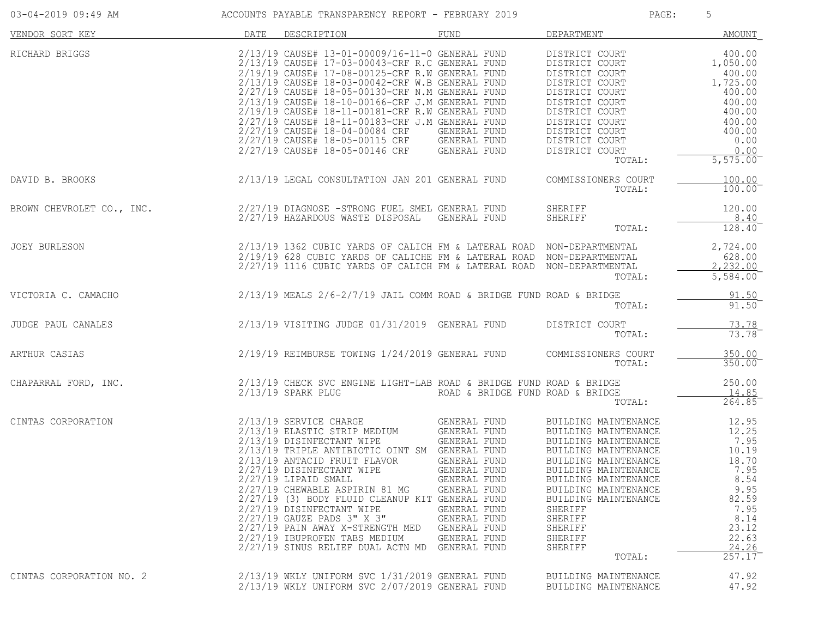| 03-04-2019 09:49 AM       | ACCOUNTS PAYABLE TRANSPARENCY REPORT - FEBRUARY 2019                                                                                                                                                                                                                                                                                                                                                                                                                                                                                    |                                                                                                                                                                                                     | PAGE:                                                                                                                                                                                                                                                                                 | 5                                                                                                                                    |
|---------------------------|-----------------------------------------------------------------------------------------------------------------------------------------------------------------------------------------------------------------------------------------------------------------------------------------------------------------------------------------------------------------------------------------------------------------------------------------------------------------------------------------------------------------------------------------|-----------------------------------------------------------------------------------------------------------------------------------------------------------------------------------------------------|---------------------------------------------------------------------------------------------------------------------------------------------------------------------------------------------------------------------------------------------------------------------------------------|--------------------------------------------------------------------------------------------------------------------------------------|
| VENDOR SORT KEY           | DATE DESCRIPTION                                                                                                                                                                                                                                                                                                                                                                                                                                                                                                                        | FUND                                                                                                                                                                                                | DEPARTMENT                                                                                                                                                                                                                                                                            | AMOUNT                                                                                                                               |
| RICHARD BRIGGS            | 2/13/19 CAUSE# 13-01-00009/16-11-0 GENERAL FUND<br>2/13/19 CAUSE# 17-03-00043-CRF R.C GENERAL FUND<br>2/19/19 CAUSE# 17-08-00125-CRF R.W GENERAL FUND<br>2/13/19 CAUSE# 18-03-00042-CRF W.B GENERAL FUND<br>2/27/19 CAUSE# 18-05-00130-CRF N.M GENERAL FUND<br>2/13/19 CAUSE# 18-10-00166-CRF J.M GENERAL FUND<br>2/19/19 CAUSE# 18-11-00181-CRF R.W GENERAL FUND<br>2/27/19 CAUSE# 18-11-00183-CRF J.M GENERAL FUND<br>2/27/19 CAUSE# 18-04-00084 CRF<br>2/27/19 CAUSE# 18-05-00115 CRF<br>2/27/19 CAUSE# 18-05-00146 CRF GENERAL FUND | GENERAL FUND<br>GENERAL FUND                                                                                                                                                                        | DISTRICT COURT<br>DISTRICT COURT<br>DISTRICT COURT<br>DISTRICT COURT<br>DISTRICT COURT<br>DISTRICT COURT<br>DISTRICT COURT<br>DISTRICT COURT<br>DISTRICT COURT<br>DISTRICT COURT<br>DISTRICT COURT<br>TOTAL:                                                                          | 400.00<br>1,050.00<br>400.00<br>1,725.00<br>400.00<br>400.00<br>400.00<br>400.00<br>400.00<br>0.00<br>0.00<br>5,575.00               |
| DAVID B. BROOKS           | 2/13/19 LEGAL CONSULTATION JAN 201 GENERAL FUND                                                                                                                                                                                                                                                                                                                                                                                                                                                                                         |                                                                                                                                                                                                     | COMMISSIONERS COURT<br>TOTAL:                                                                                                                                                                                                                                                         | 100.00<br>100.00                                                                                                                     |
| BROWN CHEVROLET CO., INC. | 2/27/19 DIAGNOSE -STRONG FUEL SMEL GENERAL FUND<br>2/27/19 HAZARDOUS WASTE DISPOSAL GENERAL FUND                                                                                                                                                                                                                                                                                                                                                                                                                                        |                                                                                                                                                                                                     | SHERIFF<br>SHERIFF<br>TOTAL:                                                                                                                                                                                                                                                          | 120.00<br>8.40<br>128.40                                                                                                             |
| JOEY BURLESON             | 2/13/19 1362 CUBIC YARDS OF CALICH FM & LATERAL ROAD NON-DEPARTMENTAL<br>2/19/19 628 CUBIC YARDS OF CALICHE FM & LATERAL ROAD NON-DEPARTMENTAL<br>2/27/19 1116 CUBIC YARDS OF CALICH FM & LATERAL ROAD NON-DEPARTMENTAL                                                                                                                                                                                                                                                                                                                 |                                                                                                                                                                                                     | TOTAL:                                                                                                                                                                                                                                                                                | 2,724.00<br>628.00<br>2,232.00<br>5,584.00                                                                                           |
| VICTORIA C. CAMACHO       | $2/13/19$ MEALS $2/6-2/7/19$ JAIL COMM ROAD & BRIDGE FUND ROAD & BRIDGE                                                                                                                                                                                                                                                                                                                                                                                                                                                                 |                                                                                                                                                                                                     | TOTAL:                                                                                                                                                                                                                                                                                | 91.50<br>91.50                                                                                                                       |
| JUDGE PAUL CANALES        | $2/13/19$ VISITING JUDGE $01/31/2019$ GENERAL FUND                                                                                                                                                                                                                                                                                                                                                                                                                                                                                      |                                                                                                                                                                                                     | DISTRICT COURT<br>TOTAL:                                                                                                                                                                                                                                                              | 73.78<br>73.78                                                                                                                       |
| ARTHUR CASIAS             | 2/19/19 REIMBURSE TOWING 1/24/2019 GENERAL FUND                                                                                                                                                                                                                                                                                                                                                                                                                                                                                         |                                                                                                                                                                                                     | COMMISSIONERS COURT<br>TOTAL:                                                                                                                                                                                                                                                         | 350.00<br>$350.00$ <sup>-</sup>                                                                                                      |
| CHAPARRAL FORD, INC.      | 2/13/19 CHECK SVC ENGINE LIGHT-LAB ROAD & BRIDGE FUND ROAD & BRIDGE<br>2/13/19 SPARK PLUG                                                                                                                                                                                                                                                                                                                                                                                                                                               | ROAD & BRIDGE FUND ROAD & BRIDGE                                                                                                                                                                    | TOTAL:                                                                                                                                                                                                                                                                                | 250.00<br>14.85<br>264.85                                                                                                            |
| CINTAS CORPORATION        | 2/13/19 SERVICE CHARGE<br>2/13/19 ELASTIC STRIP MEDIUM<br>2/13/19 DISINFECTANT WIPE<br>2/13/19 TRIPLE ANTIBIOTIC OINT SM GENERAL FUND<br>2/13/19 ANTACID FRUIT FLAVOR<br>2/27/19 DISINFECTANT WIPE<br>$2/27/19$ LIPAID SMALL<br>2/27/19 CHEWABLE ASPIRIN 81 MG<br>2/27/19 (3) BODY FLUID CLEANUP KIT GENERAL FUND<br>2/27/19 DISINFECTANT WIPE<br>2/27/19 GAUZE PADS 3" X 3"<br>2/27/19 PAIN AWAY X-STRENGTH MED<br>2/27/19 IBUPROFEN TABS MEDIUM<br>2/27/19 SINUS RELIEF DUAL ACTN MD                                                  | GENERAL FUND<br>GENERAL FUND<br>GENERAL FUND<br>GENERAL FUND<br><b>GENERAL FUND</b><br>GENERAL FUND<br>GENERAL FUND<br>GENERAL FUND<br>GENERAL FUND<br>GENERAL FUND<br>GENERAL FUND<br>GENERAL FUND | BUILDING MAINTENANCE<br>BUILDING MAINTENANCE<br>BUILDING MAINTENANCE<br>BUILDING MAINTENANCE<br>BUILDING MAINTENANCE<br>BUILDING MAINTENANCE<br>BUILDING MAINTENANCE<br>BUILDING MAINTENANCE<br>BUILDING MAINTENANCE<br>SHERIFF<br>SHERIFF<br>SHERIFF<br>SHERIFF<br>SHERIFF<br>TOTAL: | 12.95<br>12.25<br>7.95<br>10.19<br>18.70<br>7.95<br>8.54<br>9.95<br>82.59<br>7.95<br>8.14<br>23.12<br>22.63<br>24.26<br>$257.17^{-}$ |
| CINTAS CORPORATION NO. 2  | 2/13/19 WKLY UNIFORM SVC 1/31/2019 GENERAL FUND<br>2/13/19 WKLY UNIFORM SVC 2/07/2019 GENERAL FUND                                                                                                                                                                                                                                                                                                                                                                                                                                      |                                                                                                                                                                                                     | BUILDING MAINTENANCE<br>BUILDING MAINTENANCE                                                                                                                                                                                                                                          | 47.92<br>47.92                                                                                                                       |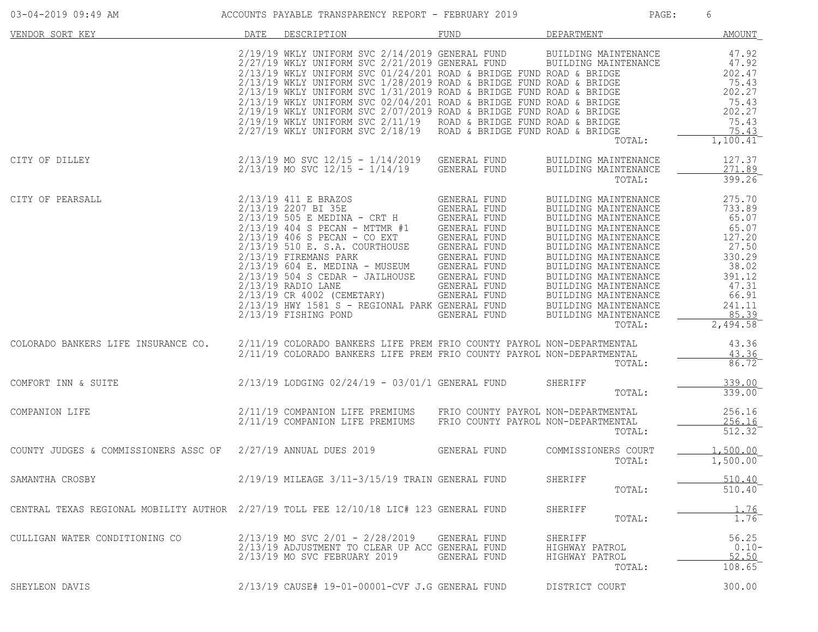| 03-04-2019 09:49 AM                                                                    |      | ACCOUNTS PAYABLE TRANSPARENCY REPORT - FEBRUARY 2019                                                                                                                                                                                                                                                                                                                                                                                                                                                                                                                                                                                    |                                                                                                                                                                              | PAGE:                                                                                                                                                                                                                                                                                                                          | 6                                                                                                                                                  |
|----------------------------------------------------------------------------------------|------|-----------------------------------------------------------------------------------------------------------------------------------------------------------------------------------------------------------------------------------------------------------------------------------------------------------------------------------------------------------------------------------------------------------------------------------------------------------------------------------------------------------------------------------------------------------------------------------------------------------------------------------------|------------------------------------------------------------------------------------------------------------------------------------------------------------------------------|--------------------------------------------------------------------------------------------------------------------------------------------------------------------------------------------------------------------------------------------------------------------------------------------------------------------------------|----------------------------------------------------------------------------------------------------------------------------------------------------|
| VENDOR SORT KEY                                                                        | DATE | DESCRIPTION                                                                                                                                                                                                                                                                                                                                                                                                                                                                                                                                                                                                                             | FUND                                                                                                                                                                         | DEPARTMENT                                                                                                                                                                                                                                                                                                                     | <b>AMOUNT</b>                                                                                                                                      |
|                                                                                        |      | $2/19/19$ WKLY UNIFORM SVC $2/14/2019$ GENERAL FUND<br>$2/27/19$ WKLY UNIFORM SVC $2/21/2019$ GENERAL FUND<br>$2/13/19$ WKLY UNIFORM SVC 01/24/201 ROAD & BRIDGE FUND ROAD & BRIDGE<br>$2/13/19$ WKLY UNIFORM SVC $1/28/2019$ ROAD & BRIDGE FUND ROAD & BRIDGE<br>2/13/19 WKLY UNIFORM SVC 1/31/2019 ROAD & BRIDGE FUND ROAD & BRIDGE<br>$2/13/19$ WKLY UNIFORM SVC 02/04/201 ROAD & BRIDGE FUND ROAD & BRIDGE<br>2/19/19 WKLY UNIFORM SVC 2/07/2019 ROAD & BRIDGE FUND ROAD & BRIDGE<br>$2/19/19$ WKLY UNIFORM SVC $2/11/19$ ROAD & BRIDGE FUND ROAD & BRIDGE<br>$2/27/19$ WKLY UNIFORM SVC $2/18/19$ ROAD & BRIDGE FUND ROAD & BRIDGE |                                                                                                                                                                              | BUILDING MAINTENANCE<br>BUILDING MAINTENANCE<br>TOTAL:                                                                                                                                                                                                                                                                         | 47.92<br>47.92<br>202.47<br>75.43<br>202.27<br>75.43<br>202.27<br>75.43<br>75.43<br>$1,100.41^{-}$                                                 |
| CITY OF DILLEY                                                                         |      | 2/13/19 MO SVC 12/15 - 1/14/2019 GENERAL FUND<br>$2/13/19$ MO SVC $12/15 - 1/14/19$                                                                                                                                                                                                                                                                                                                                                                                                                                                                                                                                                     | GENERAL FUND                                                                                                                                                                 | BUILDING MAINTENANCE<br>BUILDING MAINTENANCE<br>TOTAL:                                                                                                                                                                                                                                                                         | 127.37<br>271.89<br>399.26                                                                                                                         |
| CITY OF PEARSALL                                                                       |      | 2/13/19 411 E BRAZOS<br>2/13/19 2207 BI 35E<br>$2/13/19$ 505 E MEDINA - CRT H GENERAL FUND<br>$2/13/19$ 404 S PECAN - MTTMR #1<br>$2/13/19$ 406 S PECAN - CO EXT<br>2/13/19 510 E. S.A. COURTHOUSE<br>2/13/19 FIREMANS PARK<br>$2/13/19$ 604 E. MEDINA - MUSEUM<br>$2/13/19$ 504 S CEDAR - JAILHOUSE<br>$2/13/19$ RADIO LANE<br>2/13/19 CR 4002 (CEMETARY)<br>2/13/19 HWY 1581 S - REGIONAL PARK GENERAL FUND<br>$2/13/19$ FISHING POND                                                                                                                                                                                                 | GENERAL FUND<br>GENERAL FUND<br>GENERAL FUND<br>GENERAL FUND<br>GENERAL FUND<br>GENERAL FUND<br>GENERAL FUND<br>GENERAL FUND<br>GENERAL FUND<br>GENERAL FUND<br>GENERAL FUND | BUILDING MAINTENANCE<br>BUILDING MAINTENANCE<br>BUILDING MAINTENANCE<br>BUILDING MAINTENANCE<br>BUILDING MAINTENANCE<br>BUILDING MAINTENANCE<br>BUILDING MAINTENANCE<br>BUILDING MAINTENANCE<br>BUILDING MAINTENANCE<br>BUILDING MAINTENANCE<br>BUILDING MAINTENANCE<br>BUILDING MAINTENANCE<br>BUILDING MAINTENANCE<br>TOTAL: | 275.70<br>733.89<br>65.07<br>65.07<br>127.20<br>27.50<br>330.29<br>38.02<br>391.12<br>47.31<br>66.91<br>241.11<br>85.39<br>$2,494.58$ <sup>-</sup> |
| COLORADO BANKERS LIFE INSURANCE CO.                                                    |      | 2/11/19 COLORADO BANKERS LIFE PREM FRIO COUNTY PAYROL NON-DEPARTMENTAL<br>2/11/19 COLORADO BANKERS LIFE PREM FRIO COUNTY PAYROL NON-DEPARTMENTAL                                                                                                                                                                                                                                                                                                                                                                                                                                                                                        |                                                                                                                                                                              | TOTAL:                                                                                                                                                                                                                                                                                                                         | 43.36<br>43.36<br>86.72                                                                                                                            |
| COMFORT INN & SUITE                                                                    |      | 2/13/19 LODGING 02/24/19 - 03/01/1 GENERAL FUND                                                                                                                                                                                                                                                                                                                                                                                                                                                                                                                                                                                         |                                                                                                                                                                              | SHERIFF<br>TOTAL:                                                                                                                                                                                                                                                                                                              | 339.00<br>339.00                                                                                                                                   |
| COMPANION LIFE                                                                         |      | 2/11/19 COMPANION LIFE PREMIUMS<br>2/11/19 COMPANION LIFE PREMIUMS                                                                                                                                                                                                                                                                                                                                                                                                                                                                                                                                                                      | FRIO COUNTY PAYROL NON-DEPARTMENTAL<br>FRIO COUNTY PAYROL NON-DEPARTMENTAL                                                                                                   | TOTAL:                                                                                                                                                                                                                                                                                                                         | 256.16<br>256.16<br>512.32                                                                                                                         |
| COUNTY JUDGES & COMMISSIONERS ASSC OF 2/27/19 ANNUAL DUES 2019                         |      |                                                                                                                                                                                                                                                                                                                                                                                                                                                                                                                                                                                                                                         | GENERAL FUND                                                                                                                                                                 | COMMISSIONERS COURT<br>TOTAL:                                                                                                                                                                                                                                                                                                  | 1,500.00<br>1,500.00                                                                                                                               |
| SAMANTHA CROSBY                                                                        |      | 2/19/19 MILEAGE 3/11-3/15/19 TRAIN GENERAL FUND                                                                                                                                                                                                                                                                                                                                                                                                                                                                                                                                                                                         |                                                                                                                                                                              | SHERIFF<br>TOTAL:                                                                                                                                                                                                                                                                                                              | 510.40<br>510.40                                                                                                                                   |
| CENTRAL TEXAS REGIONAL MOBILITY AUTHOR 2/27/19 TOLL FEE 12/10/18 LIC# 123 GENERAL FUND |      |                                                                                                                                                                                                                                                                                                                                                                                                                                                                                                                                                                                                                                         |                                                                                                                                                                              | SHERIFF<br>TOTAL:                                                                                                                                                                                                                                                                                                              | $\frac{1.76}{1.76}$                                                                                                                                |
| CULLIGAN WATER CONDITIONING CO                                                         |      | $2/13/19$ MO SVC $2/01 - 2/28/2019$<br>2/13/19 ADJUSTMENT TO CLEAR UP ACC GENERAL FUND<br>2/13/19 MO SVC FEBRUARY 2019                                                                                                                                                                                                                                                                                                                                                                                                                                                                                                                  | GENERAL FUND<br><b>GENERAL FUND</b>                                                                                                                                          | SHERIFF<br>HIGHWAY PATROL<br>HIGHWAY PATROL<br>TOTAL:                                                                                                                                                                                                                                                                          | 56.25<br>$0.10 -$<br>52.50<br>108.65                                                                                                               |
| SHEYLEON DAVIS                                                                         |      | 2/13/19 CAUSE# 19-01-00001-CVF J.G GENERAL FUND                                                                                                                                                                                                                                                                                                                                                                                                                                                                                                                                                                                         |                                                                                                                                                                              | DISTRICT COURT                                                                                                                                                                                                                                                                                                                 | 300.00                                                                                                                                             |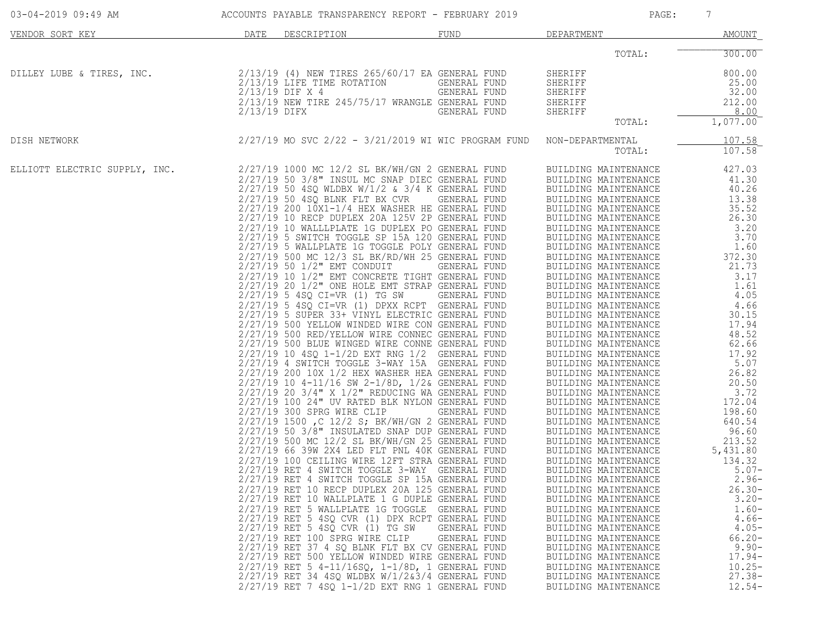| 03-04-2019 09:49 AM           |              | ACCOUNTS PAYABLE TRANSPARENCY REPORT - FEBRUARY 2019                                                                                                                                                                                                                                                                                                                                                                                                                                                                                                                                                                                                                                                                                                                                                                                                                                                                                                                                                                                                                                                                                                                                                                                                                                                                                                                                                                                                                                                                                                                                                                                                                                                                                                                                                                                                                                                                                                                                                                                                                                                                                                                                                                                                  |                                                                              | PAGE:                                                                                                                                                                                                                                                                                                                                                                                                                                                                                                                                                                                                                                                                                                                                                                                                                                                                                                                                                                                                                                                                                        | 7                                                                                                                                                                                                                                                                                                                                                                                                                                               |
|-------------------------------|--------------|-------------------------------------------------------------------------------------------------------------------------------------------------------------------------------------------------------------------------------------------------------------------------------------------------------------------------------------------------------------------------------------------------------------------------------------------------------------------------------------------------------------------------------------------------------------------------------------------------------------------------------------------------------------------------------------------------------------------------------------------------------------------------------------------------------------------------------------------------------------------------------------------------------------------------------------------------------------------------------------------------------------------------------------------------------------------------------------------------------------------------------------------------------------------------------------------------------------------------------------------------------------------------------------------------------------------------------------------------------------------------------------------------------------------------------------------------------------------------------------------------------------------------------------------------------------------------------------------------------------------------------------------------------------------------------------------------------------------------------------------------------------------------------------------------------------------------------------------------------------------------------------------------------------------------------------------------------------------------------------------------------------------------------------------------------------------------------------------------------------------------------------------------------------------------------------------------------------------------------------------------------|------------------------------------------------------------------------------|----------------------------------------------------------------------------------------------------------------------------------------------------------------------------------------------------------------------------------------------------------------------------------------------------------------------------------------------------------------------------------------------------------------------------------------------------------------------------------------------------------------------------------------------------------------------------------------------------------------------------------------------------------------------------------------------------------------------------------------------------------------------------------------------------------------------------------------------------------------------------------------------------------------------------------------------------------------------------------------------------------------------------------------------------------------------------------------------|-------------------------------------------------------------------------------------------------------------------------------------------------------------------------------------------------------------------------------------------------------------------------------------------------------------------------------------------------------------------------------------------------------------------------------------------------|
| VENDOR SORT KEY               | DATE         | DESCRIPTION                                                                                                                                                                                                                                                                                                                                                                                                                                                                                                                                                                                                                                                                                                                                                                                                                                                                                                                                                                                                                                                                                                                                                                                                                                                                                                                                                                                                                                                                                                                                                                                                                                                                                                                                                                                                                                                                                                                                                                                                                                                                                                                                                                                                                                           | FUND                                                                         | DEPARTMENT                                                                                                                                                                                                                                                                                                                                                                                                                                                                                                                                                                                                                                                                                                                                                                                                                                                                                                                                                                                                                                                                                   | <b>AMOUNT</b>                                                                                                                                                                                                                                                                                                                                                                                                                                   |
|                               |              |                                                                                                                                                                                                                                                                                                                                                                                                                                                                                                                                                                                                                                                                                                                                                                                                                                                                                                                                                                                                                                                                                                                                                                                                                                                                                                                                                                                                                                                                                                                                                                                                                                                                                                                                                                                                                                                                                                                                                                                                                                                                                                                                                                                                                                                       |                                                                              | TOTAL:                                                                                                                                                                                                                                                                                                                                                                                                                                                                                                                                                                                                                                                                                                                                                                                                                                                                                                                                                                                                                                                                                       | 300.00                                                                                                                                                                                                                                                                                                                                                                                                                                          |
| DILLEY LUBE & TIRES, INC.     | 2/13/19 DIFX | 2/13/19 (4) NEW TIRES 265/60/17 EA GENERAL FUND<br>2/13/19 LIFE TIME ROTATION<br>$2/13/19$ DIF X 4<br>2/13/19 NEW TIRE 245/75/17 WRANGLE GENERAL FUND                                                                                                                                                                                                                                                                                                                                                                                                                                                                                                                                                                                                                                                                                                                                                                                                                                                                                                                                                                                                                                                                                                                                                                                                                                                                                                                                                                                                                                                                                                                                                                                                                                                                                                                                                                                                                                                                                                                                                                                                                                                                                                 | GENERAL FUND<br>GENERAL FUND<br>GENERAL FUND                                 | SHERIFF<br>SHERIFF<br>SHERIFF<br>SHERIFF<br>SHERIFF<br>TOTAL:                                                                                                                                                                                                                                                                                                                                                                                                                                                                                                                                                                                                                                                                                                                                                                                                                                                                                                                                                                                                                                | 800.00<br>25.00<br>32.00<br>212.00<br>8.00<br>1,077.00                                                                                                                                                                                                                                                                                                                                                                                          |
| DISH NETWORK                  |              | 2/27/19 MO SVC 2/22 - 3/21/2019 WI WIC PROGRAM FUND                                                                                                                                                                                                                                                                                                                                                                                                                                                                                                                                                                                                                                                                                                                                                                                                                                                                                                                                                                                                                                                                                                                                                                                                                                                                                                                                                                                                                                                                                                                                                                                                                                                                                                                                                                                                                                                                                                                                                                                                                                                                                                                                                                                                   |                                                                              | NON-DEPARTMENTAL<br>TOTAL:                                                                                                                                                                                                                                                                                                                                                                                                                                                                                                                                                                                                                                                                                                                                                                                                                                                                                                                                                                                                                                                                   | 107.58<br>107.58                                                                                                                                                                                                                                                                                                                                                                                                                                |
| ELLIOTT ELECTRIC SUPPLY, INC. |              | 2/27/19 1000 MC 12/2 SL BK/WH/GN 2 GENERAL FUND<br>$2/27/19$ 50 $3/8$ " INSUL MC SNAP DIEC GENERAL FUND<br>$2/27/19$ 50 4SQ WLDBX W/1/2 & 3/4 K GENERAL FUND<br>2/27/19 50 4SQ BLNK FLT BX CVR<br>2/27/19 200 10X1-1/4 HEX WASHER HE GENERAL FUND<br>2/27/19 10 RECP DUPLEX 20A 125V 2P GENERAL FUND<br>2/27/19 10 WALLLPLATE 1G DUPLEX PO GENERAL FUND<br>2/27/19 5 SWITCH TOGGLE SP 15A 120 GENERAL FUND<br>2/27/19 5 WALLPLATE 1G TOGGLE POLY GENERAL FUND<br>2/27/19 500 MC 12/3 SL BK/RD/WH 25 GENERAL FUND<br>2/27/19 50 1/2" EMT CONDUIT<br>$2/27/19$ 10 $1/2$ " EMT CONCRETE TIGHT GENERAL FUND<br>$2/27/19$ 20 $1/2$ " ONE HOLE EMT STRAP GENERAL FUND<br>$2/27/19$ 5 4SQ CI=VR (1) TG SW GENERAL FUND<br>2/27/19 5 4SQ CI=VR (1) DPXX RCPT GENERAL FUND<br>2/27/19 5 SUPER 33+ VINYL ELECTRIC GENERAL FUND<br>2/27/19 500 YELLOW WINDED WIRE CON GENERAL FUND<br>2/27/19 500 RED/YELLOW WIRE CONNEC GENERAL FUND<br>2/27/19 500 BLUE WINGED WIRE CONNE GENERAL FUND<br>2/27/19 10 4SQ 1-1/2D EXT RNG 1/2 GENERAL FUND<br>2/27/19 4 SWITCH TOGGLE 3-WAY 15A GENERAL FUND<br>2/27/19 200 10X 1/2 HEX WASHER HEA GENERAL FUND<br>2/27/19 10 4-11/16 SW 2-1/8D, 1/2& GENERAL FUND<br>2/27/19 20 3/4" X 1/2" REDUCING WA GENERAL FUND<br>2/27/19 100 24" UV RATED BLK NYLON GENERAL FUND<br>2/27/19 300 SPRG WIRE CLIP<br>2/27/19 1500 , C 12/2 S; BK/WH/GN 2 GENERAL FUND<br>2/27/19 50 3/8" INSULATED SNAP DUP GENERAL FUND<br>2/27/19 500 MC 12/2 SL BK/WH/GN 25 GENERAL FUND<br>2/27/19 66 39W 2X4 LED FLT PNL 40K GENERAL FUND<br>2/27/19 100 CEILING WIRE 12FT STRA GENERAL FUND<br>2/27/19 RET 4 SWITCH TOGGLE 3-WAY GENERAL FUND<br>2/27/19 RET 4 SWITCH TOGGLE SP 15A GENERAL FUND<br>2/27/19 RET 10 RECP DUPLEX 20A 125 GENERAL FUND<br>2/27/19 RET 10 WALLPLATE 1 G DUPLE GENERAL FUND<br>2/27/19 RET 5 WALLPLATE 1G TOGGLE GENERAL FUND<br>2/27/19 RET 5 4SQ CVR (1) DPX RCPT GENERAL FUND<br>2/27/19 RET 5 4SQ CVR (1) TG SW<br>2/27/19 RET 100 SPRG WIRE CLIP<br>2/27/19 RET 37 4 SQ BLNK FLT BX CV GENERAL FUND<br>2/27/19 RET 500 YELLOW WINDED WIRE GENERAL FUND<br>2/27/19 RET 5 4-11/16SQ, 1-1/8D, 1 GENERAL FUND<br>$2/27/19$ RET 34 4SQ WLDBX $W/1/263/4$ GENERAL FUND<br>$2/27/19$ RET 7 4SQ 1-1/2D EXT RNG 1 GENERAL FUND | GENERAL FUND<br>GENERAL FUND<br>GENERAL FUND<br>GENERAL FUND<br>GENERAL FUND | BUILDING MAINTENANCE<br>BUILDING MAINTENANCE<br>BUILDING MAINTENANCE<br>BUILDING MAINTENANCE<br>BUILDING MAINTENANCE<br>BUILDING MAINTENANCE<br>BUILDING MAINTENANCE<br>BUILDING MAINTENANCE<br>BUILDING MAINTENANCE<br>BUILDING MAINTENANCE<br>BUILDING MAINTENANCE<br>BUILDING MAINTENANCE<br>BUILDING MAINTENANCE<br>BUILDING MAINTENANCE<br>BUILDING MAINTENANCE<br>BUILDING MAINTENANCE<br>BUILDING MAINTENANCE<br>BUILDING MAINTENANCE<br>BUILDING MAINTENANCE<br>BUILDING MAINTENANCE<br>BUILDING MAINTENANCE<br>BUILDING MAINTENANCE<br>BUILDING MAINTENANCE<br>BUILDING MAINTENANCE<br>BUILDING MAINTENANCE<br>BUILDING MAINTENANCE<br>BUILDING MAINTENANCE<br>BUILDING MAINTENANCE<br>BUILDING MAINTENANCE<br>BUILDING MAINTENANCE<br>BUILDING MAINTENANCE<br>BUILDING MAINTENANCE<br>BUILDING MAINTENANCE<br>BUILDING MAINTENANCE<br>BUILDING MAINTENANCE<br>BUILDING MAINTENANCE<br>BUILDING MAINTENANCE<br>BUILDING MAINTENANCE<br>BUILDING MAINTENANCE<br>BUILDING MAINTENANCE<br>BUILDING MAINTENANCE<br>BUILDING MAINTENANCE<br>BUILDING MAINTENANCE<br>BUILDING MAINTENANCE | 427.03<br>41.30<br>40.26<br>13.38<br>35.52<br>26.30<br>3.20<br>3.70<br>1.60<br>372.30<br>21.73<br>3.17<br>1.61<br>4.05<br>4.66<br>30.15<br>17.94<br>48.52<br>62.66<br>17.92<br>5.07<br>26.82<br>20.50<br>3.72<br>172.04<br>198.60<br>640.54<br>96.60<br>213.52<br>5,431.80<br>134.32<br>$5.07 -$<br>$2.96 -$<br>$26.30-$<br>$3.20 -$<br>$1.60-$<br>$4.66-$<br>$4.05-$<br>$66.20 -$<br>$9.90 -$<br>$17.94-$<br>$10.25 -$<br>$27.38-$<br>$12.54-$ |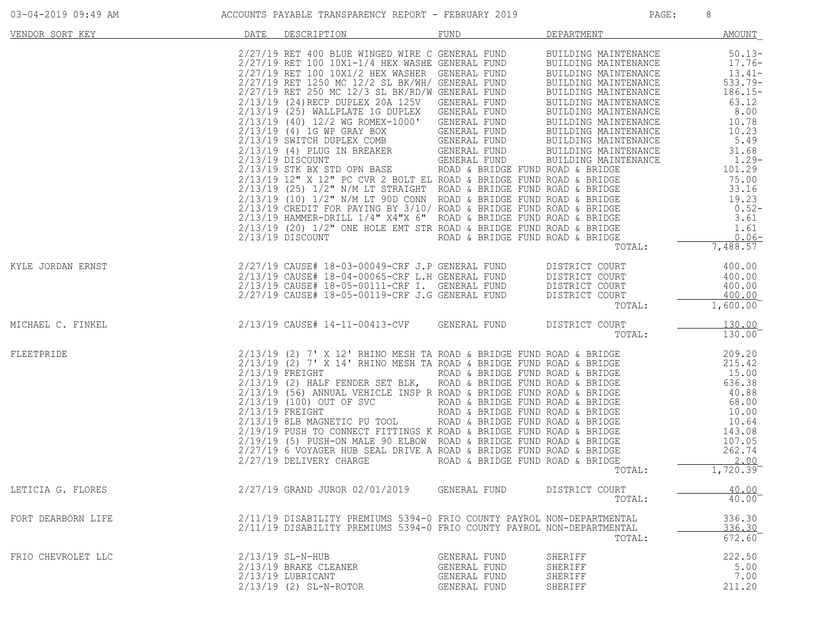| 03-04-2019 09:49 AM |  |  |  |
|---------------------|--|--|--|
|---------------------|--|--|--|

| VENDOR SORT KEY    | DATE | DESCRIPTION                                                                                                                                                                                                                             | FUND                                                         | DEPARTMENT                               | <b>AMOUNT</b>                    |
|--------------------|------|-----------------------------------------------------------------------------------------------------------------------------------------------------------------------------------------------------------------------------------------|--------------------------------------------------------------|------------------------------------------|----------------------------------|
|                    |      |                                                                                                                                                                                                                                         |                                                              |                                          |                                  |
| KYLE JORDAN ERNST  |      | 2/27/19 CAUSE# 18-03-00049-CRF J.P GENERAL FUND DISTRICT COURT 400.00<br>2/13/19 CAUSE# 18-04-00065-CRF L.H GENERAL FUND DISTRICT COURT 400.00<br>2/13/19 CAUSE# 18-05-00111-CRF I. GENERAL FUND DISTRICT COURT 400.00<br>2/27/19 CAUSE |                                                              |                                          |                                  |
| MICHAEL C. FINKEL  |      | $2/13/19$ CAUSE# 14-11-00413-CVF GENERAL FUND DISTRICT COURT                                                                                                                                                                            |                                                              | TOTAL:                                   | 130.00<br>130.00                 |
| FLEETPRIDE         |      | 2/13/19 (2) 7' X 12' RHINO MESH TA ROAD & BRIDGE FUND ROAD & BRIDGE<br>2/13/19 (2) 7' X 14' RHINO MESH TA ROAD & BRIDGE FUND ROAD & BRIDGE<br>2/13/19 (2) HALF FENDER SET BLK, ROAD & BRIDGE FUND ROAD & BRIDGE<br>2/13/19 (56) ANN     |                                                              | TOTAL:                                   | 1,720.39                         |
| LETICIA G. FLORES  |      | 2/27/19 GRAND JUROR 02/01/2019 GENERAL FUND                                                                                                                                                                                             |                                                              | DISTRICT COURT<br>TOTAL:                 | 40.00<br>40.00                   |
| FORT DEARBORN LIFE |      | 2/11/19 DISABILITY PREMIUMS 5394-0 FRIO COUNTY PAYROL NON-DEPARTMENTAL<br>2/11/19 DISABILITY PREMIUMS 5394-0 FRIO COUNTY PAYROL NON-DEPARTMENTAL                                                                                        |                                                              | TOTAL:                                   | 336.30<br>336.30<br>672.60       |
| FRIO CHEVROLET LLC |      | $2/13/19$ SL-N-HUB<br>2/13/19 BRAKE CLEANER<br>2/13/19 LUBRICANT<br>2/13/19 (2) SL-N-ROTOR                                                                                                                                              | GENERAL FUND<br>GENERAL FUND<br>GENERAL FUND<br>GENERAL FUND | SHERIFF<br>SHERIFF<br>SHERIFF<br>SHERIFF | 222.50<br>5.00<br>7.00<br>211.20 |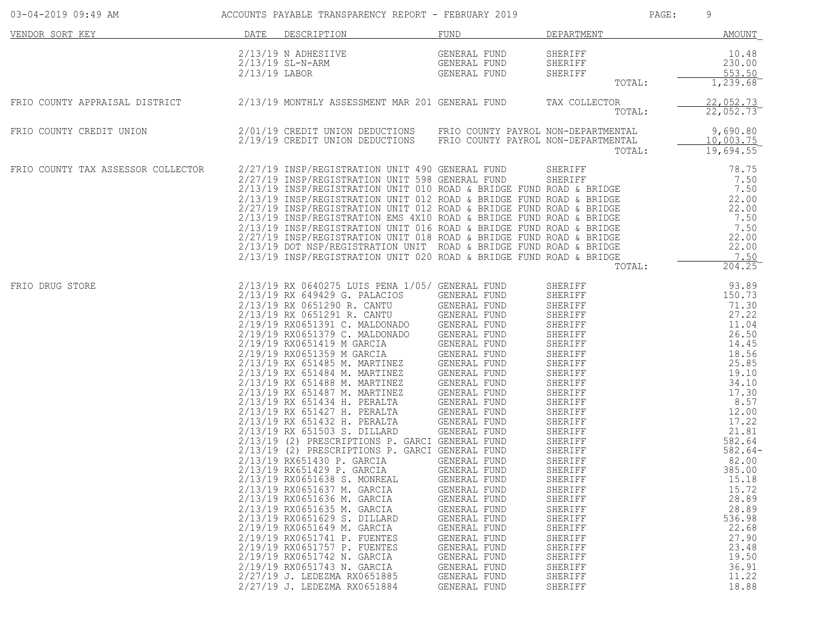| 03-04-2019 09:49 AM                |               | ACCOUNTS PAYABLE TRANSPARENCY REPORT - FEBRUARY 2019                                                                                                                                                                                                                                                                                                                                                                                                                                                                                                                                                                                                                                                                                                                                                                                                                                                                                                                                                                                                                                                                                                                                                       |                                                                                                                                                                                                                                                                                     |                                                                                                                                                                                                                                                                                                                                                                                                                                           | PAGE: | 9                                                                                                                                                                                                                                                                                                   |
|------------------------------------|---------------|------------------------------------------------------------------------------------------------------------------------------------------------------------------------------------------------------------------------------------------------------------------------------------------------------------------------------------------------------------------------------------------------------------------------------------------------------------------------------------------------------------------------------------------------------------------------------------------------------------------------------------------------------------------------------------------------------------------------------------------------------------------------------------------------------------------------------------------------------------------------------------------------------------------------------------------------------------------------------------------------------------------------------------------------------------------------------------------------------------------------------------------------------------------------------------------------------------|-------------------------------------------------------------------------------------------------------------------------------------------------------------------------------------------------------------------------------------------------------------------------------------|-------------------------------------------------------------------------------------------------------------------------------------------------------------------------------------------------------------------------------------------------------------------------------------------------------------------------------------------------------------------------------------------------------------------------------------------|-------|-----------------------------------------------------------------------------------------------------------------------------------------------------------------------------------------------------------------------------------------------------------------------------------------------------|
| VENDOR SORT KEY                    | DATE          | DESCRIPTION                                                                                                                                                                                                                                                                                                                                                                                                                                                                                                                                                                                                                                                                                                                                                                                                                                                                                                                                                                                                                                                                                                                                                                                                | FUND                                                                                                                                                                                                                                                                                | DEPARTMENT                                                                                                                                                                                                                                                                                                                                                                                                                                |       | AMOUNT                                                                                                                                                                                                                                                                                              |
|                                    | 2/13/19 LABOR | 2/13/19 N ADHESIIVE<br>$2/13/19$ SL-N-ARM                                                                                                                                                                                                                                                                                                                                                                                                                                                                                                                                                                                                                                                                                                                                                                                                                                                                                                                                                                                                                                                                                                                                                                  | GENERAL FUND<br>GENERAL FUND<br>GENERAL FUND                                                                                                                                                                                                                                        | SHERIFF<br>SHERIFF<br>SHERIFF<br>TOTAL:                                                                                                                                                                                                                                                                                                                                                                                                   |       | 10.48<br>230.00<br>553.50<br>1,239.68                                                                                                                                                                                                                                                               |
| FRIO COUNTY APPRAISAL DISTRICT     |               | 2/13/19 MONTHLY ASSESSMENT MAR 201 GENERAL FUND                                                                                                                                                                                                                                                                                                                                                                                                                                                                                                                                                                                                                                                                                                                                                                                                                                                                                                                                                                                                                                                                                                                                                            |                                                                                                                                                                                                                                                                                     | TAX COLLECTOR<br>TOTAL:                                                                                                                                                                                                                                                                                                                                                                                                                   |       | 22,052.73<br>22,052.73                                                                                                                                                                                                                                                                              |
| FRIO COUNTY CREDIT UNION           |               | 2/01/19 CREDIT UNION DEDUCTIONS FRIO COUNTY PAYROL NON-DEPARTMENTAL<br>2/19/19 CREDIT UNION DEDUCTIONS FRIO COUNTY PAYROL NON-DEPARTMENTAL                                                                                                                                                                                                                                                                                                                                                                                                                                                                                                                                                                                                                                                                                                                                                                                                                                                                                                                                                                                                                                                                 |                                                                                                                                                                                                                                                                                     | TOTAL:                                                                                                                                                                                                                                                                                                                                                                                                                                    |       | 9,690.80<br>10,003.75<br>19,694.55                                                                                                                                                                                                                                                                  |
| FRIO COUNTY TAX ASSESSOR COLLECTOR |               | 2/27/19 INSP/REGISTRATION UNIT 490 GENERAL FUND<br>2/27/19 INSP/REGISTRATION UNIT 490 GENERAL FUND SHERIFF<br>2/27/19 INSP/REGISTRATION UNIT 598 GENERAL FUND SHERIFF<br>2/13/19 INSP/REGISTRATION UNIT 010 ROAD & BRIDGE FUND ROAD & BRIDGE<br>2/27/19 INSP/REGISTRATION UNIT 012 ROAD &<br>2/13/19 INSP/REGISTRATION EMS 4X10 ROAD & BRIDGE FUND ROAD & BRIDGE<br>2/13/19 INSP/REGISTRATION UNIT 016 ROAD & BRIDGE FUND ROAD & BRIDGE<br>2/27/19 INSP/REGISTRATION UNIT 018 ROAD & BRIDGE FUND ROAD & BRIDGE<br>2/13/19 DOT NSP/REGISTRATION UNIT ROAD & BRIDGE FUND ROAD & BRIDGE<br>2/13/19 INSP/REGISTRATION UNIT 020 ROAD & BRIDGE FUND ROAD & BRIDGE                                                                                                                                                                                                                                                                                                                                                                                                                                                                                                                                                |                                                                                                                                                                                                                                                                                     | SHERIFF<br>TOTAL:                                                                                                                                                                                                                                                                                                                                                                                                                         |       | 78.75<br>7.50<br>7.50<br>22.00<br>22.00<br>7.50<br>7.50<br>22.00<br>22.00<br>7.50<br>$204.25$ <sup>-</sup>                                                                                                                                                                                          |
| FRIO DRUG STORE                    |               | 2/13/19 RX 0640275 LUIS PENA 1/05/ GENERAL FUND<br>2/13/19 RX 649429 G. PALACIOS<br>2/13/19 RX 0651290 R. CANTU<br>2/13/19 RX 0651291 R. CANTU GENERAL FUND<br>2/19/19 RX0651379 C. MALDONADO<br>2/19/19 RX0651419 M GARCIA<br>2/19/19 RX0651359 M GARCIA GENERAL FUND<br>2/13/19 RX 651485 M. MARTINEZ GENERAL FUND<br>2/13/19 RX 651484 M. MARTINEZ GENERAL FUND<br>2/13/19 RX 651484 M. MARIINE2<br>2/13/19 RX 651488 M. MARTINEZ GENERAL FUND<br>2/13/19 RX 651487 M. MARTINEZ GENERAL FUND<br>2/13/19 RX 651427 H. PERALTA GENERAL FUND<br>2/13/19 RX 651427 H. PERALTA GENERAL FUND<br>2/13/19 RX 651432<br>2/13/19 RX 651503 S. DILLARD<br>2/13/19 (2) PRESCRIPTIONS P. GARCI GENERAL FUND<br>2/13/19 (2) PRESCRIPTIONS P. GARCI GENERAL FUND<br>2/13/19 RX651430 P. GARCIA<br>2/13/19 RX651429 P. GARCIA<br>2/13/19 RX0651638 S. MONREAL<br>2/13/19 RX0651637 M. GARCIA<br>2/13/19 RX0651636 M. GARCIA<br>2/13/19 RX0651635 M. GARCIA<br>2/13/19 RX0651629 S. DILLARD<br>2/19/19 RX0651649 M. GARCIA<br>2/19/19 RX0651741 P. FUENTES<br>2/19/19 RX0651757 P. FUENTES<br>2/19/19 RX0651742 N. GARCIA<br>2/19/19 RX0651743 N. GARCIA<br>2/27/19 J. LEDEZMA RX0651885<br>2/27/19 J. LEDEZMA RX0651884 | GENERAL FUND<br>GENERAL FUND<br>GENERAL FUND<br>GENERAL FUND<br><b>GENERAL FUND</b><br>GENERAL FUND<br>GENERAL FUND<br>GENERAL FUND<br>GENERAL FUND<br>GENERAL FUND<br>GENERAL FUND<br>GENERAL FUND<br>GENERAL FUND<br>GENERAL FUND<br>GENERAL FUND<br>GENERAL FUND<br>GENERAL FUND | SHERIFF<br>SHERIFF<br>SHERIFF<br>SHERIFF<br>SHERIFF<br>SHERIFF<br>SHERIFF<br>SHERIFF<br>SHERIFF<br>SHERIFF<br>SHERIFF<br>SHERIFF<br>SHERIFF<br>SHERIFF<br>SHERIFF<br>SHERIFF<br>SHERIFF<br>SHERIFF<br>SHERIFF<br>SHERIFF<br>SHERIFF<br>SHERIFF<br>SHERIFF<br>SHERIFF<br>SHERIFF<br>SHERIFF<br>SHERIFF<br>SHERIFF<br>SHERIFF<br>SHERIFF<br>SHERIFF<br>SHERIFF<br>SHERIFF<br>SHERIFF<br>SHERIFF<br>SHERIFF<br>SHERIFF<br>SHERIFF<br>SHERIFF |       | 93.89<br>150.73<br>71.30<br>27.22<br>11.04<br>26.50<br>14.45<br>18.56<br>25.85<br>19.10<br>34.10<br>17.30<br>8.57<br>12.00<br>17.22<br>21.81<br>582.64<br>$582.64-$<br>82.00<br>385.00<br>15.18<br>15.72<br>28.89<br>28.89<br>536.98<br>22.68<br>27.90<br>23.48<br>19.50<br>36.91<br>11.22<br>18.88 |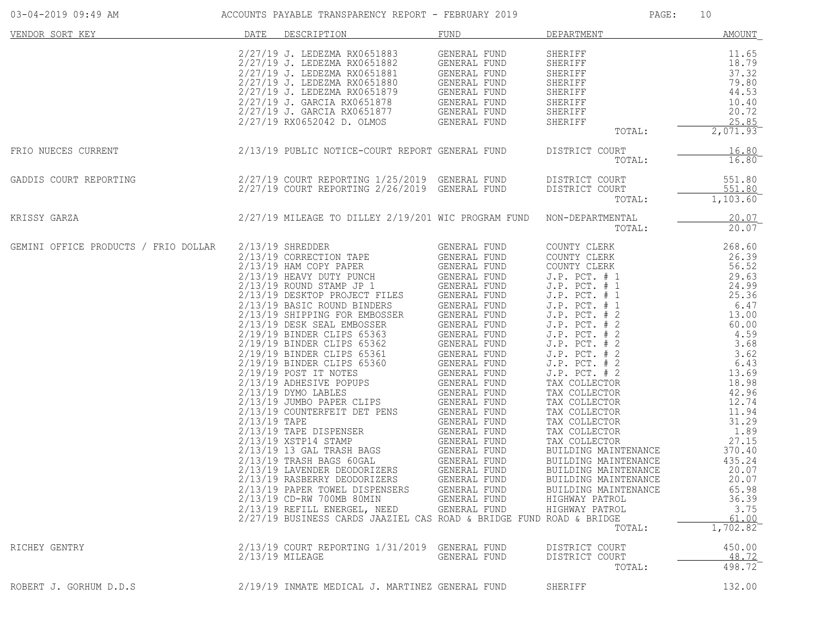| 03-04-2019 09:49 AM                  |                | ACCOUNTS PAYABLE TRANSPARENCY REPORT - FEBRUARY 2019                                                                                                                                                                                                                                                                                                                                                                                                                                                                                                                                                                                                                                                                                                                                                                                                                                                                                                                                                                                                      |                                                                                                                                                                                                                     | PAGE:                                                                                                                                                                                                                                                                                                                                                                                                                                                                                                                                                                        | 10                                                                                                                                                                                                                                                                               |
|--------------------------------------|----------------|-----------------------------------------------------------------------------------------------------------------------------------------------------------------------------------------------------------------------------------------------------------------------------------------------------------------------------------------------------------------------------------------------------------------------------------------------------------------------------------------------------------------------------------------------------------------------------------------------------------------------------------------------------------------------------------------------------------------------------------------------------------------------------------------------------------------------------------------------------------------------------------------------------------------------------------------------------------------------------------------------------------------------------------------------------------|---------------------------------------------------------------------------------------------------------------------------------------------------------------------------------------------------------------------|------------------------------------------------------------------------------------------------------------------------------------------------------------------------------------------------------------------------------------------------------------------------------------------------------------------------------------------------------------------------------------------------------------------------------------------------------------------------------------------------------------------------------------------------------------------------------|----------------------------------------------------------------------------------------------------------------------------------------------------------------------------------------------------------------------------------------------------------------------------------|
| VENDOR SORT KEY                      | DATE           | DESCRIPTION                                                                                                                                                                                                                                                                                                                                                                                                                                                                                                                                                                                                                                                                                                                                                                                                                                                                                                                                                                                                                                               | FUND                                                                                                                                                                                                                | DEPARTMENT                                                                                                                                                                                                                                                                                                                                                                                                                                                                                                                                                                   | AMOUNT                                                                                                                                                                                                                                                                           |
|                                      |                | 2/27/19 J. LEDEZMA RX0651883<br>2/27/19 J. LEDEZMA RX0651882<br>2/27/19 J. LEDEZMA RX0651882<br>2/27/19 J. LEDEZMA RX0651881 GENERAL FUND<br>2/27/19 J. LEDEZMA RX0651880 GENERAL FUND<br>2/27/19 J. GARCIA RX0651879 GENERAL FUND<br>2/27/19 J. GARCIA RX0651873 GENERA                                                                                                                                                                                                                                                                                                                                                                                                                                                                                                                                                                                                                                                                                                                                                                                  | GENERAL FUND                                                                                                                                                                                                        | SHERIFF<br><b>SHERIFF</b><br>SHERIFF<br>SHERIFF<br>SHERIFF<br>SHERIFF<br>SHERIFF<br>SHERIFF<br>TOTAL:                                                                                                                                                                                                                                                                                                                                                                                                                                                                        | 11.65<br>18.79<br>37.32<br>79.80<br>44.53<br>10.40<br>20.72<br>25.85<br>2,071.93                                                                                                                                                                                                 |
| FRIO NUECES CURRENT                  |                | 2/13/19 PUBLIC NOTICE-COURT REPORT GENERAL FUND                                                                                                                                                                                                                                                                                                                                                                                                                                                                                                                                                                                                                                                                                                                                                                                                                                                                                                                                                                                                           |                                                                                                                                                                                                                     | DISTRICT COURT<br>TOTAL:                                                                                                                                                                                                                                                                                                                                                                                                                                                                                                                                                     | 16.80<br>16.80                                                                                                                                                                                                                                                                   |
| GADDIS COURT REPORTING               |                | 2/27/19 COURT REPORTING 1/25/2019 GENERAL FUND<br>2/27/19 COURT REPORTING 2/26/2019 GENERAL FUND                                                                                                                                                                                                                                                                                                                                                                                                                                                                                                                                                                                                                                                                                                                                                                                                                                                                                                                                                          |                                                                                                                                                                                                                     | DISTRICT COURT<br>DISTRICT COURT<br>TOTAL:                                                                                                                                                                                                                                                                                                                                                                                                                                                                                                                                   | 551.80<br>551.80<br>1,103.60                                                                                                                                                                                                                                                     |
| KRISSY GARZA                         |                | 2/27/19 MILEAGE TO DILLEY 2/19/201 WIC PROGRAM FUND                                                                                                                                                                                                                                                                                                                                                                                                                                                                                                                                                                                                                                                                                                                                                                                                                                                                                                                                                                                                       |                                                                                                                                                                                                                     | NON-DEPARTMENTAL<br>TOTAL:                                                                                                                                                                                                                                                                                                                                                                                                                                                                                                                                                   | 20.07<br>20.07                                                                                                                                                                                                                                                                   |
| GEMINI OFFICE PRODUCTS / FRIO DOLLAR | $2/13/19$ TAPE | $2/13/19$ SHREDDER<br>2/13/19 CORRECTION TAPE<br>$2/13/19$ HAM COPY PAPER<br>2/13/19 HAM COPY PAPER<br>2/13/19 HEAVY DUTY PUNCH<br>2/13/19 ROUND STAMP JP 1 GENERAL FUND<br>2/13/19 DESKTOP PROJECT FILES GENERAL FUND<br>2/13/19 DESKTOP PROJECT FILES GENERAL FUND<br>2/13/19 DESK SEAL EMBOSSER GENERAL FUND<br>2/13<br>2/19/19 BINDER CLIPS 65363<br>2/19/19 BINDER CLIPS 65362 GENERAL FUND<br>2/19/19 BINDER CLIPS 65361 GENERAL FUND<br>2/19/19 BINDER CLIPS 65360 GENERAL FUND<br>2/19/19 POST IT NOTES<br>2/13/19 ADHESIVE POPUPS<br>2/13/19 DYMO LABLES<br>2/13/19 JUMBO PAPER CLIPS<br>GENERAL FUND<br>2/13/19 JUMBO PAPER CLIPS<br>GENERAL FUND<br>2/13/19 COUNTERFEIT DET PENS<br>2/13/19 TAPE DISPENSER<br>2/13/19 XSTP14 STAMP<br>2/13/19 13 GAL TRASH BAGS<br>2/13/19 TRASH BAGS 60GAL<br>2/13/19 LAVENDER DEODORIZERS<br>2/13/19 RASBERRY DEODORIZERS<br>2/13/19 PAPER TOWEL DISPENSERS<br>2/13/19 CD-RW 700MB 80MIN<br>2/13/19 REFILL ENERGEL, NEED GENERAL FUND<br>2/27/19 BUSINESS CARDS JAAZIEL CAS ROAD & BRIDGE FUND ROAD & BRIDGE | GENERAL FUND<br>GENERAL FUND<br>GENERAL FUND<br><b>GENERAL FUND</b><br>GENERAL FUND<br>GENERAL FUND<br>GENERAL FUND<br>GENERAL FUND<br>GENERAL FUND<br>GENERAL FUND<br>GENERAL FUND<br>GENERAL FUND<br>GENERAL FUND | COUNTY CLERK<br>COUNTY CLERK<br>COUNTY CLERK<br>$J.P.$ PCT. $# 1$<br>$J.P.$ PCT. $# 1$<br>$J.P.$ PCT. $# 1$<br>$J.P.$ PCT. $# 1$<br>$J.P.$ PCT. $# 2$<br>$J.P.$ PCT. $# 2$<br>J.P. PCT. # 2<br>$J.P.$ PCT. $# 2$<br>$J.P.$ PCT. $# 2$<br>$J.P.$ PCT. $# 2$<br>$J.P.$ PCT. $# 2$<br>TAX COLLECTOR<br>TAX COLLECTOR<br>TAX COLLECTOR<br>TAX COLLECTOR<br>TAX COLLECTOR<br>TAX COLLECTOR<br>TAX COLLECTOR<br>BUILDING MAINTENANCE<br>BUILDING MAINTENANCE<br>BUILDING MAINTENANCE<br>BUILDING MAINTENANCE<br>BUILDING MAINTENANCE<br>HIGHWAY PATROL<br>HIGHWAY PATROL<br>TOTAL: | 268.60<br>26.39<br>56.52<br>29.63<br>24.99<br>25.36<br>6.47<br>13.00<br>60.00<br>4.59<br>3.68<br>3.62<br>6.43<br>13.69<br>18.98<br>42.96<br>12.74<br>11.94<br>31.29<br>1.89<br>27.15<br>370.40<br>435.24<br>20.07<br>20.07<br>65.98<br>36.39<br>3.75<br>$\frac{61.00}{1,702.82}$ |
| RICHEY GENTRY                        |                | 2/13/19 COURT REPORTING 1/31/2019 GENERAL FUND<br>2/13/19 MILEAGE                                                                                                                                                                                                                                                                                                                                                                                                                                                                                                                                                                                                                                                                                                                                                                                                                                                                                                                                                                                         | GENERAL FUND                                                                                                                                                                                                        | DISTRICT COURT<br>DISTRICT COURT<br>TOTAL:                                                                                                                                                                                                                                                                                                                                                                                                                                                                                                                                   | 450.00<br>48.72<br>498.72                                                                                                                                                                                                                                                        |
| ROBERT J. GORHUM D.D.S               |                | 2/19/19 INMATE MEDICAL J. MARTINEZ GENERAL FUND                                                                                                                                                                                                                                                                                                                                                                                                                                                                                                                                                                                                                                                                                                                                                                                                                                                                                                                                                                                                           |                                                                                                                                                                                                                     | SHERIFF                                                                                                                                                                                                                                                                                                                                                                                                                                                                                                                                                                      | 132.00                                                                                                                                                                                                                                                                           |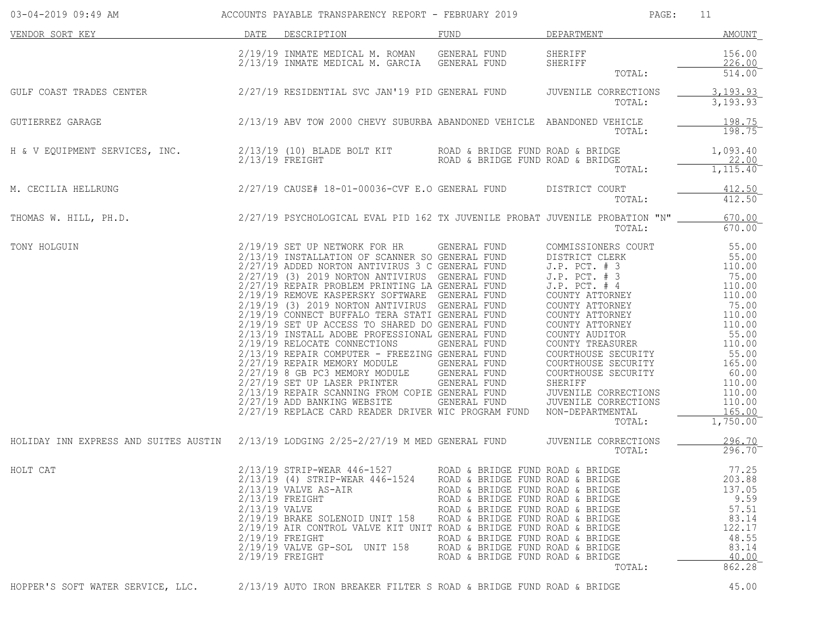| 03-04-2019 09:49 AM                                                                                | ACCOUNTS PAYABLE TRANSPARENCY REPORT - FEBRUARY 2019 |                                                                                                                                                                                                                                                                                                    |                                                                                                                                                                                                                                                                                                                                  | PAGE:<br>11                                |                                                                                                                                                                                             |  |
|----------------------------------------------------------------------------------------------------|------------------------------------------------------|----------------------------------------------------------------------------------------------------------------------------------------------------------------------------------------------------------------------------------------------------------------------------------------------------|----------------------------------------------------------------------------------------------------------------------------------------------------------------------------------------------------------------------------------------------------------------------------------------------------------------------------------|--------------------------------------------|---------------------------------------------------------------------------------------------------------------------------------------------------------------------------------------------|--|
| DATE DESCRIPTION<br>VENDOR SORT KEY                                                                |                                                      |                                                                                                                                                                                                                                                                                                    | FUND                                                                                                                                                                                                                                                                                                                             | DEPARTMENT                                 | AMOUNT                                                                                                                                                                                      |  |
|                                                                                                    |                                                      | 2/19/19 INMATE MEDICAL M. ROMAN GENERAL FUND<br>2/12/12 INMATE MEDICAL M GARCIA GENERAL FUND                                                                                                                                                                                                       |                                                                                                                                                                                                                                                                                                                                  | SHERIFF<br>SHERIFF<br>TOTAL:               | 156.00<br>226.00<br>514.00                                                                                                                                                                  |  |
| GULF COAST TRADES CENTER 2/27/19 RESIDENTIAL SVC JAN'19 PID GENERAL FUND                           |                                                      |                                                                                                                                                                                                                                                                                                    |                                                                                                                                                                                                                                                                                                                                  | JUVENILE CORRECTIONS<br>TOTAL:             | 3, 193.93<br>$3,193.93$ <sup>-</sup>                                                                                                                                                        |  |
| GUTIERREZ GARAGE                                                                                   |                                                      | 2/13/19 ABV TOW 2000 CHEVY SUBURBA ABANDONED VEHICLE ABANDONED VEHICLE                                                                                                                                                                                                                             |                                                                                                                                                                                                                                                                                                                                  | TOTAL:                                     | 198.75<br>$198.75^{-}$                                                                                                                                                                      |  |
| H & V EQUIPMENT SERVICES, INC.                                                                     |                                                      | 2/13/19 (10) BLADE BOLT KIT<br>$2/13/19$ FREIGHT                                                                                                                                                                                                                                                   | ROAD & BRIDGE FUND ROAD & BRIDGE                                                                                                                                                                                                                                                                                                 | ROAD & BRIDGE FUND ROAD & BRIDGE<br>TOTAL: | 1,093.40<br>22.00<br>$1,115.40^-$                                                                                                                                                           |  |
| M. CECILIA HELLRUNG                                                                                |                                                      | 2/27/19 CAUSE# 18-01-00036-CVF E.O GENERAL FUND                                                                                                                                                                                                                                                    |                                                                                                                                                                                                                                                                                                                                  | DISTRICT COURT<br>TOTAL:                   | 412.50<br>$412.50^-$                                                                                                                                                                        |  |
| THOMAS W. HILL, PH.D. 2/27/19 PSYCHOLOGICAL EVAL PID 162 TX JUVENILE PROBAT JUVENILE PROBATION "N" |                                                      |                                                                                                                                                                                                                                                                                                    |                                                                                                                                                                                                                                                                                                                                  | TOTAL:                                     | 670.00<br>$670.00^{-}$                                                                                                                                                                      |  |
| TONY HOLGUIN                                                                                       |                                                      | 2/19/19 SET UP NETWORK FOR HR<br>2/19/19 SET UP NETWORK FOR HR<br>2/17/19 ISSTALLATION OF SCANNER SOENERAL FUND<br>2/27/19 ADDED NORTON ANTIVIRUS 3 C GENERAL FUND<br>3. P. P. CT. + 3<br>2/27/19 (3) 2019 NORTON ANTIVIRUS GENERAL FUND<br>2/27/19 REPLACE CARD READER DRIVER WIC PROGRAM FUND    |                                                                                                                                                                                                                                                                                                                                  | NON-DEPARTMENTAL<br>TOTAL:                 | 55.00<br>55.00<br>110.00<br>75.00<br>110.00<br>110.00<br>75.00<br>110.00<br>110.00<br>55.00<br>110.00<br>55.00<br>165.00<br>60.00<br>110.00<br>110.00<br>110.00<br>165.00<br>$1,750.00^{-}$ |  |
| HOLIDAY INN EXPRESS AND SUITES AUSTIN 2/13/19 LODGING 2/25-2/27/19 M MED GENERAL FUND              |                                                      |                                                                                                                                                                                                                                                                                                    |                                                                                                                                                                                                                                                                                                                                  | JUVENILE CORRECTIONS<br>TOTAL:             | 296.70<br>$296.70^{-}$                                                                                                                                                                      |  |
| HOLT CAT                                                                                           | 2/13/19 VALVE                                        | 2/13/19 STRIP-WEAR 446-1527<br>2/13/19 (4) STRIP-WEAR 446-1524<br>$2/13/19$ VALVE AS-AIR<br>$2/13/19$ FREIGHT<br>2/19/19 BRAKE SOLENOID UNIT 158<br>2/19/19 AIR CONTROL VALVE KIT UNIT ROAD & BRIDGE FUND ROAD & BRIDGE<br>$2/19/19$ FREIGHT<br>2/19/19 VALVE GP-SOL UNIT 158<br>$2/19/19$ FREIGHT | ROAD & BRIDGE FUND ROAD & BRIDGE<br>ROAD & BRIDGE FUND ROAD & BRIDGE<br>ROAD & BRIDGE FUND ROAD & BRIDGE<br>ROAD & BRIDGE FUND ROAD & BRIDGE<br>ROAD & BRIDGE FUND ROAD & BRIDGE<br>ROAD & BRIDGE FUND ROAD & BRIDGE<br>ROAD & BRIDGE FUND ROAD & BRIDGE<br>ROAD & BRIDGE FUND ROAD & BRIDGE<br>ROAD & BRIDGE FUND ROAD & BRIDGE | TOTAL:                                     | 77.25<br>203.88<br>137.05<br>9.59<br>57.51<br>83.14<br>122.17<br>48.55<br>83.14<br>40.00<br>862.28                                                                                          |  |
| HOPPER'S SOFT WATER SERVICE, LLC.                                                                  |                                                      | 2/13/19 AUTO IRON BREAKER FILTER S ROAD & BRIDGE FUND ROAD & BRIDGE                                                                                                                                                                                                                                |                                                                                                                                                                                                                                                                                                                                  |                                            | 45.00                                                                                                                                                                                       |  |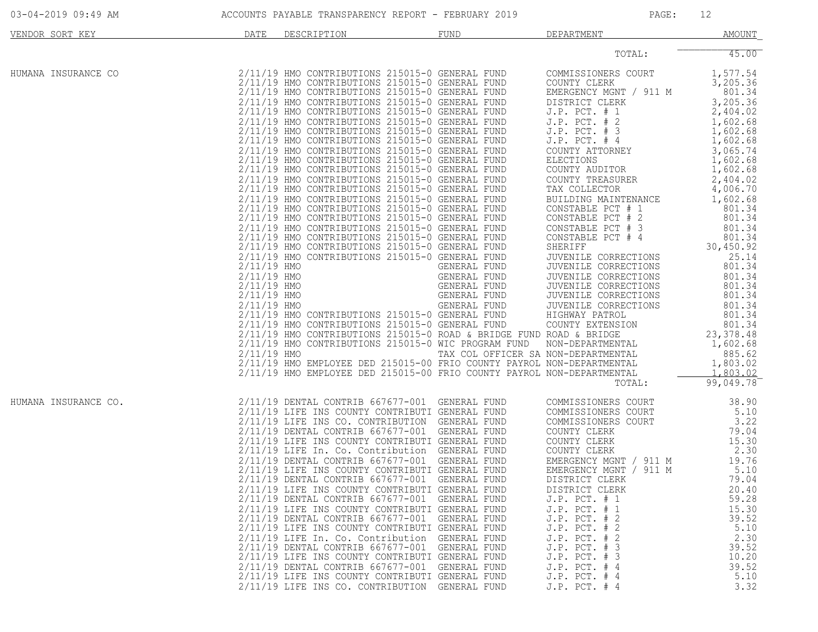| 03-04-2019 09:49 AM  |                                                            | ACCOUNTS PAYABLE TRANSPARENCY REPORT - FEBRUARY 2019                                                                                                                                                                                                                                                                                                                                                                                                                                                                                                                                                                                                                                                                                                                                                                                                                                                                                                                                                                                                                                                                                                                          |                                              |              | PAGE:                                                                                                                                                                                                                                                                                                                                                                                                                                                                                                                                                                                                                                                                                                                                                                                                                                                                                                                                                                              | 12                                                                                                                                                                                                                                                                                                                                                                                                             |
|----------------------|------------------------------------------------------------|-------------------------------------------------------------------------------------------------------------------------------------------------------------------------------------------------------------------------------------------------------------------------------------------------------------------------------------------------------------------------------------------------------------------------------------------------------------------------------------------------------------------------------------------------------------------------------------------------------------------------------------------------------------------------------------------------------------------------------------------------------------------------------------------------------------------------------------------------------------------------------------------------------------------------------------------------------------------------------------------------------------------------------------------------------------------------------------------------------------------------------------------------------------------------------|----------------------------------------------|--------------|------------------------------------------------------------------------------------------------------------------------------------------------------------------------------------------------------------------------------------------------------------------------------------------------------------------------------------------------------------------------------------------------------------------------------------------------------------------------------------------------------------------------------------------------------------------------------------------------------------------------------------------------------------------------------------------------------------------------------------------------------------------------------------------------------------------------------------------------------------------------------------------------------------------------------------------------------------------------------------|----------------------------------------------------------------------------------------------------------------------------------------------------------------------------------------------------------------------------------------------------------------------------------------------------------------------------------------------------------------------------------------------------------------|
| VENDOR SORT KEY      | DATE                                                       | DESCRIPTION                                                                                                                                                                                                                                                                                                                                                                                                                                                                                                                                                                                                                                                                                                                                                                                                                                                                                                                                                                                                                                                                                                                                                                   | FUND                                         |              | DEPARTMENT                                                                                                                                                                                                                                                                                                                                                                                                                                                                                                                                                                                                                                                                                                                                                                                                                                                                                                                                                                         | <b>AMOUNT</b>                                                                                                                                                                                                                                                                                                                                                                                                  |
|                      |                                                            |                                                                                                                                                                                                                                                                                                                                                                                                                                                                                                                                                                                                                                                                                                                                                                                                                                                                                                                                                                                                                                                                                                                                                                               |                                              |              | TOTAL:                                                                                                                                                                                                                                                                                                                                                                                                                                                                                                                                                                                                                                                                                                                                                                                                                                                                                                                                                                             | 45.00                                                                                                                                                                                                                                                                                                                                                                                                          |
| HUMANA INSURANCE CO  | $2/11/19$ HMO<br>2/11/19 HMO<br>2/11/19 HMO<br>2/11/19 HMO | 2/11/19 HMO CONTRIBUTIONS 215015-0 GENERAL FUND<br>2/11/19 HMO CONTRIBUTIONS 215015-0 GENERAL FUND<br>2/11/19 HMO CONTRIBUTIONS 215015-0 GENERAL FUND<br>2/11/19 HMO CONTRIBUTIONS 215015-0 GENERAL FUND<br>2/11/19 HMO CONTRIBUTIONS 215015-0 GENERAL FUND<br>2/11/19 HMO CONTRIBUTIONS 215015-0 GENERAL FUND<br>2/11/19 HMO CONTRIBUTIONS 215015-0 GENERAL FUND<br>2/11/19 HMO CONTRIBUTIONS 215015-0 GENERAL FUND<br>2/11/19 HMO CONTRIBUTIONS 215015-0 GENERAL FUND<br>2/11/19 HMO CONTRIBUTIONS 215015-0 GENERAL FUND<br>2/11/19 HMO CONTRIBUTIONS 215015-0 GENERAL FUND<br>2/11/19 HMO CONTRIBUTIONS 215015-0 GENERAL FUND<br>2/11/19 HMO CONTRIBUTIONS 215015-0 GENERAL FUND<br>2/11/19 HMO CONTRIBUTIONS 215015-0 GENERAL FUND<br>2/11/19 HMO CONTRIBUTIONS 215015-0 GENERAL FUND<br>2/11/19 HMO CONTRIBUTIONS 215015-0 GENERAL FUND<br>2/11/19 HMO CONTRIBUTIONS 215015-0 GENERAL FUND<br>2/11/19 HMO CONTRIBUTIONS 215015-0 GENERAL FUND<br>2/11/19 HMO CONTRIBUTIONS 215015-0 GENERAL FUND<br>2/11/19 HMO CONTRIBUTIONS 215015-0 GENERAL FUND<br>2/11/19 HMO<br>2/11/19 HMO CONTRIBUTIONS 215015-0 GENERAL FUND<br>2/11/19 HMO CONTRIBUTIONS 215015-0 GENERAL FUND | GENERAL FUND<br>GENERAL FUND<br>GENERAL FUND | GENERAL FUND | COMMISSIONERS COURT<br>COUNTY CLERK<br>EMERGENCY MGNT / 911 M<br>DISTRICT CLERK<br>$J.P.$ PCT. $# 1$<br>J.P. PCT. # 2<br>$J.P.$ PCT. $# 3$<br>$J.P.$ PCT. $#4$<br>COUNTY ATTORNEY<br>ELECTIONS<br>COUNTY AUDITOR<br>COUNTY TREASURER<br>TAX COLLECTOR<br>BUILDING MAINTENANCE<br>CONSTABLE PCT # 1<br>CONSTABLE PCT # 2<br>CONSTABLE PCT # 3<br>CONSTABLE PCT # 4<br>CONSTABLE PCT # 4<br>SHERIFF<br>JUVENILE CORRECTIONS 25.14<br>JUVENILE CORRECTIONS<br>JUVENILE CORRECTIONS<br>JUVENILE CORRECTIONS<br>JUVENILE CORRECTIONS<br>JUVENILE CORRECTIONS<br>HIGHWAY PATROL<br>COUNTY EXTENSION<br>2/11/19 HMO CONTRIBUTIONS 215015-0 ROAD & BRIDGE FUND ROAD & BRIDGE<br>2/11/19 HMO CONTRIBUTIONS 215015-0 WIC PROGRAM FUND NON-DEPARTMENTAL<br>2/11/19 HMO CONTRIBUTIONS 215015-0 WIC PROGRAM FUND NON-DEPARTMENTAL<br>2/11/19 HMO EMPLOYEE DED 215015-00 FRIO COUNTY PAYROL NON-DEPARTMENTAL<br>2/11/19 HMO EMPLOYEE DED 215015-00 FRIO COUNTY PAYROL NON-DEPARTMENTAL<br>TOTAL: | 1,577.54<br>3,205.36<br>801.34<br>3,205.36<br>2,404.02<br>1,602.68<br>1,602.68<br>1,602.68<br>3,065.74<br>1,602.68<br>1,602.68<br>2,404.02<br>4,006.70<br>1,602.68<br>801.34<br>801.34<br>801.34<br>801.34<br>30,450.92<br>801.34<br>801.34<br>801.34<br>801.34<br>801.34<br>801.34<br>801.34<br>$\begin{array}{r} 801.34 \\ 23,378.48 \\ 1,602.68 \end{array}$<br>885.62<br>1,803.02<br>1,803.02<br>99,049.78 |
| HUMANA INSURANCE CO. |                                                            | 2/11/19 DENTAL CONTRIB 667677-001 GENERAL FUND<br>2/11/19 LIFE INS COUNTY CONTRIBUTI GENERAL FUND<br>2/11/19 LIFE INS CO. CONTRIBUTION GENERAL FUND<br>2/11/19 DENTAL CONTRIB 667677-001 GENERAL FUND<br>2/11/19 LIFE INS COUNTY CONTRIBUTI GENERAL FUND<br>2/11/19 LIFE In. Co. Contribution GENERAL FUND<br>2/11/19 DENTAL CONTRIB 667677-001 GENERAL FUND<br>2/11/19 LIFE INS COUNTY CONTRIBUTI GENERAL FUND<br>2/11/19 DENTAL CONTRIB 667677-001 GENERAL FUND<br>2/11/19 LIFE INS COUNTY CONTRIBUTI GENERAL FUND<br>2/11/19 DENTAL CONTRIB 667677-001 GENERAL FUND<br>2/11/19 LIFE INS COUNTY CONTRIBUTI GENERAL FUND<br>2/11/19 DENTAL CONTRIB 667677-001 GENERAL FUND<br>2/11/19 LIFE INS COUNTY CONTRIBUTI GENERAL FUND<br>2/11/19 LIFE In. Co. Contribution GENERAL FUND<br>2/11/19 DENTAL CONTRIB 667677-001 GENERAL FUND<br>2/11/19 LIFE INS COUNTY CONTRIBUTI GENERAL FUND<br>2/11/19 DENTAL CONTRIB 667677-001 GENERAL FUND<br>2/11/19 LIFE INS COUNTY CONTRIBUTI GENERAL FUND<br>2/11/19 LIFE INS CO. CONTRIBUTION GENERAL FUND                                                                                                                                  |                                              |              | COMMISSIONERS COURT<br>COMMISSIONERS COURT<br>COMMISSIONERS COURT<br>COUNTY CLERK<br>COUNTY CLERK<br>COUNTY CLERK<br>COUNTY CLERK<br>EMERGENCY MGNT / 911 M<br>EMERGENCY MGNT / 911 M<br>DISTRICT CLERK<br>DISTRICT CLERK<br>$J.P.$ PCT. $# 1$<br>$J.P.$ PCT. $# 1$<br>$J.P.$ PCT. $# 2$<br>J.P. PCT. # 2<br>$J.P.$ PCT. $# 2$<br>$J.P.$ PCT. $# 3$<br>$J.P.$ PCT. $# 3$<br>$J.P.$ PCT. $#4$<br>$J.P.$ PCT. $#4$<br>J.P. PCT. # 4                                                                                                                                                                                                                                                                                                                                                                                                                                                                                                                                                  | 38.90<br>5.10<br>3.22<br>79.04<br>15.30<br>2.30<br>19.76<br>5.10<br>79.04<br>20.40<br>59.28<br>15.30<br>39.52<br>5.10<br>2.30<br>39.52<br>10.20<br>39.52<br>5.10<br>3.32                                                                                                                                                                                                                                       |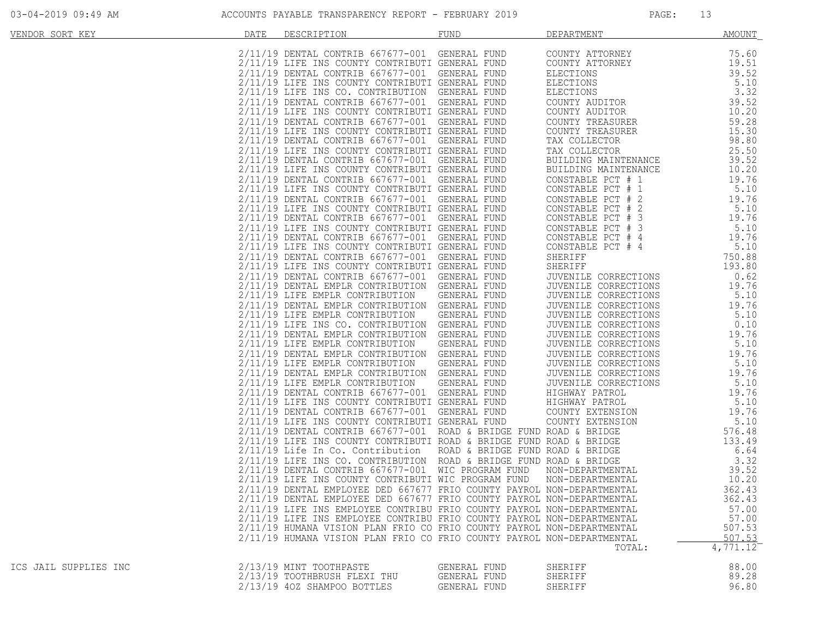| VENDOR SORT KEY       | DATE | DESCRIPTION                                                                                                                                                                                                                                                                                                      | FUND         | DEPARTMENT                                                                                                                                                                | AMOUNT                |
|-----------------------|------|------------------------------------------------------------------------------------------------------------------------------------------------------------------------------------------------------------------------------------------------------------------------------------------------------------------|--------------|---------------------------------------------------------------------------------------------------------------------------------------------------------------------------|-----------------------|
|                       |      | 2/11/19 DENTAL CONTRIB 667677-001 GENERAL FUND<br>2/11/19 LIFE INS COUNTY CONTRIBUTI GENERAL FUND<br>2/11/19 DENTAL CONTRIB 667677-001 GENERAL FUND<br>2/11/19 LIFE INS COUNTY CONTRIBUTI GENERAL FUND<br>2/11/19 LIFE INS CO. CONTRIBUTIO                                                                       |              |                                                                                                                                                                           |                       |
|                       |      |                                                                                                                                                                                                                                                                                                                  |              | COUNTY ATTORNEY                                                                                                                                                           | 75.60                 |
|                       |      |                                                                                                                                                                                                                                                                                                                  |              | COUNTY ATTORNEY<br>COUNTY ATTORNEY<br>ELECTIONS<br>ELECTIONS<br>ELECTIONS<br>COUNTY AUDITOR<br>COUNTY AUDITOR<br>COUNTY TREASURER<br>COUNTY TREASURER<br>COUNTY TREASURER | 19.51                 |
|                       |      |                                                                                                                                                                                                                                                                                                                  |              |                                                                                                                                                                           | 39.52                 |
|                       |      |                                                                                                                                                                                                                                                                                                                  |              |                                                                                                                                                                           | 5.10                  |
|                       |      |                                                                                                                                                                                                                                                                                                                  |              |                                                                                                                                                                           | 3.32                  |
|                       |      |                                                                                                                                                                                                                                                                                                                  |              |                                                                                                                                                                           | 39.52                 |
|                       |      |                                                                                                                                                                                                                                                                                                                  |              |                                                                                                                                                                           | 10.20                 |
|                       |      |                                                                                                                                                                                                                                                                                                                  |              |                                                                                                                                                                           |                       |
|                       |      |                                                                                                                                                                                                                                                                                                                  |              |                                                                                                                                                                           | 59.28                 |
|                       |      |                                                                                                                                                                                                                                                                                                                  |              |                                                                                                                                                                           | 15.30                 |
|                       |      |                                                                                                                                                                                                                                                                                                                  |              | TAX COLLECTOR                                                                                                                                                             | 98.80                 |
|                       |      |                                                                                                                                                                                                                                                                                                                  |              | TAX COLLECTOR                                                                                                                                                             | 25.50                 |
|                       |      |                                                                                                                                                                                                                                                                                                                  |              | BUILDING MAINTENANCE                                                                                                                                                      | 39.52                 |
|                       |      |                                                                                                                                                                                                                                                                                                                  |              | BUILDING MAINTENANCE                                                                                                                                                      | 10.20                 |
|                       |      |                                                                                                                                                                                                                                                                                                                  |              | CONSTABLE PCT # 1                                                                                                                                                         | 19.76                 |
|                       |      |                                                                                                                                                                                                                                                                                                                  |              | CONSTABLE PCT # 1                                                                                                                                                         | 5.10                  |
|                       |      | 2/11/19 DENTAL CONTRIB 667677-001 GENERAL FUND                                                                                                                                                                                                                                                                   |              | CONSTABLE PCT # 2                                                                                                                                                         | 19.76                 |
|                       |      | 2/11/19 LIFE INS COUNTY CONTRIBUTI GENERAL FUND                                                                                                                                                                                                                                                                  |              | CONSTABLE PCT # 2                                                                                                                                                         | 5.10                  |
|                       |      |                                                                                                                                                                                                                                                                                                                  |              |                                                                                                                                                                           | 19.76                 |
|                       |      | 2/11/19 DENTAL CONTRIB 667677-001 GENERAL FUND                                                                                                                                                                                                                                                                   |              | CONSTABLE PCT # 3                                                                                                                                                         |                       |
|                       |      | 2/11/19 LIFE INS COUNTY CONTRIBUTI GENERAL FUND                                                                                                                                                                                                                                                                  |              |                                                                                                                                                                           | 5.10                  |
|                       |      | 2/11/19 DENTAL CONTRIB 667677-001 GENERAL FUND                                                                                                                                                                                                                                                                   |              |                                                                                                                                                                           | 19.76                 |
|                       |      | 2/11/19 LIFE INS COUNTY CONTRIBUTI GENERAL FUND                                                                                                                                                                                                                                                                  |              |                                                                                                                                                                           | 5.10                  |
|                       |      | 2/11/19 DENTAL CONTRIB 667677-001 GENERAL FUND                                                                                                                                                                                                                                                                   |              |                                                                                                                                                                           | 750.88                |
|                       |      | 2/11/19 LIFE INS COUNTY CONTRIBUTI GENERAL FUND                                                                                                                                                                                                                                                                  |              |                                                                                                                                                                           | 193.80                |
|                       |      | 2/11/19 DENTAL CONTRIB 667677-001 GENERAL FUND                                                                                                                                                                                                                                                                   |              | CONSTABLE PCT # 3<br>CONSTABLE PCT # 4<br>CONSTABLE PCT # 4<br>SHERIFF<br>SHERIFF<br>SHERIFF<br>JUVENILE CORRECTIONS                                                      | 0.62                  |
|                       |      | 2/11/19 DENTAL EMPLR CONTRIBUTION GENERAL FUND                                                                                                                                                                                                                                                                   |              | JUVENILE CORRECTIONS                                                                                                                                                      | 19.76                 |
|                       |      | 2/11/19 LIFE EMPLR CONTRIBUTION GENERAL FUND                                                                                                                                                                                                                                                                     |              | JUVENILE CORRECTIONS                                                                                                                                                      | 5.10                  |
|                       |      | 2/11/19 DENTAL EMPLR CONTRIBUTION GENERAL FUND                                                                                                                                                                                                                                                                   |              | JUVENILE CORRECTIONS                                                                                                                                                      | 19.76                 |
|                       |      |                                                                                                                                                                                                                                                                                                                  |              |                                                                                                                                                                           |                       |
|                       |      | 2/11/19 LIFE EMPLR CONTRIBUTION GENERAL FUND                                                                                                                                                                                                                                                                     |              | JUVENILE CORRECTIONS<br>JUVENILE CORRECTIONS                                                                                                                              | 5.10                  |
|                       |      | 2/11/19 LIFE INS CO. CONTRIBUTION GENERAL FUND                                                                                                                                                                                                                                                                   |              |                                                                                                                                                                           | 0.10                  |
|                       |      | 2/11/19 DENTAL EMPLR CONTRIBUTION GENERAL FUND                                                                                                                                                                                                                                                                   |              | JUVENILE CORRECTIONS<br>JUVENILE CORRECTIONS                                                                                                                              | 19.76                 |
|                       |      |                                                                                                                                                                                                                                                                                                                  |              |                                                                                                                                                                           | 5.10                  |
|                       |      |                                                                                                                                                                                                                                                                                                                  |              | JUVENILE CORRECTIONS                                                                                                                                                      | 19.76                 |
|                       |      |                                                                                                                                                                                                                                                                                                                  |              | JUVENILE CORRECTIONS                                                                                                                                                      | 5.10                  |
|                       |      |                                                                                                                                                                                                                                                                                                                  |              | JUVENILE CORRECTIONS                                                                                                                                                      | 19.76                 |
|                       |      |                                                                                                                                                                                                                                                                                                                  |              | JUVENILE CORRECTIONS                                                                                                                                                      | 5.10                  |
|                       |      |                                                                                                                                                                                                                                                                                                                  |              |                                                                                                                                                                           | 19.76                 |
|                       |      |                                                                                                                                                                                                                                                                                                                  |              |                                                                                                                                                                           | 5.10                  |
|                       |      |                                                                                                                                                                                                                                                                                                                  |              |                                                                                                                                                                           | 19.76                 |
|                       |      |                                                                                                                                                                                                                                                                                                                  |              |                                                                                                                                                                           |                       |
|                       |      |                                                                                                                                                                                                                                                                                                                  |              |                                                                                                                                                                           | 5.10                  |
|                       |      |                                                                                                                                                                                                                                                                                                                  |              |                                                                                                                                                                           | 576.48                |
|                       |      |                                                                                                                                                                                                                                                                                                                  |              |                                                                                                                                                                           | 133.49                |
|                       |      |                                                                                                                                                                                                                                                                                                                  |              |                                                                                                                                                                           | 6.64                  |
|                       |      |                                                                                                                                                                                                                                                                                                                  |              |                                                                                                                                                                           | 3.32                  |
|                       |      |                                                                                                                                                                                                                                                                                                                  |              |                                                                                                                                                                           | 39.52                 |
|                       |      |                                                                                                                                                                                                                                                                                                                  |              |                                                                                                                                                                           | 10.20                 |
|                       |      |                                                                                                                                                                                                                                                                                                                  |              |                                                                                                                                                                           | 362.43                |
|                       |      | 2/11/19 DENTAL CONTRIB 667677-001 GENERAL FUND HIGHWAY PATROL<br>2/11/19 LIFE INS COUNTY CONTRIBUTI GENERAL FUND HIGHWAY PATROL<br>2/11/19 DENTAL CONTRIB 667677-001 GENERAL FUND COUNTY EXTENSION<br>2/11/19 LIFE INS COUNTY CONTRIBU<br>2/11/19 DENTAL EMPLOYEE DED 667677 FRIO COUNTY PAYROL NON-DEPARTMENTAL |              |                                                                                                                                                                           | 362.43                |
|                       |      |                                                                                                                                                                                                                                                                                                                  |              |                                                                                                                                                                           |                       |
|                       |      | 2/11/19 LIFE INS EMPLOYEE CONTRIBU FRIO COUNTY PAYROL NON-DEPARTMENTAL                                                                                                                                                                                                                                           |              |                                                                                                                                                                           | 57.00                 |
|                       |      | 2/11/19 LIFE INS EMPLOYEE CONTRIBU FRIO COUNTY PAYROL NON-DEPARTMENTAL                                                                                                                                                                                                                                           |              |                                                                                                                                                                           | 57.00                 |
|                       |      | 2/11/19 HUMANA VISION PLAN FRIO CO FRIO COUNTY PAYROL NON-DEPARTMENTAL                                                                                                                                                                                                                                           |              |                                                                                                                                                                           | 507.53                |
|                       |      | 2/11/19 HUMANA VISION PLAN FRIO CO FRIO COUNTY PAYROL NON-DEPARTMENTAL                                                                                                                                                                                                                                           |              |                                                                                                                                                                           | 507.53                |
|                       |      |                                                                                                                                                                                                                                                                                                                  |              | TOTAL:                                                                                                                                                                    | $4,771.\overline{12}$ |
| ICS JAIL SUPPLIES INC |      | 2/13/19 MINT TOOTHPASTE                                                                                                                                                                                                                                                                                          | GENERAL FUND | SHERIFF                                                                                                                                                                   | 88.00                 |
|                       |      | 2/13/19 TOOTHBRUSH FLEXI THU                                                                                                                                                                                                                                                                                     | GENERAL FUND | SHERIFF                                                                                                                                                                   | 89.28                 |
|                       |      | 2/13/19 40Z SHAMPOO BOTTLES                                                                                                                                                                                                                                                                                      | GENERAL FUND | SHERIFF                                                                                                                                                                   | 96.80                 |
|                       |      |                                                                                                                                                                                                                                                                                                                  |              |                                                                                                                                                                           |                       |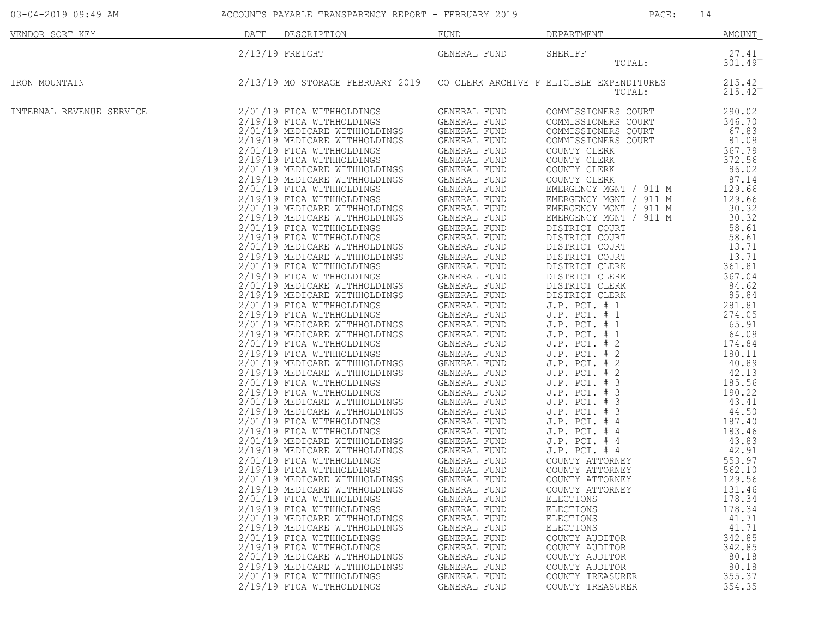| $2/13/19$ FREIGHT<br>GENERAL FUND<br>SHERIFF<br>TOTAL:<br>2/13/19 MO STORAGE FEBRUARY 2019<br>CO CLERK ARCHIVE F ELIGIBLE EXPENDITURES<br>IRON MOUNTAIN<br>TOTAL:<br>INTERNAL REVENUE SERVICE<br>2/01/19 FICA WITHHOLDINGS<br>GENERAL FUND<br>COMMISSIONERS COURT<br>2/19/19 FICA WITHHOLDINGS<br>GENERAL FUND<br>COMMISSIONERS COURT<br>GENERAL FUND<br>2/01/19 MEDICARE WITHHOLDINGS<br>COMMISSIONERS COURT<br>2/19/19 MEDICARE WITHHOLDINGS<br>GENERAL FUND<br>COMMISSIONERS COURT<br>2/01/19 FICA WITHHOLDINGS<br>GENERAL FUND<br>COUNTY CLERK<br>GENERAL FUND<br>2/19/19 FICA WITHHOLDINGS<br>COUNTY CLERK<br>GENERAL FUND<br>2/01/19 MEDICARE WITHHOLDINGS<br>COUNTY CLERK<br>2/19/19 MEDICARE WITHHOLDINGS<br>GENERAL FUND<br>COUNTY CLERK<br>GENERAL FUND<br>2/01/19 FICA WITHHOLDINGS<br>EMERGENCY MGNT / 911 M<br>2/19/19 FICA WITHHOLDINGS<br>GENERAL FUND<br>EMERGENCY MGNT / 911 M<br>2/01/19 MEDICARE WITHHOLDINGS<br>GENERAL FUND<br>EMERGENCY MGNT / 911 M<br>GENERAL FUND<br>2/19/19 MEDICARE WITHHOLDINGS<br>EMERGENCY MGNT / 911 M<br>2/01/19 FICA WITHHOLDINGS<br>GENERAL FUND<br>DISTRICT COURT<br>GENERAL FUND<br>2/19/19 FICA WITHHOLDINGS<br>DISTRICT COURT<br>GENERAL FUND<br>2/01/19 MEDICARE WITHHOLDINGS<br>DISTRICT COURT<br>GENERAL FUND<br>2/19/19 MEDICARE WITHHOLDINGS<br>DISTRICT COURT<br>GENERAL FUND<br>2/01/19 FICA WITHHOLDINGS<br>DISTRICT CLERK<br>2/19/19 FICA WITHHOLDINGS<br>GENERAL FUND<br>DISTRICT CLERK<br>GENERAL FUND<br>2/01/19 MEDICARE WITHHOLDINGS<br>DISTRICT CLERK<br>2/19/19 MEDICARE WITHHOLDINGS<br>GENERAL FUND<br>DISTRICT CLERK<br>GENERAL FUND<br>2/01/19 FICA WITHHOLDINGS<br>$J.P.$ PCT. $# 1$<br>2/19/19 FICA WITHHOLDINGS                                                                                                                                       | <b>AMOUNT</b>                                                                                                                                                                                                                                                                                                                                                                                                                                                                  | DEPARTMENT        | FUND         | DESCRIPTION | DATE | VENDOR SORT KEY |
|------------------------------------------------------------------------------------------------------------------------------------------------------------------------------------------------------------------------------------------------------------------------------------------------------------------------------------------------------------------------------------------------------------------------------------------------------------------------------------------------------------------------------------------------------------------------------------------------------------------------------------------------------------------------------------------------------------------------------------------------------------------------------------------------------------------------------------------------------------------------------------------------------------------------------------------------------------------------------------------------------------------------------------------------------------------------------------------------------------------------------------------------------------------------------------------------------------------------------------------------------------------------------------------------------------------------------------------------------------------------------------------------------------------------------------------------------------------------------------------------------------------------------------------------------------------------------------------------------------------------------------------------------------------------------------------------------------------------------------------------------------------------------------------------------------------------------------|--------------------------------------------------------------------------------------------------------------------------------------------------------------------------------------------------------------------------------------------------------------------------------------------------------------------------------------------------------------------------------------------------------------------------------------------------------------------------------|-------------------|--------------|-------------|------|-----------------|
|                                                                                                                                                                                                                                                                                                                                                                                                                                                                                                                                                                                                                                                                                                                                                                                                                                                                                                                                                                                                                                                                                                                                                                                                                                                                                                                                                                                                                                                                                                                                                                                                                                                                                                                                                                                                                                    | 27.41<br>301.49                                                                                                                                                                                                                                                                                                                                                                                                                                                                |                   |              |             |      |                 |
|                                                                                                                                                                                                                                                                                                                                                                                                                                                                                                                                                                                                                                                                                                                                                                                                                                                                                                                                                                                                                                                                                                                                                                                                                                                                                                                                                                                                                                                                                                                                                                                                                                                                                                                                                                                                                                    | 215.42<br>$215.42^-$                                                                                                                                                                                                                                                                                                                                                                                                                                                           |                   |              |             |      |                 |
| GENERAL FUND<br>2/01/19 MEDICARE WITHHOLDINGS<br>$J.P.$ PCT. $# 1$<br>GENERAL FUND<br>2/19/19 MEDICARE WITHHOLDINGS<br>J.P. PCT. # 1<br>GENERAL FUND<br>2/01/19 FICA WITHHOLDINGS<br>J.P. PCT. # 2<br>2/19/19 FICA WITHHOLDINGS<br>GENERAL FUND<br>J.P. PCT. #<br>2<br>GENERAL FUND<br>2/01/19 MEDICARE WITHHOLDINGS<br>$J.P.$ PCT. $#$<br>2<br>2/19/19 MEDICARE WITHHOLDINGS<br>GENERAL FUND<br>J.P. PCT. # 2<br>GENERAL FUND<br>J.P. PCT. # 3<br>2/01/19 FICA WITHHOLDINGS<br>GENERAL FUND<br>2/19/19 FICA WITHHOLDINGS<br>J.P. PCT. # 3<br>GENERAL FUND<br>2/01/19 MEDICARE WITHHOLDINGS<br>$J.P.$ PCT. $# 3$<br>2/19/19 MEDICARE WITHHOLDINGS<br>GENERAL FUND<br>J.P. PCT. # 3<br>2/01/19 FICA WITHHOLDINGS<br>GENERAL FUND<br>$J.P.$ PCT. $#4$<br>GENERAL FUND<br>J.P. PCT. # 4<br>2/19/19 FICA WITHHOLDINGS<br>GENERAL FUND<br>2/01/19 MEDICARE WITHHOLDINGS<br>J.P. PCT. # 4<br>2/19/19 MEDICARE WITHHOLDINGS<br>GENERAL FUND<br>$J.P.$ PCT. # 4<br>2/01/19 FICA WITHHOLDINGS<br>GENERAL FUND<br>COUNTY ATTORNEY<br>2/19/19 FICA WITHHOLDINGS<br>GENERAL FUND<br>COUNTY ATTORNEY<br>2/01/19 MEDICARE WITHHOLDINGS<br>GENERAL FUND<br>COUNTY ATTORNEY<br>2/19/19 MEDICARE WITHHOLDINGS<br>GENERAL FUND<br>COUNTY ATTORNEY<br>2/01/19 FICA WITHHOLDINGS<br>GENERAL FUND<br><b>ELECTIONS</b><br>2/19/19 FICA WITHHOLDINGS<br>GENERAL FUND<br>ELECTIONS<br>2/01/19 MEDICARE WITHHOLDINGS<br>GENERAL FUND<br>ELECTIONS<br>2/19/19 MEDICARE WITHHOLDINGS<br>GENERAL FUND<br><b>ELECTIONS</b><br>2/01/19 FICA WITHHOLDINGS<br>GENERAL FUND<br>COUNTY AUDITOR<br>2/19/19 FICA WITHHOLDINGS<br>GENERAL FUND<br>COUNTY AUDITOR<br>2/01/19 MEDICARE WITHHOLDINGS<br>GENERAL FUND<br>COUNTY AUDITOR<br>2/19/19 MEDICARE WITHHOLDINGS<br>GENERAL FUND<br>COUNTY AUDITOR<br>2/01/19 FICA WITHHOLDINGS<br>GENERAL FUND<br>COUNTY TREASURER | 290.02<br>346.70<br>67.83<br>81.09<br>367.79<br>372.56<br>86.02<br>87.14<br>129.66<br>129.66<br>30.32<br>30.32<br>58.61<br>58.61<br>13.71<br>13.71<br>361.81<br>367.04<br>84.62<br>85.84<br>281.81<br>274.05<br>65.91<br>64.09<br>174.84<br>180.11<br>40.89<br>42.13<br>185.56<br>190.22<br>43.41<br>44.50<br>187.40<br>183.46<br>43.83<br>42.91<br>553.97<br>562.10<br>129.56<br>131.46<br>178.34<br>178.34<br>41.71<br>41.71<br>342.85<br>342.85<br>80.18<br>80.18<br>355.37 | $J.P.$ PCT. $# 1$ | GENERAL FUND |             |      |                 |

03-04-2019 09:49 AM ACCOUNTS PAYABLE TRANSPARENCY REPORT - FEBRUARY 2019 PAGE: 14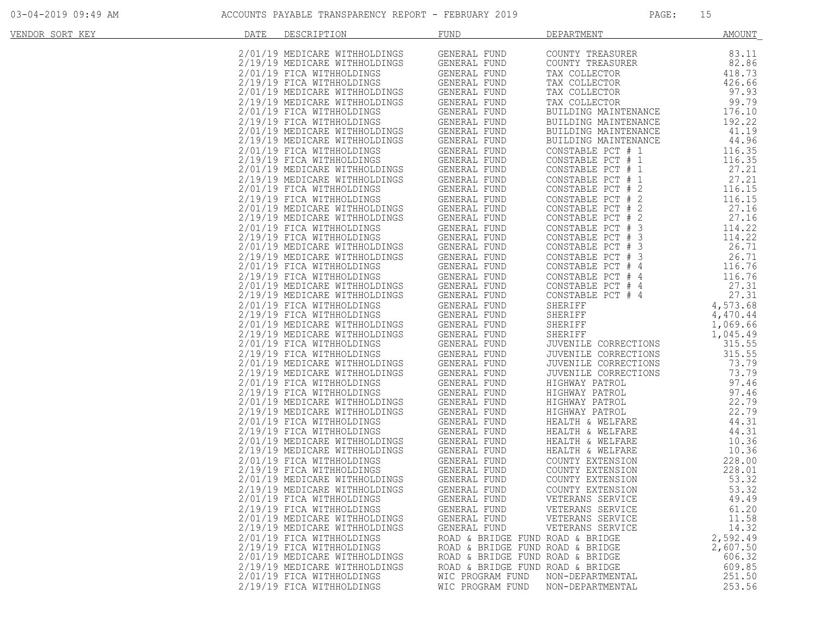| VENDOR SORT KEY | DATE<br>DESCRIPTION                                                                                                                                                                                                                              | <b>FUND</b>                                                                           | DEPARTMENT                                                                             | <u>AMOUNT</u> |
|-----------------|--------------------------------------------------------------------------------------------------------------------------------------------------------------------------------------------------------------------------------------------------|---------------------------------------------------------------------------------------|----------------------------------------------------------------------------------------|---------------|
|                 | 2/01/19 MEDICARE WITHHOLDINGS                                                                                                                                                                                                                    | GENERAL FUND                                                                          | COUNTY TREASURER                                                                       | 83.11         |
|                 |                                                                                                                                                                                                                                                  |                                                                                       |                                                                                        |               |
|                 | 2/19/19 MEDICARE WITHHOLDINGS                                                                                                                                                                                                                    | GENERAL FUND                                                                          | COUNTY TREASURER                                                                       | 82.86         |
|                 | 2/01/19 FICA WITHHOLDINGS                                                                                                                                                                                                                        | GENERAL FUND                                                                          |                                                                                        | 418.73        |
|                 | 2/19/19 FICA WITHHOLDINGS                                                                                                                                                                                                                        | GENERAL FUND                                                                          |                                                                                        | 426.66        |
|                 | 2/01/19 MEDICARE WITHHOLDINGS                                                                                                                                                                                                                    |                                                                                       |                                                                                        | 97.93         |
|                 | 2/19/19 MEDICARE WITHHOLDINGS                                                                                                                                                                                                                    | GENERAL FUND<br>GENERAL FUND                                                          | TAX COLLECTOR<br>TAX COLLECTOR<br>TAX COLLECTOR<br>TAX COLLECTOR                       | 99.79         |
|                 | 2/01/19 FICA WITHHOLDINGS                                                                                                                                                                                                                        | GENERAL FUND                                                                          | BUILDING MAINTENANCE                                                                   | 176.10        |
|                 | 2/19/19 FICA WITHHOLDINGS                                                                                                                                                                                                                        | GENERAL FUND                                                                          | BUILDING MAINTENANCE                                                                   | 192.22        |
|                 |                                                                                                                                                                                                                                                  |                                                                                       | BUILDING MAINTENANCE                                                                   | 41.19         |
|                 |                                                                                                                                                                                                                                                  |                                                                                       | BUILDING MAINTENANCE                                                                   | 44.96         |
|                 | 2/01/19 MEDICARE WITHHOLDINGS<br>2/01/19 MEDICARE WITHHOLDINGS GENERAL FUND<br>2/01/19 MEDICARE WITHHOLDINGS GENERAL FUND<br>2/01/19 MEDICARE WITHHOLDINGS GENERAL FUND<br>2/01/19 MEDICARE WITHHOLDINGS GENERAL FUND<br>2/01/19 MEDICARE WIT    |                                                                                       | CONSTABLE PCT # 1                                                                      | 116.35        |
|                 |                                                                                                                                                                                                                                                  |                                                                                       | CONSTABLE PCT # 1                                                                      | 116.35        |
|                 |                                                                                                                                                                                                                                                  |                                                                                       | CONSTABLE PCT # 1                                                                      | 27.21         |
|                 |                                                                                                                                                                                                                                                  |                                                                                       | CONSTABLE PCT # 1                                                                      | 27.21         |
|                 |                                                                                                                                                                                                                                                  |                                                                                       | CONSTABLE PCT # 2                                                                      | 116.15        |
|                 | 2/19/19 MEDICARE WITHHOLDINGS GENERAL FUND<br>2/01/19 FICA WITHHOLDINGS GENERAL FUND<br>2/19/19 FICA WITHHOLDINGS GENERAL FUND                                                                                                                   |                                                                                       |                                                                                        |               |
|                 | 2/01/19 MEDICARE WITHHOLDINGS                                                                                                                                                                                                                    | GENERAL FUND                                                                          | CONSTABLE PCT # 2                                                                      | 116.15        |
|                 |                                                                                                                                                                                                                                                  | <b>GENERAL FUND</b>                                                                   | CONSTABLE PCT # 2                                                                      | 27.16         |
|                 | 2/19/19 MEDICARE WITHHOLDINGS                                                                                                                                                                                                                    |                                                                                       | CONSTABLE PCT # 2                                                                      | 27.16         |
|                 |                                                                                                                                                                                                                                                  |                                                                                       | CONSTABLE PCT # 3                                                                      | 114.22        |
|                 |                                                                                                                                                                                                                                                  |                                                                                       | CONSTABLE PCT # 3                                                                      | 114.22        |
|                 | 2/01/19 FICA WITHHOLDINGS GENERAL FUND<br>2/19/19 FICA WITHHOLDINGS GENERAL FUND<br>2/01/19 MEDICARE WITHHOLDINGS GENERAL FUND<br>2/19/19 MEDICARE WITHHOLDINGS GENERAL FUND                                                                     |                                                                                       | CONSTABLE PCT # 3                                                                      | 26.71         |
|                 |                                                                                                                                                                                                                                                  | GENERAL FUND<br>GENERAL FUND<br>GENERAL FUND                                          | CONSTABLE PCT # 3                                                                      | 26.71         |
|                 | 2/01/19 FICA WITHHOLDINGS                                                                                                                                                                                                                        |                                                                                       | CONSTABLE PCT # 4                                                                      | 116.76        |
|                 | 2/19/19 FICA WITHHOLDINGS                                                                                                                                                                                                                        |                                                                                       | CONSTABLE PCT # 4                                                                      | 116.76        |
|                 | 2/01/19 MEDICARE WITHHOLDINGS                                                                                                                                                                                                                    | GENERAL FUND                                                                          | CONSTABLE PCT # 4                                                                      | 27.31         |
|                 | 2/19/19 MEDICARE WITHHOLDINGS                                                                                                                                                                                                                    | GENERAL FUND                                                                          | CONSTABLE PCT # 4                                                                      | 27.31         |
|                 |                                                                                                                                                                                                                                                  |                                                                                       | SHERIFF                                                                                | 4,573.68      |
|                 |                                                                                                                                                                                                                                                  |                                                                                       | SHERIFF<br>SHERIFF<br>SHERIFF                                                          | 4,470.44      |
|                 |                                                                                                                                                                                                                                                  |                                                                                       |                                                                                        | 1,069.66      |
|                 |                                                                                                                                                                                                                                                  |                                                                                       |                                                                                        | 1,045.49      |
|                 | 2/01/19 FICA WITHHOLDINGS<br>2/01/19 FICA WITHHOLDINGS<br>2/01/19 FICA WITHHOLDINGS GENERAL FUND<br>2/01/19 MEDICARE WITHHOLDINGS GENERAL FUND<br>2/01/19 FICA WITHHOLDINGS GENERAL FUND<br>2/01/19 MEDICARE WITHHOLDINGS GENERAL FUND<br>2/01/1 |                                                                                       | JUVENILE CORRECTIONS                                                                   | 315.55        |
|                 |                                                                                                                                                                                                                                                  |                                                                                       | JUVENILE CORRECTIONS                                                                   | 315.55        |
|                 |                                                                                                                                                                                                                                                  |                                                                                       | JUVENILE CORRECTIONS                                                                   | 73.79         |
|                 |                                                                                                                                                                                                                                                  |                                                                                       | JUVENILE CORRECTIONS                                                                   | 73.79         |
|                 | 2/01/19 FICA WITHHOLDINGS                                                                                                                                                                                                                        | CENERAL FUND<br>GENERAL FUND<br>INGS GENERAL FUND<br>INGS GENERAL FUND<br>THERAL FUND |                                                                                        | 97.46         |
|                 | 2/19/19 FICA WITHHOLDINGS                                                                                                                                                                                                                        |                                                                                       | HIGHWAY PATROL<br>HIGHWAY PATROL<br>HIGHWAY PATROL<br>HIGHWAY PATROL<br>HUGHWAY PATROL | 97.46         |
|                 | 2/01/19 MEDICARE WITHHOLDINGS                                                                                                                                                                                                                    |                                                                                       |                                                                                        | 22.79         |
|                 |                                                                                                                                                                                                                                                  |                                                                                       |                                                                                        |               |
|                 | 2/19/19 MEDICARE WITHHOLDINGS                                                                                                                                                                                                                    |                                                                                       |                                                                                        | 22.79         |
|                 | 2/01/19 FICA WITHHOLDINGS                                                                                                                                                                                                                        | GENERAL FUND                                                                          | HEALTH & WELFARE                                                                       | 44.31         |
|                 | 2/19/19 FICA WITHHOLDINGS                                                                                                                                                                                                                        | GENERAL FUND                                                                          | HEALTH & WELFARE                                                                       | 44.31         |
|                 | 2/01/19 MEDICARE WITHHOLDINGS                                                                                                                                                                                                                    | GENERAL FUND<br>GENERAL FUND                                                          | HEALTH & WELFARE                                                                       | 10.36         |
|                 | 2/19/19 MEDICARE WITHHOLDINGS                                                                                                                                                                                                                    |                                                                                       | HEALTH & WELFARE                                                                       | 10.36         |
|                 | 2/01/19 FICA WITHHOLDINGS<br>NGS<br>NGS                                                                                                                                                                                                          | GENERAL FUND                                                                          | COUNTY EXTENSION                                                                       | 228.00        |
|                 | 2/19/19 FICA WITHHOLDINGS                                                                                                                                                                                                                        | GENERAL FUND                                                                          | COUNTY EXTENSION                                                                       | 228.01        |
|                 | 2/01/19 MEDICARE WITHHOLDINGS                                                                                                                                                                                                                    | GENERAL FUND                                                                          | COUNTY EXTENSION                                                                       | 53.32         |
|                 | 2/19/19 MEDICARE WITHHOLDINGS                                                                                                                                                                                                                    | GENERAL FUND                                                                          | COUNTY EXTENSION                                                                       | 53.32         |
|                 | 2/01/19 FICA WITHHOLDINGS                                                                                                                                                                                                                        | GENERAL FUND                                                                          | VETERANS SERVICE                                                                       | 49.49         |
|                 | 2/19/19 FICA WITHHOLDINGS                                                                                                                                                                                                                        | GENERAL FUND                                                                          | VETERANS SERVICE                                                                       | 61.20         |
|                 | 2/01/19 MEDICARE WITHHOLDINGS                                                                                                                                                                                                                    | GENERAL FUND                                                                          | VETERANS SERVICE                                                                       | 11.58         |
|                 | 2/19/19 MEDICARE WITHHOLDINGS                                                                                                                                                                                                                    | GENERAL FUND                                                                          | VETERANS SERVICE                                                                       | 14.32         |
|                 | 2/01/19 FICA WITHHOLDINGS                                                                                                                                                                                                                        |                                                                                       | ROAD & BRIDGE FUND ROAD & BRIDGE                                                       | 2,592.49      |
|                 | 2/19/19 FICA WITHHOLDINGS                                                                                                                                                                                                                        |                                                                                       | ROAD & BRIDGE FUND ROAD & BRIDGE                                                       | 2,607.50      |
|                 | 2/01/19 MEDICARE WITHHOLDINGS                                                                                                                                                                                                                    |                                                                                       | ROAD & BRIDGE FUND ROAD & BRIDGE                                                       | 606.32        |
|                 | 2/19/19 MEDICARE WITHHOLDINGS                                                                                                                                                                                                                    |                                                                                       | ROAD & BRIDGE FUND ROAD & BRIDGE                                                       | 609.85        |
|                 | 2/01/19 FICA WITHHOLDINGS                                                                                                                                                                                                                        | WIC PROGRAM FUND                                                                      | NON-DEPARTMENTAL                                                                       | 251.50        |
|                 |                                                                                                                                                                                                                                                  |                                                                                       |                                                                                        |               |
|                 | 2/19/19 FICA WITHHOLDINGS                                                                                                                                                                                                                        | WIC PROGRAM FUND                                                                      | NON-DEPARTMENTAL                                                                       | 253.56        |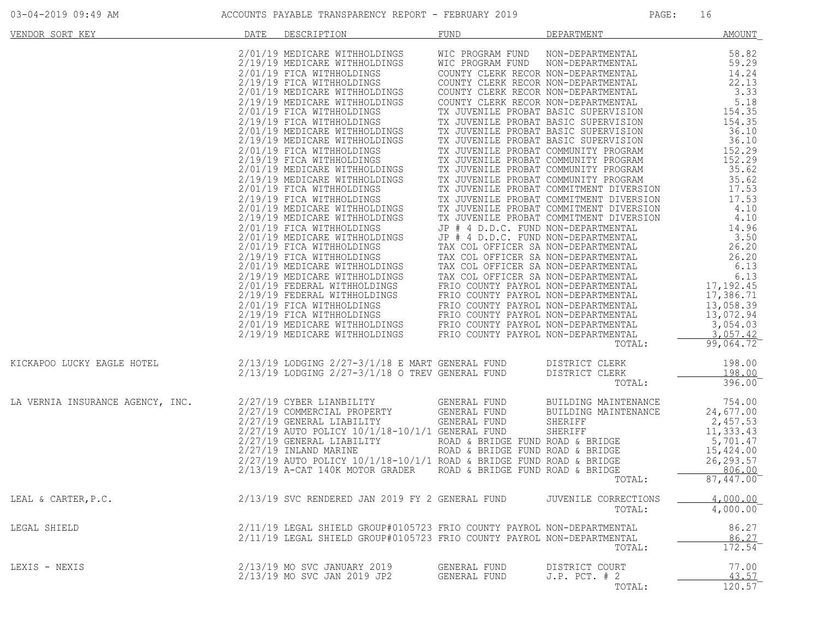| VENDOR SORT KEY                  | DATE | DESCRIPTION                                                                                                                                                                                                                                                                                                                                                                                                      | FUND                         | DEPARTMENT                                             | <b>AMOUNT</b>                           |
|----------------------------------|------|------------------------------------------------------------------------------------------------------------------------------------------------------------------------------------------------------------------------------------------------------------------------------------------------------------------------------------------------------------------------------------------------------------------|------------------------------|--------------------------------------------------------|-----------------------------------------|
|                                  |      | $\begin{tabular}{ l c c c c} \hline \textbf{DATE} & \textbf{BREREMENTENT} & \textbf{MMOMN} & \textbf{NMD} & \textbf{MMRMINENT} & \textbf{MMOMN} \\ \hline 2/13/19 & \textbf{MEDICARE NITHHOLDINGS} & \textbf{WIC PROGRAM FUND NION RON-DFPARMINENIL} & 58.29 \\ \hline 2/13/19 & \textbf{MEDICARE NITHHOLDINGS} & \textbf{OONIFY CIERK RICON NOL-DEPARMINENIL} & 12.21 \\ \hline 2/10/19 & \textbf{MEDICATER} &$ |                              | TOTAL:                                                 | 99,064.72                               |
| KICKAPOO LUCKY EAGLE HOTEL       |      | $2/13/19$ LODGING $2/27-3/1/18$ E MART GENERAL FUND DISTRICT CLERK $2/13/19$ LODGING $2/27-3/1/18$ O TREV GENERAL FUND DISTRICT CLERK                                                                                                                                                                                                                                                                            |                              | DISTRICT CLERK<br>TOTAL:                               | 198.00<br>198.00<br>396.00              |
| LA VERNIA INSURANCE AGENCY, INC. |      | 2/27/19 CYBER LIANBILITY GENERAL FUND<br>2/27/19 COMMERCIAL PROPERTY GENERAL FUND<br>2/27/19 GENERAL LIABILITY GENERAL FUND                                                                                                                                                                                                                                                                                      |                              | BUILDING MAINTENANCE<br>BUILDING MAINTENANCE<br>TOTAL: | 754.00<br>24,677.00<br>87, 447.00       |
| LEAL & CARTER, P.C.              |      | 2/13/19 SVC RENDERED JAN 2019 FY 2 GENERAL FUND                                                                                                                                                                                                                                                                                                                                                                  |                              | JUVENILE CORRECTIONS<br>TOTAL:                         | 4,000.00<br>$4,000.00^-$                |
| LEGAL SHIELD                     |      | 2/11/19 LEGAL SHIELD GROUP#0105723 FRIO COUNTY PAYROL NON-DEPARTMENTAL<br>2/11/19 LEGAL SHIELD GROUP#0105723 FRIO COUNTY PAYROL NON-DEPARTMENTAL                                                                                                                                                                                                                                                                 |                              | TOTAL:                                                 | 86.27<br>86.27<br>$172.54$ <sup>-</sup> |
| LEXIS - NEXIS                    |      | 2/13/19 MO SVC JANUARY 2019<br>2/13/19 MO SVC JAN 2019 JP2                                                                                                                                                                                                                                                                                                                                                       | GENERAL FUND<br>GENERAL FUND | DISTRICT COURT<br>$J.P.$ PCT. $# 2$<br>TOTAL:          | 77.00<br>43.57<br>120.57                |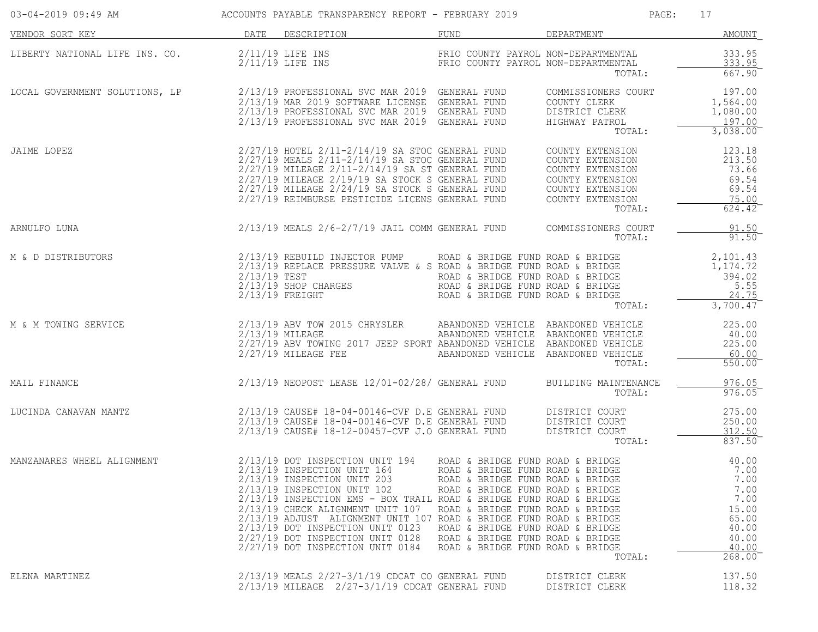| 03-04-2019 09:49 AM            |              | ACCOUNTS PAYABLE TRANSPARENCY REPORT - FEBRUARY 2019                                                                                                                                                                                                                                                                                                                                                                      |                                                                                                                                                                                                                                                                                              | PAGE:                                                                                                                          | 17                                                                                           |
|--------------------------------|--------------|---------------------------------------------------------------------------------------------------------------------------------------------------------------------------------------------------------------------------------------------------------------------------------------------------------------------------------------------------------------------------------------------------------------------------|----------------------------------------------------------------------------------------------------------------------------------------------------------------------------------------------------------------------------------------------------------------------------------------------|--------------------------------------------------------------------------------------------------------------------------------|----------------------------------------------------------------------------------------------|
| VENDOR SORT KEY                |              | DATE DESCRIPTION                                                                                                                                                                                                                                                                                                                                                                                                          | FUND                                                                                                                                                                                                                                                                                         | DEPARTMENT                                                                                                                     | <b>AMOUNT</b>                                                                                |
| LIBERTY NATIONAL LIFE INS. CO. |              | 2/11/19 LIFE INS<br>$2/11/19$ LIFE INS                                                                                                                                                                                                                                                                                                                                                                                    | FRIO COUNTY PAYROL NON-DEPARTMENTAL<br>FRIO COUNTY PAYROL NON-DEPARTMENTAL                                                                                                                                                                                                                   | TOTAL:                                                                                                                         | 333.95<br>333.95<br>667.90                                                                   |
| LOCAL GOVERNMENT SOLUTIONS, LP |              | 2/13/19 PROFESSIONAL SVC MAR 2019 GENERAL FUND<br>2/13/19 MAR 2019 SOFTWARE LICENSE GENERAL FUND<br>2/13/19 PROFESSIONAL SVC MAR 2019 GENERAL FUND<br>2/13/19 PROFESSIONAL SVC MAR 2019 GENERAL FUND                                                                                                                                                                                                                      |                                                                                                                                                                                                                                                                                              | COMMISSIONERS COURT<br>COUNTY CLERK<br>DISTRICT CLERK<br>HIGHWAY PATROL<br>TOTAL:                                              | 197.00<br>1,564.00<br>1,080.00<br>197.00<br>3,038.00                                         |
| JAIME LOPEZ                    |              | $2/27/19$ HOTEL $2/11-2/14/19$ SA STOC GENERAL FUND<br>2/27/19 MEALS 2/11-2/14/19 SA STOC GENERAL FUND<br>2/27/19 MILEAGE 2/11-2/14/19 SA ST GENERAL FUND<br>$2/27/19$ MILEAGE $2/19/19$ SA STOCK S GENERAL FUND<br>2/27/19 MILEAGE 2/24/19 SA STOCK S GENERAL FUND<br>2/27/19 REIMBURSE PESTICIDE LICENS GENERAL FUND                                                                                                    |                                                                                                                                                                                                                                                                                              | COUNTY EXTENSION<br>COUNTY EXTENSION<br>COUNTY EXTENSION<br>COUNTY EXTENSION<br>COUNTY EXTENSION<br>COUNTY EXTENSION<br>TOTAL: | 123.18<br>213.50<br>73.66<br>69.54<br>69.54<br>75.00<br>$624.42^{-}$                         |
| ARNULFO LUNA                   |              | 2/13/19 MEALS 2/6-2/7/19 JAIL COMM GENERAL FUND                                                                                                                                                                                                                                                                                                                                                                           |                                                                                                                                                                                                                                                                                              | COMMISSIONERS COURT<br>TOTAL:                                                                                                  | 91.50<br>$91.50$ <sup>-</sup>                                                                |
| M & D DISTRIBUTORS             | 2/13/19 TEST | 2/13/19 REBUILD INJECTOR PUMP<br>2/13/19 REPLACE PRESSURE VALVE & S ROAD & BRIDGE FUND ROAD & BRIDGE<br>2/13/19 SHOP CHARGES<br>2/13/19 FREIGHT                                                                                                                                                                                                                                                                           | ROAD & BRIDGE FUND ROAD & BRIDGE<br>ROAD & BRIDGE FUND ROAD & BRIDGE<br>ROAD & BRIDGE FUND ROAD & BRIDGE<br>ROAD & BRIDGE FUND ROAD & BRIDGE                                                                                                                                                 | TOTAL:                                                                                                                         | 2,101.43<br>1,174.72<br>394.02<br>5.55<br>24.75<br>3,700.47                                  |
| M & M TOWING SERVICE           |              | 2/13/19 ABV TOW 2015 CHRYSLER<br>2/13/19 MILEAGE<br>2/27/19 ABV TOWING 2017 JEEP SPORT ABANDONED VEHICLE ABANDONED VEHICLE<br>$2/27/19$ MILEAGE FEE                                                                                                                                                                                                                                                                       | ABANDONED VEHICLE ABANDONED VEHICLE<br>ABANDONED VEHICLE ABANDONED VEHICLE<br>ABANDONED VEHICLE ABANDONED VEHICLE                                                                                                                                                                            | TOTAL:                                                                                                                         | 225.00<br>40.00<br>225.00<br>60.00<br>$550.00^{-}$                                           |
| MAIL FINANCE                   |              | 2/13/19 NEOPOST LEASE 12/01-02/28/ GENERAL FUND                                                                                                                                                                                                                                                                                                                                                                           |                                                                                                                                                                                                                                                                                              | BUILDING MAINTENANCE<br>TOTAL:                                                                                                 | 976.05<br>976.05                                                                             |
| LUCINDA CANAVAN MANTZ          |              | 2/13/19 CAUSE# 18-04-00146-CVF D.E GENERAL FUND<br>2/13/19 CAUSE# 18-04-00146-CVF D.E GENERAL FUND<br>2/13/19 CAUSE# 18-12-00457-CVF J.O GENERAL FUND                                                                                                                                                                                                                                                                     |                                                                                                                                                                                                                                                                                              | DISTRICT COURT<br>DISTRICT COURT<br>DISTRICT COURT<br>TOTAL:                                                                   | 275.00<br>250.00<br>312.50<br>837.50                                                         |
| MANZANARES WHEEL ALIGNMENT     |              | 2/13/19 DOT INSPECTION UNIT 194<br>2/13/19 INSPECTION UNIT 164<br>2/13/19 INSPECTION UNIT 203<br>2/13/19 INSPECTION UNIT 102<br>2/13/19 INSPECTION EMS - BOX TRAIL ROAD & BRIDGE FUND ROAD & BRIDGE<br>2/13/19 CHECK ALIGNMENT UNIT 107<br>2/13/19 ADJUST ALIGNMENT UNIT 107 ROAD & BRIDGE FUND ROAD & BRIDGE<br>2/13/19 DOT INSPECTION UNIT 0123<br>2/27/19 DOT INSPECTION UNIT 0128<br>2/27/19 DOT INSPECTION UNIT 0184 | ROAD & BRIDGE FUND ROAD & BRIDGE<br>ROAD & BRIDGE FUND ROAD & BRIDGE<br>ROAD & BRIDGE FUND ROAD & BRIDGE<br>ROAD & BRIDGE FUND ROAD & BRIDGE<br>ROAD & BRIDGE FUND ROAD & BRIDGE<br>ROAD & BRIDGE FUND ROAD & BRIDGE<br>ROAD & BRIDGE FUND ROAD & BRIDGE<br>ROAD & BRIDGE FUND ROAD & BRIDGE | TOTAL:                                                                                                                         | 40.00<br>7.00<br>7.00<br>7.00<br>7.00<br>15.00<br>65.00<br>40.00<br>40.00<br>40.00<br>268.00 |
| ELENA MARTINEZ                 |              | $2/13/19$ MEALS $2/27-3/1/19$ CDCAT CO GENERAL FUND<br>$2/13/19$ MILEAGE $2/27-3/1/19$ CDCAT GENERAL FUND                                                                                                                                                                                                                                                                                                                 |                                                                                                                                                                                                                                                                                              | DISTRICT CLERK<br>DISTRICT CLERK                                                                                               | 137.50<br>118.32                                                                             |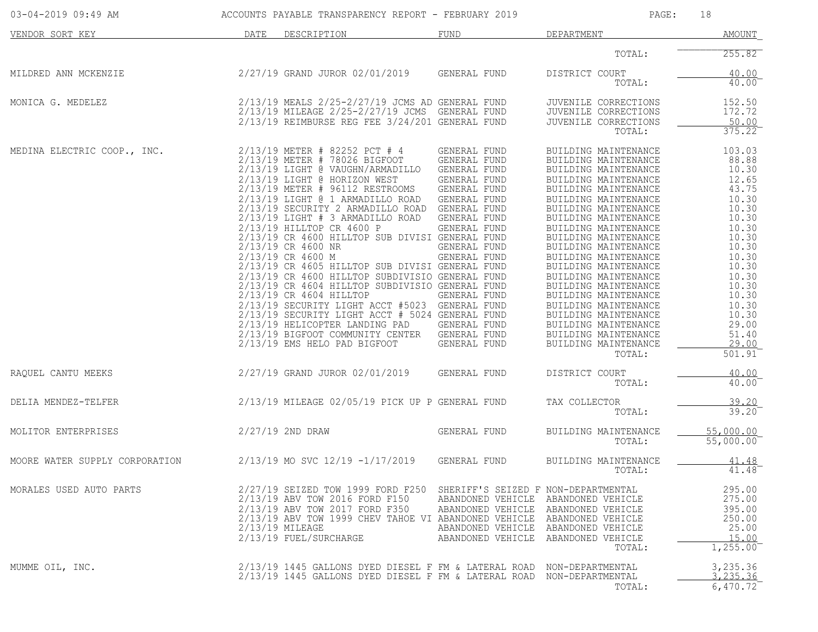| 03-04-2019 09:49 AM            |      | ACCOUNTS PAYABLE TRANSPARENCY REPORT - FEBRUARY 2019                                                                                                                                                                                                                                                                                                                                                                                                                                                                                                                                                                                                                                                                                                                                                                        |                                                                                                                                                                                                                              | PAGE:                                                                                                                                                                                                                                                                                                                                                                                                                                                                                                                          | 18                                                                                                                                                                                                   |
|--------------------------------|------|-----------------------------------------------------------------------------------------------------------------------------------------------------------------------------------------------------------------------------------------------------------------------------------------------------------------------------------------------------------------------------------------------------------------------------------------------------------------------------------------------------------------------------------------------------------------------------------------------------------------------------------------------------------------------------------------------------------------------------------------------------------------------------------------------------------------------------|------------------------------------------------------------------------------------------------------------------------------------------------------------------------------------------------------------------------------|--------------------------------------------------------------------------------------------------------------------------------------------------------------------------------------------------------------------------------------------------------------------------------------------------------------------------------------------------------------------------------------------------------------------------------------------------------------------------------------------------------------------------------|------------------------------------------------------------------------------------------------------------------------------------------------------------------------------------------------------|
| VENDOR SORT KEY                | DATE | DESCRIPTION                                                                                                                                                                                                                                                                                                                                                                                                                                                                                                                                                                                                                                                                                                                                                                                                                 | FUND                                                                                                                                                                                                                         | DEPARTMENT                                                                                                                                                                                                                                                                                                                                                                                                                                                                                                                     | AMOUNT                                                                                                                                                                                               |
|                                |      |                                                                                                                                                                                                                                                                                                                                                                                                                                                                                                                                                                                                                                                                                                                                                                                                                             |                                                                                                                                                                                                                              | TOTAL:                                                                                                                                                                                                                                                                                                                                                                                                                                                                                                                         | 255.82                                                                                                                                                                                               |
| MILDRED ANN MCKENZIE           |      | 2/27/19 GRAND JUROR 02/01/2019                                                                                                                                                                                                                                                                                                                                                                                                                                                                                                                                                                                                                                                                                                                                                                                              | GENERAL FUND                                                                                                                                                                                                                 | DISTRICT COURT<br>TOTAL:                                                                                                                                                                                                                                                                                                                                                                                                                                                                                                       | 40.00<br>$40.00^{-}$                                                                                                                                                                                 |
| MONICA G. MEDELEZ              |      | 2/13/19 MEALS 2/25-2/27/19 JCMS AD GENERAL FUND<br>2/13/19 MILEAGE 2/25-2/27/19 JCMS GENERAL FUND<br>$2/13/19$ REIMBURSE REG FEE $3/24/201$ GENERAL FUND                                                                                                                                                                                                                                                                                                                                                                                                                                                                                                                                                                                                                                                                    |                                                                                                                                                                                                                              | JUVENILE CORRECTIONS<br>JUVENILE CORRECTIONS<br>JUVENILE CORRECTIONS<br>TOTAL:                                                                                                                                                                                                                                                                                                                                                                                                                                                 | 152.50<br>172.72<br>50.00<br>375.22                                                                                                                                                                  |
| MEDINA ELECTRIC COOP., INC.    |      | 2/13/19 METER # 82252 PCT # 4<br>2/13/19 METER # 78026 BIGFOOT<br>2/13/19 LIGHT @ VAUGHN/ARMADILLO<br>2/13/19 LIGHT @ HORIZON WEST<br>2/13/19 METER # 96112 RESTROOMS<br>2/13/19 LIGHT @ 1 ARMADILLO ROAD<br>2/13/19 SECURITY 2 ARMADILLO ROAD GENERAL FUND<br>$2/13/19$ LIGHT # 3 ARMADILLO ROAD<br>2/13/19 HILLTOP CR 4600 P<br>2/13/19 CR 4600 HILLTOP SUB DIVISI GENERAL FUND<br>2/13/19 CR 4600 NR<br>2/13/19 CR 4600 M<br>2/13/19 CR 4605 HILLTOP SUB DIVISI GENERAL FUND<br>2/13/19 CR 4600 HILLTOP SUBDIVISIO GENERAL FUND<br>2/13/19 CR 4604 HILLTOP SUBDIVISIO GENERAL FUND<br>2/13/19 CR 4604 HILLTOP<br>2/13/19 SECURITY LIGHT ACCT #5023 GENERAL FUND<br>2/13/19 SECURITY LIGHT ACCT # 5024 GENERAL FUND<br>2/13/19 HELICOPTER LANDING PAD<br>2/13/19 BIGFOOT COMMUNITY CENTER<br>2/13/19 EMS HELO PAD BIGFOOT | GENERAL FUND<br>GENERAL FUND<br>GENERAL FUND<br>GENERAL FUND<br>GENERAL FUND<br>GENERAL FUND<br>GENERAL FUND<br>GENERAL FUND<br>GENERAL FUND<br>GENERAL FUND<br>GENERAL FUND<br>GENERAL FUND<br>GENERAL FUND<br>GENERAL FUND | BUILDING MAINTENANCE<br>BUILDING MAINTENANCE<br>BUILDING MAINTENANCE<br>BUILDING MAINTENANCE<br>BUILDING MAINTENANCE<br>BUILDING MAINTENANCE<br>BUILDING MAINTENANCE<br>BUILDING MAINTENANCE<br>BUILDING MAINTENANCE<br>BUILDING MAINTENANCE<br>BUILDING MAINTENANCE<br>BUILDING MAINTENANCE<br>BUILDING MAINTENANCE<br>BUILDING MAINTENANCE<br>BUILDING MAINTENANCE<br>BUILDING MAINTENANCE<br>BUILDING MAINTENANCE<br>BUILDING MAINTENANCE<br>BUILDING MAINTENANCE<br>BUILDING MAINTENANCE<br>BUILDING MAINTENANCE<br>TOTAL: | 103.03<br>88.88<br>10.30<br>12.65<br>43.75<br>10.30<br>10.30<br>10.30<br>10.30<br>10.30<br>10.30<br>10.30<br>10.30<br>10.30<br>10.30<br>10.30<br>10.30<br>10.30<br>29.00<br>51.40<br>29.00<br>501.91 |
| RAQUEL CANTU MEEKS             |      | 2/27/19 GRAND JUROR 02/01/2019                                                                                                                                                                                                                                                                                                                                                                                                                                                                                                                                                                                                                                                                                                                                                                                              | GENERAL FUND                                                                                                                                                                                                                 | DISTRICT COURT<br>TOTAL:                                                                                                                                                                                                                                                                                                                                                                                                                                                                                                       | 40.00<br>40.00                                                                                                                                                                                       |
| DELIA MENDEZ-TELFER            |      | 2/13/19 MILEAGE 02/05/19 PICK UP P GENERAL FUND                                                                                                                                                                                                                                                                                                                                                                                                                                                                                                                                                                                                                                                                                                                                                                             |                                                                                                                                                                                                                              | TAX COLLECTOR<br>TOTAL:                                                                                                                                                                                                                                                                                                                                                                                                                                                                                                        | 39.20<br>39.20                                                                                                                                                                                       |
| MOLITOR ENTERPRISES            |      | 2/27/19 2ND DRAW                                                                                                                                                                                                                                                                                                                                                                                                                                                                                                                                                                                                                                                                                                                                                                                                            | GENERAL FUND                                                                                                                                                                                                                 | BUILDING MAINTENANCE<br>TOTAL:                                                                                                                                                                                                                                                                                                                                                                                                                                                                                                 | 55,000.00<br>55,000.00                                                                                                                                                                               |
| MOORE WATER SUPPLY CORPORATION |      | 2/13/19 MO SVC 12/19 -1/17/2019                                                                                                                                                                                                                                                                                                                                                                                                                                                                                                                                                                                                                                                                                                                                                                                             | GENERAL FUND                                                                                                                                                                                                                 | BUILDING MAINTENANCE<br>TOTAL:                                                                                                                                                                                                                                                                                                                                                                                                                                                                                                 | <u>41.48</u><br>41.48                                                                                                                                                                                |
| MORALES USED AUTO PARTS        |      | 2/27/19 SEIZED TOW 1999 FORD F250<br>2/13/19 ABV TOW 2016 FORD F150<br>2/13/19 ABV TOW 2017 FORD F350<br>2/13/19 ABV TOW 1999 CHEV TAHOE VI ABANDONED VEHICLE<br>2/13/19 MILEAGE<br>2/13/19 FUEL/SURCHARGE                                                                                                                                                                                                                                                                                                                                                                                                                                                                                                                                                                                                                  | SHERIFF'S SEIZED F NON-DEPARTMENTAL<br>ABANDONED VEHICLE<br>ABANDONED VEHICLE                                                                                                                                                | ABANDONED VEHICLE ABANDONED VEHICLE<br>ABANDONED VEHICLE<br>ABANDONED VEHICLE<br>ABANDONED VEHICLE ABANDONED VEHICLE<br>ABANDONED VEHICLE<br>TOTAL:                                                                                                                                                                                                                                                                                                                                                                            | 295.00<br>275.00<br>395.00<br>250.00<br>25.00<br>15.00<br>1,255.00                                                                                                                                   |
| MUMME OIL, INC.                |      | $2/13/19$ 1445 GALLONS DYED DIESEL F FM & LATERAL ROAD<br>2/13/19 1445 GALLONS DYED DIESEL F FM & LATERAL ROAD                                                                                                                                                                                                                                                                                                                                                                                                                                                                                                                                                                                                                                                                                                              |                                                                                                                                                                                                                              | NON-DEPARTMENTAL<br>NON-DEPARTMENTAL<br>TOTAL:                                                                                                                                                                                                                                                                                                                                                                                                                                                                                 | 3,235.36<br>3, 235, 36<br>6,470.72                                                                                                                                                                   |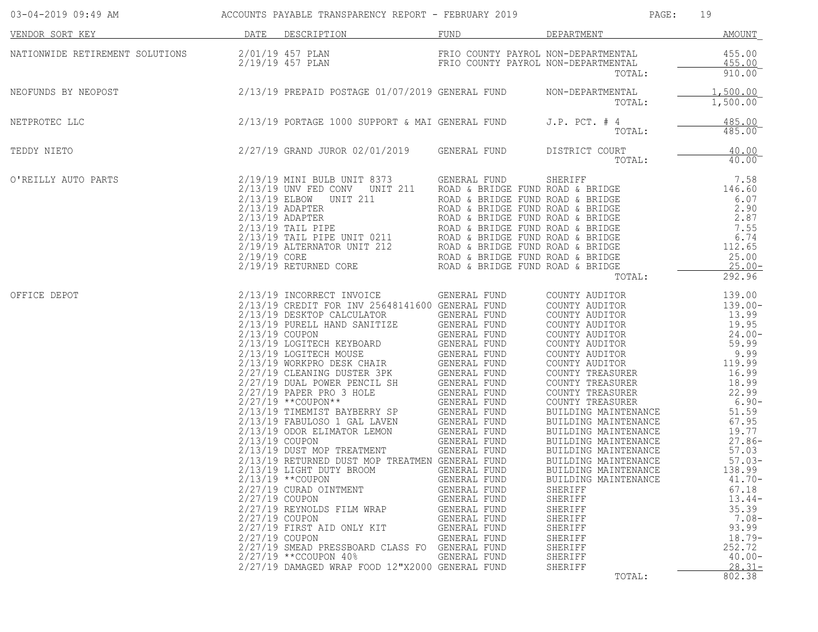| 03-04-2019 09:49 AM ACCOUNTS PAYABLE TRANSPARENCY REPORT - FEBRUARY 2019 |                                                      |                                                                                                                                                                                                                                                                                                                                                                                                                        |                                                                                                                              | PAGE:                                                                                                                                                                                                                                                                                                                                                                                                                                                | 19                                                                                                                                                                                                                                                                                   |
|--------------------------------------------------------------------------|------------------------------------------------------|------------------------------------------------------------------------------------------------------------------------------------------------------------------------------------------------------------------------------------------------------------------------------------------------------------------------------------------------------------------------------------------------------------------------|------------------------------------------------------------------------------------------------------------------------------|------------------------------------------------------------------------------------------------------------------------------------------------------------------------------------------------------------------------------------------------------------------------------------------------------------------------------------------------------------------------------------------------------------------------------------------------------|--------------------------------------------------------------------------------------------------------------------------------------------------------------------------------------------------------------------------------------------------------------------------------------|
| VENDOR SORT KEY                                                          |                                                      | DATE DESCRIPTION                                                                                                                                                                                                                                                                                                                                                                                                       | FUND                                                                                                                         | DEPARTMENT                                                                                                                                                                                                                                                                                                                                                                                                                                           | AMOUNT                                                                                                                                                                                                                                                                               |
| NATIONWIDE RETIREMENT SOLUTIONS                                          | $2/01/19$ 457 PLAN                                   | 2/19/19 457 PLAN                                                                                                                                                                                                                                                                                                                                                                                                       |                                                                                                                              | FRIO COUNTY PAYROL NON-DEPARTMENTAL<br>FRIO COUNTY PAYROL NON-DEPARTMENTAL<br>TOTAL:                                                                                                                                                                                                                                                                                                                                                                 | $455.00$<br>$455.00$<br>$910.00$ <sup>-</sup>                                                                                                                                                                                                                                        |
| NEOFUNDS BY NEOPOST                                                      |                                                      | 2/13/19 PREPAID POSTAGE 01/07/2019 GENERAL FUND NON-DEPARTMENTAL                                                                                                                                                                                                                                                                                                                                                       |                                                                                                                              | TOTAL:                                                                                                                                                                                                                                                                                                                                                                                                                                               | 1,500.00<br>1,500.00                                                                                                                                                                                                                                                                 |
| NETPROTEC LLC                                                            |                                                      | $2/13/19$ PORTAGE 1000 SUPPORT & MAI GENERAL FUND J.P. PCT. # $\frac{4}{\pi}$                                                                                                                                                                                                                                                                                                                                          |                                                                                                                              | TOTAL:                                                                                                                                                                                                                                                                                                                                                                                                                                               | 485.00<br>485.00                                                                                                                                                                                                                                                                     |
| TEDDY NIETO                                                              |                                                      | $2/27/19$ GRAND JUROR 02/01/2019 GENERAL FUND DISTRICT COURT TOTAL:                                                                                                                                                                                                                                                                                                                                                    |                                                                                                                              |                                                                                                                                                                                                                                                                                                                                                                                                                                                      | $\frac{40.00}{40.00}$<br>$40.00^{-}$                                                                                                                                                                                                                                                 |
| O'REILLY AUTO PARTS                                                      |                                                      | $\begin{tabular}{l c c c c c} \multicolumn{3}{c}{\textbf{PARTS}} & 2/19/19 & \text{MINI BULB UNIT 8373} & \text{GENERAL FUND} & \text{SHERIFF} & 7.58 \\ \multicolumn{2}{c}{2/13/19 & \text{UND} & \text{END} & \text{ROD} & \text{B RIDGE FUND ROD} & \text{S HEDCE} & 7.58 \\ \multicolumn{2}{c}{2/13/19 & \text{ELBOW} & \text{UNIT 211} } & \text{ROAD & & BRIDGE FUND ROD & & BRIDGE} & 146.60 \\ \multicolumn{2$ |                                                                                                                              |                                                                                                                                                                                                                                                                                                                                                                                                                                                      | 292.96                                                                                                                                                                                                                                                                               |
| OFFICE DEPOT                                                             | 2/27/19 COUPON<br>2/27/19 COUPON<br>$2/27/19$ COUPON | 2/13/19 RETURNED DUST MOP TREATMEN GENERAL FUND<br>2/13/19 LIGHT DUTY BROOM GENERAL FUND<br>$2/13/19$ **COUPON<br>2/27/19 CURAD OINTMENT<br>2/27/19 REYNOLDS FILM WRAP<br>$2/27/19$ FIRST AID ONLY KIT<br>2/27/19 SMEAD PRESSBOARD CLASS FO GENERAL FUND<br>2/27/19 ** CCOUPON 40%<br>2/27/19 DAMAGED WRAP FOOD 12"X2000 GENERAL FUND                                                                                  | GENERAL FUND<br>GENERAL FUND<br>GENERAL FUND<br>GENERAL FUND<br>GENERAL FUND<br>GENERAL FUND<br>GENERAL FUND<br>GENERAL FUND | COUNTY TREASURER<br>COUNTY TREASURER<br>BUILDING MAINTENANCE<br>BUILDING MAINTENANCE<br>51.59<br>SUILDING MAINTENANCE<br>67.95<br>PUILDING MAINTENANCE<br>BUILDING MAINTENANCE<br>BUILDING MAINTENANCE<br>BUILDING MAINTENANCE<br>57.03<br>BUILDING MAINTENANCE<br>BUILDING MAINTENANCE<br>BUILDING MAINTENANCE<br>BUILDING MAINTENANCE<br>SHERIFF<br>SHERIFF<br>SHERIFF<br>SHERIFF<br>SHERIFF<br>SHERIFF<br>SHERIFF<br>SHERIFF<br>SHERIFF<br>TOTAL: | 139.00<br>$139.00-$<br>13.99<br>$19.95$<br>$24.00-$<br>$9.99$<br>119.99<br>16.99<br>18.99<br>$6.90-$<br>$27.86-$<br>$27.86 -$<br>57.03<br>$57.03-$<br>138.99<br>$41.70-$<br>67.18<br>$13.44-$<br>35.39<br>$7.08-$<br>93.99<br>$18.79-$<br>252.72<br>$40.00 -$<br>$28.31 -$<br>802.38 |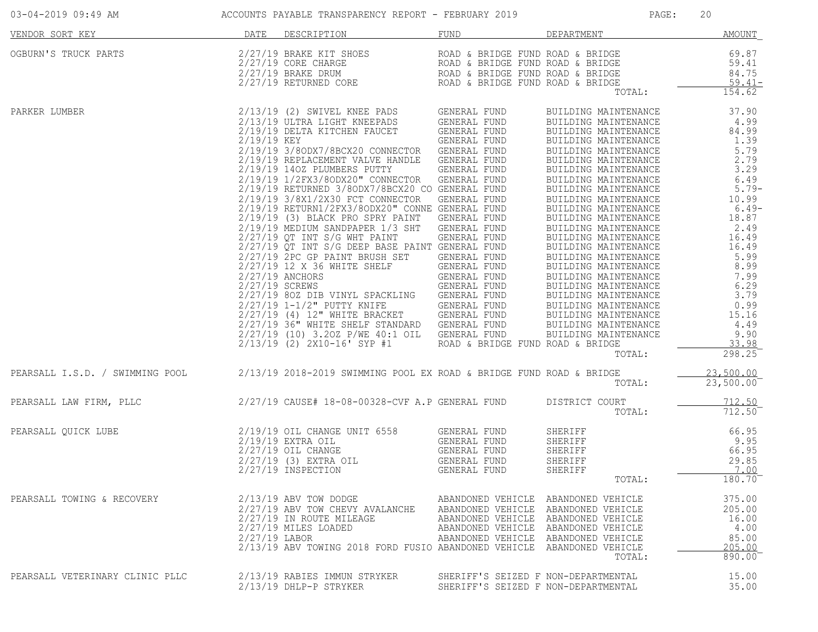| 03-04-2019 09:49 AM                                                                                                                                                                                                                                                                                                                                                                                                                                       |               | ACCOUNTS PAYABLE TRANSPARENCY REPORT - FEBRUARY 2019                                                                                                                                                                                                                                                             |                                                                            | PAGE:                                                                                                                       | 20                                                                   |
|-----------------------------------------------------------------------------------------------------------------------------------------------------------------------------------------------------------------------------------------------------------------------------------------------------------------------------------------------------------------------------------------------------------------------------------------------------------|---------------|------------------------------------------------------------------------------------------------------------------------------------------------------------------------------------------------------------------------------------------------------------------------------------------------------------------|----------------------------------------------------------------------------|-----------------------------------------------------------------------------------------------------------------------------|----------------------------------------------------------------------|
| VENDOR SORT KEY                                                                                                                                                                                                                                                                                                                                                                                                                                           |               | DATE DESCRIPTION                                                                                                                                                                                                                                                                                                 | FUND                                                                       | <b>DEPARTMENT</b>                                                                                                           | AMOUNT                                                               |
| $\begin{tabular}{lllllllllllll} \textsc{OGBURN} \text{'}\textsc{s} & \textsc{PRRTS} & \textsc{PQCD} \text{RORD} \text{ } & \textsc{ROD} \text{ } & \textsc{ROD} \text{ } & \textsc{ROD} \text{ } & \textsc{ROD} \text{ } & \textsc{ROD} \text{ } & \textsc{ROD} \text{ } & \textsc{ROD} \text{ } & \textsc{ROD} \text{ } & \textsc{ROD} \text{ } & \textsc{ROD} \text{ } & \textsc{ROD} \text{ } & \textsc{ROD} \text{ } & \textsc{ROD} \text{ } & \text$ |               |                                                                                                                                                                                                                                                                                                                  |                                                                            | TOTAL:                                                                                                                      | 154.62                                                               |
| PARKER LUMBER                                                                                                                                                                                                                                                                                                                                                                                                                                             |               | 2/13/19 (2) SWIVEL KNEE PADS<br>2/13/19 ULTRA LIGHT KNEEPADS<br>2/19/19 ULTRA LIGHT KNEEPADS<br>2/19/19 DELTA KITCHEN FAUCET<br>2/19/19 KEY<br>2/19/19 KEY<br>2/19/19 KEY<br>2/19/19 REPLACEMENT VALUE RANDLE GENERAL FUND<br>2/19/19 REPLACE<br>$2/13/19$ (2) $2x10-16$ SYP #1 ROAD & BRIDGE FUND ROAD & BRIDGE |                                                                            | BUILDING MAINTENANCE 37.90<br>TOTAL:                                                                                        | 33.98<br>298.25                                                      |
| PEARSALL I.S.D. / SWIMMING POOL 2/13/19 2018-2019 SWIMMING POOL EX ROAD & BRIDGE FUND ROAD & BRIDGE                                                                                                                                                                                                                                                                                                                                                       |               |                                                                                                                                                                                                                                                                                                                  |                                                                            | TOTAL:                                                                                                                      | 23,500.00<br>$23,500.00^-$                                           |
| PEARSALL LAW FIRM, PLLC                                                                                                                                                                                                                                                                                                                                                                                                                                   |               | 2/27/19 CAUSE# 18-08-00328-CVF A.P GENERAL FUND DISTRICT COURT                                                                                                                                                                                                                                                   |                                                                            | TOTAL:                                                                                                                      | 712.50<br>712.50                                                     |
| PEARSALL QUICK LUBE                                                                                                                                                                                                                                                                                                                                                                                                                                       |               | 2/19/19 OIL CHANGE UNIT 6558 GENERAL FUND<br>2/19/19 EXTRA OIL GENERAL FUND<br>2/27/19 (3) EXTRA OIL GENERAL FUND<br>2/27/19 (3) EXTRA OIL GENERAL FUND<br>2/27/19 INSPECTION                                                                                                                                    | GENERAL FUND                                                               | SHERIFF 66.95<br>SHERIFF 9.95<br>SHERIFF 66.95<br>SHERIFF 29.85<br>SHERIFF 7.00<br>TOTAL:                                   | $180.70^{-}$                                                         |
| PEARSALL TOWING & RECOVERY                                                                                                                                                                                                                                                                                                                                                                                                                                | 2/27/19 LABOR | 2/13/19 ABV TOW DODGE<br>2/27/19 ABV TOW CHEVY AVALANCHE<br>2/27/19 IN ROUTE MILEAGE<br>2/27/19 MILES LOADED<br>2/13/19 ABV TOWING 2018 FORD FUSIO ABANDONED VEHICLE ABANDONED VEHICLE                                                                                                                           | ABANDONED VEHICLE ABANDONED VEHICLE<br>ABANDONED VEHICLE ABANDONED VEHICLE | ABANDONED VEHICLE ABANDONED VEHICLE<br>ABANDONED VEHICLE ABANDONED VEHICLE<br>ABANDONED VEHICLE ABANDONED VEHICLE<br>TOTAL: | 375.00<br>205.00<br>16.00<br>4.00<br>85.00<br>205.00<br>$890.00^{-}$ |
| PEARSALL VETERINARY CLINIC PLLC                                                                                                                                                                                                                                                                                                                                                                                                                           |               | 2/13/19 RABIES IMMUN STRYKER<br>2/13/19 DHLP-P STRYKER                                                                                                                                                                                                                                                           | SHERIFF'S SEIZED F NON-DEPARTMENTAL<br>SHERIFF'S SEIZED F NON-DEPARTMENTAL |                                                                                                                             | 15.00<br>35.00                                                       |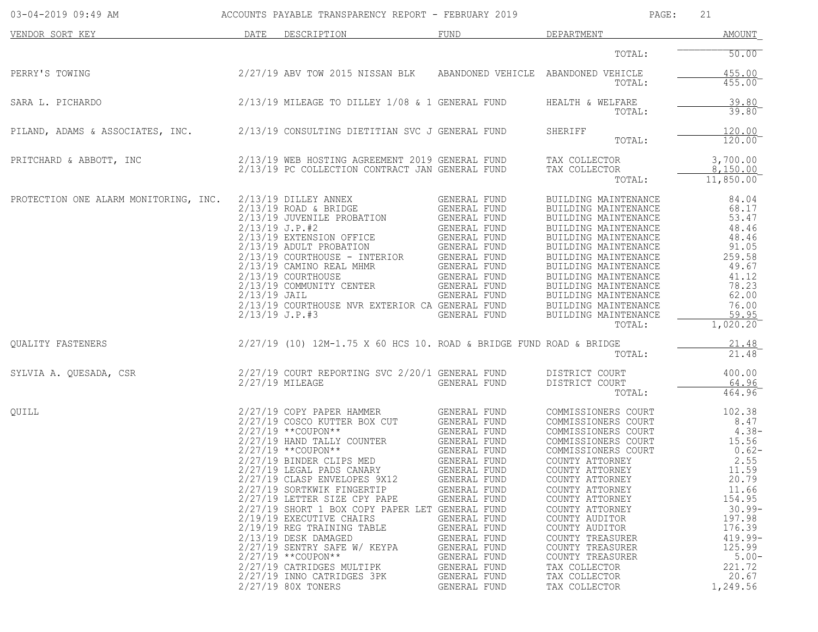| 03-04-2019 09:49 AM                   |                                    | ACCOUNTS PAYABLE TRANSPARENCY REPORT - FEBRUARY 2019                                                                                                                                                                                                                                                                                                                                                                                                                                                                                                                         |                                                                                                                                                                                                                                                                                                     | PAGE:                                                                                                                                                                                                                                                                                                                                                                                | 21                                                                                                                                                                                            |
|---------------------------------------|------------------------------------|------------------------------------------------------------------------------------------------------------------------------------------------------------------------------------------------------------------------------------------------------------------------------------------------------------------------------------------------------------------------------------------------------------------------------------------------------------------------------------------------------------------------------------------------------------------------------|-----------------------------------------------------------------------------------------------------------------------------------------------------------------------------------------------------------------------------------------------------------------------------------------------------|--------------------------------------------------------------------------------------------------------------------------------------------------------------------------------------------------------------------------------------------------------------------------------------------------------------------------------------------------------------------------------------|-----------------------------------------------------------------------------------------------------------------------------------------------------------------------------------------------|
| VENDOR SORT KEY                       | DATE                               | DESCRIPTION                                                                                                                                                                                                                                                                                                                                                                                                                                                                                                                                                                  | FUND                                                                                                                                                                                                                                                                                                | DEPARTMENT                                                                                                                                                                                                                                                                                                                                                                           | AMOUNT                                                                                                                                                                                        |
|                                       |                                    |                                                                                                                                                                                                                                                                                                                                                                                                                                                                                                                                                                              |                                                                                                                                                                                                                                                                                                     | TOTAL:                                                                                                                                                                                                                                                                                                                                                                               | 50.00                                                                                                                                                                                         |
| PERRY'S TOWING                        |                                    | 2/27/19 ABV TOW 2015 NISSAN BLK ABANDONED VEHICLE ABANDONED VEHICLE                                                                                                                                                                                                                                                                                                                                                                                                                                                                                                          |                                                                                                                                                                                                                                                                                                     | TOTAL:                                                                                                                                                                                                                                                                                                                                                                               | 455.00<br>455.00                                                                                                                                                                              |
| SARA L. PICHARDO                      |                                    | $2/13/19$ MILEAGE TO DILLEY $1/08$ & 1 GENERAL FUND                                                                                                                                                                                                                                                                                                                                                                                                                                                                                                                          |                                                                                                                                                                                                                                                                                                     | HEALTH & WELFARE<br>TOTAL:                                                                                                                                                                                                                                                                                                                                                           | 39.80<br>39.80                                                                                                                                                                                |
| PILAND, ADAMS & ASSOCIATES, INC.      |                                    | 2/13/19 CONSULTING DIETITIAN SVC J GENERAL FUND                                                                                                                                                                                                                                                                                                                                                                                                                                                                                                                              |                                                                                                                                                                                                                                                                                                     | SHERIFF<br>TOTAL:                                                                                                                                                                                                                                                                                                                                                                    | 120.00<br>120.00                                                                                                                                                                              |
| PRITCHARD & ABBOTT, INC               |                                    | 2/13/19 WEB HOSTING AGREEMENT 2019 GENERAL FUND<br>2/13/19 PC COLLECTION CONTRACT JAN GENERAL FUND                                                                                                                                                                                                                                                                                                                                                                                                                                                                           |                                                                                                                                                                                                                                                                                                     | TAX COLLECTOR<br>TAX COLLECTOR<br>TOTAL:                                                                                                                                                                                                                                                                                                                                             | 3,700.00<br>8,150.00<br>11,850.00                                                                                                                                                             |
| PROTECTION ONE ALARM MONITORING, INC. | $2/13/19$ JAIL<br>$2/13/19$ J.P.#3 | $2/13/19$ DILLEY ANNEX<br>$2/13/19$ ROAD & BRIDGE<br>2/13/19 JUVENILE PROBATION<br>$2/13/19$ J.P.#2<br>2/13/19 EXTENSION OFFICE<br>2/13/19 ADULT PROBATION GENERAL FUND<br>2/13/19 COURTHOUSE - INTERIOR GENERAL FUND<br>2/13/19 CAMINO REAL MHMR<br>2/13/19 COURTHOUSE<br>2/13/19 COMMUNITY CENTER<br>2/13/19 COURTHOUSE NVR EXTERIOR CA GENERAL FUND                                                                                                                                                                                                                       | GENERAL FUND<br>GENERAL FUND<br>GENERAL FUND<br>GENERAL FUND<br>GENERAL FUND<br>GENERAL FUND<br>GENERAL FUND<br>GENERAL FUND<br>GENERAL FUND<br>GENERAL FUND                                                                                                                                        | BUILDING MAINTENANCE<br>BUILDING MAINTENANCE<br>BUILDING MAINTENANCE<br>BUILDING MAINTENANCE<br>BUILDING MAINTENANCE<br>BUILDING MAINTENANCE<br>BUILDING MAINTENANCE<br>BUILDING MAINTENANCE<br>BUILDING MAINTENANCE<br>BUILDING MAINTENANCE<br>BUILDING MAINTENANCE<br>BUILDING MAINTENANCE<br>BUILDING MAINTENANCE<br>TOTAL:                                                       | 84.04<br>68.17<br>53.47<br>48.46<br>48.46<br>91.05<br>259.58<br>49.67<br>41.12<br>78.23<br>62.00<br>76.00<br>59.95<br>1,020.20                                                                |
| <b>OUALITY FASTENERS</b>              |                                    | $2/27/19$ (10) $12M-1.75$ X 60 HCS 10. ROAD & BRIDGE FUND ROAD & BRIDGE                                                                                                                                                                                                                                                                                                                                                                                                                                                                                                      |                                                                                                                                                                                                                                                                                                     | TOTAL:                                                                                                                                                                                                                                                                                                                                                                               | 21.48<br>21.48                                                                                                                                                                                |
| SYLVIA A. QUESADA, CSR                |                                    | 2/27/19 COURT REPORTING SVC 2/20/1 GENERAL FUND<br>2/27/19 MILEAGE                                                                                                                                                                                                                                                                                                                                                                                                                                                                                                           | GENERAL FUND                                                                                                                                                                                                                                                                                        | DISTRICT COURT<br>DISTRICT COURT<br>TOTAL:                                                                                                                                                                                                                                                                                                                                           | 400.00<br>64.96<br>464.96                                                                                                                                                                     |
| OUILL                                 |                                    | 2/27/19 COPY PAPER HAMMER<br>2/27/19 COSCO KUTTER BOX CUT<br>$2/27/19$ **COUPON**<br>2/27/19 HAND TALLY COUNTER<br>$2/27/19$ **COUPON**<br>2/27/19 BINDER CLIPS MED<br>2/27/19 LEGAL PADS CANARY<br>2/27/19 CLASP ENVELOPES 9X12<br>2/27/19 SORTKWIK FINGERTIP<br>2/27/19 LETTER SIZE CPY PAPE<br>2/27/19 SHORT 1 BOX COPY PAPER LET GENERAL FUND<br>2/19/19 EXECUTIVE CHAIRS<br>2/19/19 REG TRAINING TABLE<br>2/13/19 DESK DAMAGED<br>2/27/19 SENTRY SAFE W/ KEYPA<br>$2/27/19$ **COUPON**<br>2/27/19 CATRIDGES MULTIPK<br>2/27/19 INNO CATRIDGES 3PK<br>2/27/19 80X TONERS | GENERAL FUND<br>GENERAL FUND<br>GENERAL FUND<br><b>GENERAL FUND</b><br>GENERAL FUND<br>GENERAL FUND<br>GENERAL FUND<br>GENERAL FUND<br>GENERAL FUND<br>GENERAL FUND<br>GENERAL FUND<br>GENERAL FUND<br>GENERAL FUND<br>GENERAL FUND<br>GENERAL FUND<br>GENERAL FUND<br>GENERAL FUND<br>GENERAL FUND | COMMISSIONERS COURT<br>COMMISSIONERS COURT<br>COMMISSIONERS COURT<br>COMMISSIONERS COURT<br>COMMISSIONERS COURT<br>COUNTY ATTORNEY<br>COUNTY ATTORNEY<br>COUNTY ATTORNEY<br>COUNTY ATTORNEY<br>COUNTY ATTORNEY<br>COUNTY ATTORNEY<br>COUNTY AUDITOR<br>COUNTY AUDITOR<br>COUNTY TREASURER<br>COUNTY TREASURER<br>COUNTY TREASURER<br>TAX COLLECTOR<br>TAX COLLECTOR<br>TAX COLLECTOR | 102.38<br>8.47<br>$4.38-$<br>15.56<br>$0.62-$<br>2.55<br>11.59<br>20.79<br>11.66<br>154.95<br>$30.99 -$<br>197.98<br>176.39<br>$419.99 -$<br>125.99<br>$5.00-$<br>221.72<br>20.67<br>1,249.56 |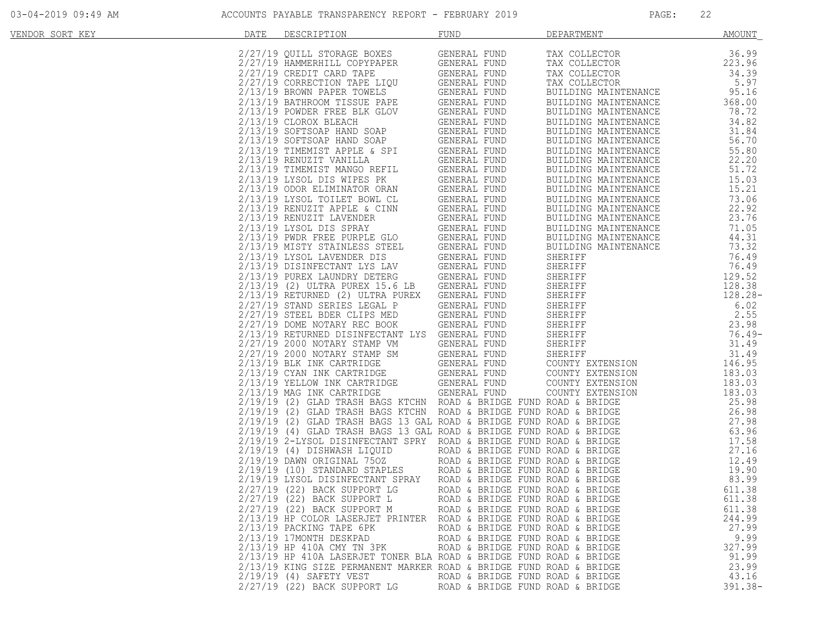| VENDOR SORT KEY | DATE | DESCRIPTION                                                                                                                                                                                                                                                                      | FUND                                                 | DEPARTMENT                                                                                                                                                                                                                  | <b>AMOUNT</b>  |
|-----------------|------|----------------------------------------------------------------------------------------------------------------------------------------------------------------------------------------------------------------------------------------------------------------------------------|------------------------------------------------------|-----------------------------------------------------------------------------------------------------------------------------------------------------------------------------------------------------------------------------|----------------|
|                 |      | 2/27/19 QUILL STORAGE BOXES                                                                                                                                                                                                                                                      | GENERAL FUND                                         | TAX COLLECTOR                                                                                                                                                                                                               | 36.99          |
|                 |      | 2/27/19 HAMMERHILL COPYPAPER                                                                                                                                                                                                                                                     | GENERAL FUND                                         | TAX COLLECTOR                                                                                                                                                                                                               | 223.96         |
|                 |      | 2/27/19 CREDIT CARD TAPE                                                                                                                                                                                                                                                         | GENERAL FUND                                         | TAX COLLECTOR                                                                                                                                                                                                               | 34.39          |
|                 |      | 2/27/19 CORRECTION TAPE LIQU                                                                                                                                                                                                                                                     | GENERAL FUND                                         | TAX COLLECTOR                                                                                                                                                                                                               | 5.97           |
|                 |      |                                                                                                                                                                                                                                                                                  |                                                      | BUILDING MAINTENANCE                                                                                                                                                                                                        | 95.16          |
|                 |      | 2/13/19 BROWN PAPER TOWELS<br>2/13/19 BATHROOM TISSUE PAPE GENERAL FUND<br>2/13/19 POWDER FREE BLK GLOV GENERAL FUND<br>2/12/19 POWDER FREE BLK GLOV GENERAL FUND                                                                                                                |                                                      | BUILDING MAINTENANCE                                                                                                                                                                                                        | 368.00         |
|                 |      |                                                                                                                                                                                                                                                                                  |                                                      | BUILDING MAINTENANCE                                                                                                                                                                                                        | 78.72          |
|                 |      |                                                                                                                                                                                                                                                                                  | GLOV<br>GENERAL FUND<br>CENERAL FUND<br>CENERAL FUND | BUILDING MAINTENANCE                                                                                                                                                                                                        | 34.82          |
|                 |      | 2/13/19 CLOROX BLEACH                                                                                                                                                                                                                                                            |                                                      |                                                                                                                                                                                                                             | 31.84          |
|                 |      |                                                                                                                                                                                                                                                                                  |                                                      | BUILDING MAINTENANCE<br>BUILDING MAINTENANCE                                                                                                                                                                                | 56.70          |
|                 |      |                                                                                                                                                                                                                                                                                  |                                                      | BUILDING MAINTENANCE                                                                                                                                                                                                        |                |
|                 |      |                                                                                                                                                                                                                                                                                  |                                                      | BUILDING MAINTENANCE                                                                                                                                                                                                        | 55.80<br>22.20 |
|                 |      |                                                                                                                                                                                                                                                                                  |                                                      |                                                                                                                                                                                                                             | 51.72          |
|                 |      |                                                                                                                                                                                                                                                                                  |                                                      | BUILDING MAINTENANCE                                                                                                                                                                                                        |                |
|                 |      |                                                                                                                                                                                                                                                                                  |                                                      | BUILDING MAINTENANCE                                                                                                                                                                                                        | 15.03          |
|                 |      |                                                                                                                                                                                                                                                                                  |                                                      | BUILDING MAINTENANCE                                                                                                                                                                                                        | 15.21          |
|                 |      |                                                                                                                                                                                                                                                                                  |                                                      | BUILDING MAINTENANCE                                                                                                                                                                                                        | 73.06          |
|                 |      |                                                                                                                                                                                                                                                                                  |                                                      | BUILDING MAINTENANCE                                                                                                                                                                                                        | 22.92          |
|                 |      |                                                                                                                                                                                                                                                                                  |                                                      | BUILDING MAINTENANCE                                                                                                                                                                                                        | 23.76          |
|                 |      |                                                                                                                                                                                                                                                                                  |                                                      | BUILDING MAINTENANCE                                                                                                                                                                                                        | 71.05          |
|                 |      |                                                                                                                                                                                                                                                                                  |                                                      | BUILDING MAINTENANCE                                                                                                                                                                                                        | 44.31          |
|                 |      |                                                                                                                                                                                                                                                                                  |                                                      | BUILDING MAINTENANCE                                                                                                                                                                                                        | 73.32          |
|                 |      |                                                                                                                                                                                                                                                                                  |                                                      |                                                                                                                                                                                                                             | 76.49          |
|                 |      |                                                                                                                                                                                                                                                                                  |                                                      |                                                                                                                                                                                                                             | 76.49          |
|                 |      |                                                                                                                                                                                                                                                                                  |                                                      | BUILDING MAINTENANCE<br>SHERIFF<br>SHERIFF<br>SHERIFF<br>SHERIFF<br>SHERIFF<br>SHERIFF<br>SHERIFF<br>SHERIFF<br>SHERIFF<br>SHERIFF<br>SHERIFF<br>SHERIFF<br>SHERIFF<br>SHERIFF<br>COUNTY EXTENSION<br>COUNTY EXTENSION<br>1 | 129.52         |
|                 |      |                                                                                                                                                                                                                                                                                  |                                                      |                                                                                                                                                                                                                             | 128.38         |
|                 |      | 2/13/19 RETURNED (2) ULTRA PUREX                                                                                                                                                                                                                                                 | GENERAL FUND                                         |                                                                                                                                                                                                                             | 128.28-        |
|                 |      | 2/27/19 STAND SERIES LEGAL P                                                                                                                                                                                                                                                     | GENERAL FUND                                         |                                                                                                                                                                                                                             | 6.02           |
|                 |      | 2/27/19 STEEL BDER CLIPS MED                                                                                                                                                                                                                                                     | GENERAL FUND                                         |                                                                                                                                                                                                                             | 2.55           |
|                 |      | 2/27/19 DOME NOTARY REC BOOK                                                                                                                                                                                                                                                     | GENERAL FUND                                         |                                                                                                                                                                                                                             | 23.98          |
|                 |      | 2/13/19 RETURNED DISINFECTANT LYS GENERAL FUND                                                                                                                                                                                                                                   |                                                      |                                                                                                                                                                                                                             | $76.49-$       |
|                 |      | 2/27/19 2000 NOTARY STAMP VM<br>2/27/19 2000 NOTARY STAMP VM<br>2/27/19 2000 NOTARY STAMP SM<br>2/13/19 BLK INK CARTRIDGE GENERAL FUND<br>2/13/19 YELLOW INK CARTRIDGE GENERAL FUND<br>2/13/19 YELLOW INK CARTRIDGE GENERAL FUND<br>2/13/19 MAG INK CARTRIDGE GENERAL FUND<br>2/ | GENERAL FUND                                         |                                                                                                                                                                                                                             | 31.49          |
|                 |      |                                                                                                                                                                                                                                                                                  |                                                      |                                                                                                                                                                                                                             | 31.49          |
|                 |      |                                                                                                                                                                                                                                                                                  |                                                      |                                                                                                                                                                                                                             | 146.95         |
|                 |      |                                                                                                                                                                                                                                                                                  |                                                      | COUNTY EXTENSION                                                                                                                                                                                                            | 183.03         |
|                 |      |                                                                                                                                                                                                                                                                                  |                                                      | COUNTY EXTENSION                                                                                                                                                                                                            | 183.03         |
|                 |      |                                                                                                                                                                                                                                                                                  |                                                      | COUNTY EXTENSION                                                                                                                                                                                                            | 183.03         |
|                 |      | 2/19/19 (2) GLAD TRASH BAGS KTCHN ROAD & BRIDGE FUND ROAD & BRIDGE                                                                                                                                                                                                               |                                                      |                                                                                                                                                                                                                             | 25.98          |
|                 |      | 2/19/19 (2) GLAD TRASH BAGS KTCHN ROAD & BRIDGE FUND ROAD & BRIDGE                                                                                                                                                                                                               |                                                      |                                                                                                                                                                                                                             | 26.98          |
|                 |      | 2/19/19 (2) GLAD TRASH BAGS 13 GAL ROAD & BRIDGE FUND ROAD & BRIDGE                                                                                                                                                                                                              |                                                      |                                                                                                                                                                                                                             | 27.98          |
|                 |      | 2/19/19 (4) GLAD TRASH BAGS 13 GAL ROAD & BRIDGE FUND ROAD & BRIDGE                                                                                                                                                                                                              |                                                      |                                                                                                                                                                                                                             | 63.96          |
|                 |      | 2/19/19 2-LYSOL DISINFECTANT SPRY ROAD & BRIDGE FUND ROAD & BRIDGE                                                                                                                                                                                                               |                                                      |                                                                                                                                                                                                                             | 17.58          |
|                 |      | $2/19/19$ (4) DISHWASH LIQUID                                                                                                                                                                                                                                                    | ROAD & BRIDGE FUND ROAD & BRIDGE                     |                                                                                                                                                                                                                             | 27.16          |
|                 |      | 2/19/19 (4) DISEMBLE 2-2-2<br>2/19/19 DAWN ORIGINAL 750Z ROAD & BRIDGE FUND ROAD & BRIDGE<br>2/10/10 (10) STANDARD STAPLES ROAD & BRIDGE FUND ROAD & BRIDGE                                                                                                                      |                                                      |                                                                                                                                                                                                                             | 12.49          |
|                 |      |                                                                                                                                                                                                                                                                                  |                                                      |                                                                                                                                                                                                                             | 19.90          |
|                 |      | 2/19/19 LYSOL DISINFECTANT SPRAY                                                                                                                                                                                                                                                 | ROAD & BRIDGE FUND ROAD & BRIDGE                     |                                                                                                                                                                                                                             | 83.99          |
|                 |      | 2/27/19 (22) BACK SUPPORT LG                                                                                                                                                                                                                                                     | ROAD & BRIDGE FUND ROAD & BRIDGE                     |                                                                                                                                                                                                                             | 611.38         |
|                 |      | 2/27/19 (22) BACK SUPPORT L                                                                                                                                                                                                                                                      | ROAD & BRIDGE FUND ROAD & BRIDGE                     |                                                                                                                                                                                                                             | 611.38         |
|                 |      | 2/27/19 (22) BACK SUPPORT M                                                                                                                                                                                                                                                      | ROAD & BRIDGE FUND ROAD & BRIDGE                     |                                                                                                                                                                                                                             | 611.38         |
|                 |      | 2/13/19 HP COLOR LASERJET PRINTER ROAD & BRIDGE FUND ROAD & BRIDGE                                                                                                                                                                                                               |                                                      |                                                                                                                                                                                                                             | 244.99         |
|                 |      | $2/13/19$ PACKING TAPE 6PK                                                                                                                                                                                                                                                       | ROAD & BRIDGE FUND ROAD & BRIDGE                     |                                                                                                                                                                                                                             | 27.99          |
|                 |      | 2/13/19 17MONTH DESKPAD                                                                                                                                                                                                                                                          | ROAD & BRIDGE FUND ROAD & BRIDGE                     |                                                                                                                                                                                                                             | 9.99           |
|                 |      | 2/13/19 HP 410A CMY TN 3PK                                                                                                                                                                                                                                                       | ROAD & BRIDGE FUND ROAD & BRIDGE                     |                                                                                                                                                                                                                             | 327.99         |
|                 |      | 2/13/19 HP 410A LASERJET TONER BLA ROAD & BRIDGE FUND ROAD & BRIDGE                                                                                                                                                                                                              |                                                      |                                                                                                                                                                                                                             | 91.99          |
|                 |      | 2/13/19 KING SIZE PERMANENT MARKER ROAD & BRIDGE FUND ROAD & BRIDGE                                                                                                                                                                                                              |                                                      |                                                                                                                                                                                                                             | 23.99          |
|                 |      | $2/19/19$ (4) SAFETY VEST                                                                                                                                                                                                                                                        | ROAD & BRIDGE FUND ROAD & BRIDGE                     |                                                                                                                                                                                                                             | 43.16          |
|                 |      | 2/27/19 (22) BACK SUPPORT LG                                                                                                                                                                                                                                                     | ROAD & BRIDGE FUND ROAD & BRIDGE                     |                                                                                                                                                                                                                             | $391.38 -$     |
|                 |      |                                                                                                                                                                                                                                                                                  |                                                      |                                                                                                                                                                                                                             |                |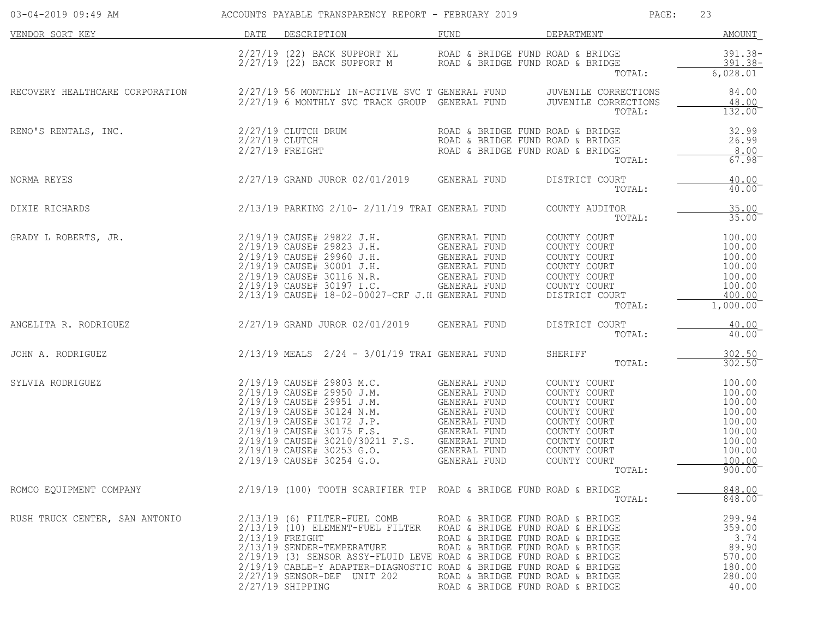| 03-04-2019 09:49 AM                                                                          |                | ACCOUNTS PAYABLE TRANSPARENCY REPORT - FEBRUARY 2019                                                                                                                                                                                                                                                                                                                                       |                                                                                                                                              | PAGE:                                                                                                                                                                  | 23                                                                                               |
|----------------------------------------------------------------------------------------------|----------------|--------------------------------------------------------------------------------------------------------------------------------------------------------------------------------------------------------------------------------------------------------------------------------------------------------------------------------------------------------------------------------------------|----------------------------------------------------------------------------------------------------------------------------------------------|------------------------------------------------------------------------------------------------------------------------------------------------------------------------|--------------------------------------------------------------------------------------------------|
| VENDOR SORT KEY                                                                              | DATE           | DESCRIPTION                                                                                                                                                                                                                                                                                                                                                                                | FUND                                                                                                                                         | DEPARTMENT                                                                                                                                                             | AMOUNT                                                                                           |
|                                                                                              |                | $2/27/19$ (22) BACK SUPPORT XL ROAD & BRIDGE FUND ROAD & BRIDGE $2/27/19$ (22) BACK SUPPORT M ROAD & BRIDGE FUND ROAD & BRIDGE                                                                                                                                                                                                                                                             |                                                                                                                                              | TOTAL:                                                                                                                                                                 | $391.38 -$<br>$391.38-$<br>6,028.01                                                              |
| RECOVERY HEALTHCARE CORPORATION                                                              |                | 2/27/19 56 MONTHLY IN-ACTIVE SVC T GENERAL FUND OUVENILE CORRECTIONS<br>2/27/19 6 MONTHLY SVC TRACK GROUP GENERAL FUND OUVENILE CORRECTIONS                                                                                                                                                                                                                                                |                                                                                                                                              | TOTAL:                                                                                                                                                                 | 84.00<br>48.00<br>132.00                                                                         |
| RENO'S RENTALS, INC.                                                                         | 2/27/19 CLUTCH | 2/27/19 CLUTCH DRUM<br>$2/27/19$ FREIGHT                                                                                                                                                                                                                                                                                                                                                   | ROAD & BRIDGE FUND ROAD & BRIDGE<br>ROAD & BRIDGE FUND ROAD & BRIDGE<br>ROAD & BRIDGE FUND ROAD & BRIDGE                                     | TOTAL:                                                                                                                                                                 | 32.99<br>26.99<br>8.00<br>67.98                                                                  |
| NORMA REYES                                                                                  |                | 2/27/19 GRAND JUROR 02/01/2019 GENERAL FUND                                                                                                                                                                                                                                                                                                                                                |                                                                                                                                              | DISTRICT COURT<br>TOTAL:                                                                                                                                               | 40.00<br>$40.00^{-}$                                                                             |
| DIXIE RICHARDS                                                                               |                | 2/13/19 PARKING 2/10- 2/11/19 TRAI GENERAL FUND                                                                                                                                                                                                                                                                                                                                            |                                                                                                                                              | COUNTY AUDITOR<br>TOTAL:                                                                                                                                               | 35.00<br>$35.00$ <sup>-</sup>                                                                    |
| GRADY L ROBERTS, JR.                                                                         |                | 2/19/19 CAUSE# 29822 J.H. GENERAL FUND<br>2/19/19 CAUSE# 29823 J.H. GENERAL FUND<br>2/19/19 CAUSE# 29960 J.H. GENERAL FUND<br>2/19/19 CAUSE# 30001 J.H. GENERAL FUND<br>2/19/19 CAUSE# 30116 N.R. GENERAL FUND<br>2/19/19 CAUSE# 30197 T.C<br>2/19/19 CAUSE# 30197 I.C.<br>2/13/19 CAUSE# 18-02-00027-CRF J.H GENERAL FUND                                                                 | GENERAL FUND                                                                                                                                 | COUNTY COURT<br>COUNTY COURT<br>COUNTY COURT<br>COUNTY COURT<br>COUNTY COURT<br>COUNTY COURT<br>DISTRICT COURT<br>TOTAL:                                               | 100.00<br>100.00<br>100.00<br>100.00<br>100.00<br>100.00<br>400.00<br>1,000.00                   |
| ANGELITA R. RODRIGUEZ                                                                        |                | 2/27/19 GRAND JUROR 02/01/2019 GENERAL FUND                                                                                                                                                                                                                                                                                                                                                |                                                                                                                                              | DISTRICT COURT<br>TOTAL:                                                                                                                                               | 40.00<br>40.00                                                                                   |
| JOHN A. RODRIGUEZ                                                                            |                | 2/13/19 MEALS 2/24 - 3/01/19 TRAI GENERAL FUND                                                                                                                                                                                                                                                                                                                                             |                                                                                                                                              | SHERIFF<br>TOTAL:                                                                                                                                                      | 302.50<br>302.50                                                                                 |
| SYLVIA RODRIGUEZ                                                                             |                | 2/19/19 CAUSE# 30253 G.O.<br>2/19/19 CAUSE# 30254 G.O.                                                                                                                                                                                                                                                                                                                                     | GENERAL FUND<br>GENERAL FUND                                                                                                                 | COUNTY COURT<br>COUNTY COURT<br>COUNTY COURT<br>COUNTY COURT<br>COUNTY COURT<br>COUNTY COURT<br>COUNTY COURT<br>COUNTY COURT<br>COUNTY COURT<br>COUNTY COURT<br>TOTAL: | 100.00<br>100.00<br>100.00<br>100.00<br>100.00<br>100.00<br>100.00<br>100.00<br>100.00<br>900.00 |
| ROMCO EQUIPMENT COMPANY $2/19/19$ (100) TOOTH SCARIFIER TIP ROAD & BRIDGE FUND ROAD & BRIDGE |                |                                                                                                                                                                                                                                                                                                                                                                                            |                                                                                                                                              | TOTAL:                                                                                                                                                                 | 848.00<br>848.00                                                                                 |
| RUSH TRUCK CENTER, SAN ANTONIO                                                               |                | 2/13/19 (6) FILTER-FUEL COMB ROAD & BRIDGE FUND ROAD & BRIDGE<br>2/13/19 (10) ELEMENT-FUEL FILTER ROAD & BRIDGE FUND ROAD & BRIDGE<br>$2/13/19$ FREIGHT<br>2/13/19 SENDER-TEMPERATURE<br>$2/19/19$ (3) SENSOR ASSY-FLUID LEVE ROAD & BRIDGE FUND ROAD & BRIDGE<br>2/19/19 CABLE-Y ADAPTER-DIAGNOSTIC ROAD & BRIDGE FUND ROAD & BRIDGE<br>2/27/19 SENSOR-DEF UNIT 202<br>$2/27/19$ SHIPPING | ROAD & BRIDGE FUND ROAD & BRIDGE<br>ROAD & BRIDGE FUND ROAD & BRIDGE<br>ROAD & BRIDGE FUND ROAD & BRIDGE<br>ROAD & BRIDGE FUND ROAD & BRIDGE |                                                                                                                                                                        | 299.94<br>359.00<br>3.74<br>89.90<br>570.00<br>180.00<br>280.00<br>40.00                         |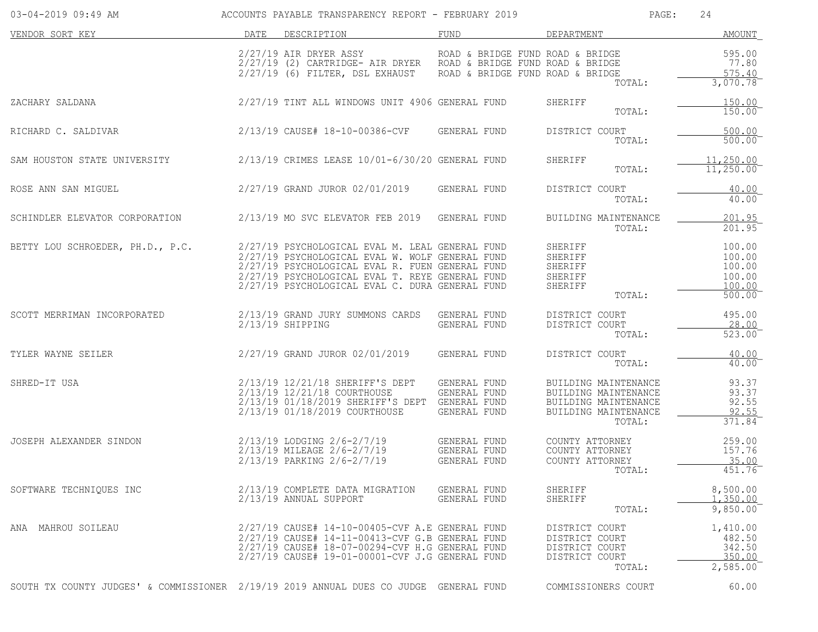| 03-04-2019 09:49 AM                                                                   |      | ACCOUNTS PAYABLE TRANSPARENCY REPORT - FEBRUARY 2019                                                                                                                                                                                                        |                                                                      | PAGE:                                                                                                  | 24                                                       |
|---------------------------------------------------------------------------------------|------|-------------------------------------------------------------------------------------------------------------------------------------------------------------------------------------------------------------------------------------------------------------|----------------------------------------------------------------------|--------------------------------------------------------------------------------------------------------|----------------------------------------------------------|
| VENDOR SORT KEY                                                                       | DATE | DESCRIPTION                                                                                                                                                                                                                                                 | FUND                                                                 | DEPARTMENT                                                                                             | <b>AMOUNT</b>                                            |
|                                                                                       |      | 2/27/19 AIR DRYER ASSY<br>2/27/19 (2) CARTRIDGE- AIR DRYER ROAD & BRIDGE FUND ROAD & BRIDGE<br>$2/27/19$ (6) FILTER, DSL EXHAUST                                                                                                                            | ROAD & BRIDGE FUND ROAD & BRIDGE<br>ROAD & BRIDGE FUND ROAD & BRIDGE | TOTAL:                                                                                                 | 595.00<br>77.80<br>575.40<br>3,070.78                    |
| ZACHARY SALDANA                                                                       |      | 2/27/19 TINT ALL WINDOWS UNIT 4906 GENERAL FUND                                                                                                                                                                                                             |                                                                      | SHERIFF<br>TOTAL:                                                                                      | 150.00<br>150.00                                         |
| RICHARD C. SALDIVAR                                                                   |      | 2/13/19 CAUSE# 18-10-00386-CVF                                                                                                                                                                                                                              | GENERAL FUND                                                         | DISTRICT COURT<br>TOTAL:                                                                               | 500.00<br>500.00                                         |
| SAM HOUSTON STATE UNIVERSITY                                                          |      | 2/13/19 CRIMES LEASE 10/01-6/30/20 GENERAL FUND                                                                                                                                                                                                             |                                                                      | <b>SHERIFF</b><br>TOTAL:                                                                               | 11,250.00<br>11,250.00                                   |
| ROSE ANN SAN MIGUEL                                                                   |      | 2/27/19 GRAND JUROR 02/01/2019                                                                                                                                                                                                                              | GENERAL FUND                                                         | DISTRICT COURT<br>TOTAL:                                                                               | 40.00<br>40.00                                           |
| SCHINDLER ELEVATOR CORPORATION                                                        |      | 2/13/19 MO SVC ELEVATOR FEB 2019                                                                                                                                                                                                                            | GENERAL FUND                                                         | BUILDING MAINTENANCE<br>TOTAL:                                                                         | 201.95<br>201.95                                         |
| BETTY LOU SCHROEDER, PH.D., P.C.                                                      |      | 2/27/19 PSYCHOLOGICAL EVAL M. LEAL GENERAL FUND<br>2/27/19 PSYCHOLOGICAL EVAL W. WOLF GENERAL FUND<br>2/27/19 PSYCHOLOGICAL EVAL R. FUEN GENERAL FUND<br>2/27/19 PSYCHOLOGICAL EVAL T. REYE GENERAL FUND<br>2/27/19 PSYCHOLOGICAL EVAL C. DURA GENERAL FUND |                                                                      | SHERIFF<br>SHERIFF<br>SHERIFF<br>SHERIFF<br>SHERIFF<br>TOTAL:                                          | 100.00<br>100.00<br>100.00<br>100.00<br>100.00<br>500.00 |
| SCOTT MERRIMAN INCORPORATED                                                           |      | 2/13/19 GRAND JURY SUMMONS CARDS<br>$2/13/19$ SHIPPING                                                                                                                                                                                                      | GENERAL FUND<br>GENERAL FUND                                         | DISTRICT COURT<br>DISTRICT COURT<br>TOTAL:                                                             | 495.00<br>28.00<br>523.00                                |
| TYLER WAYNE SEILER                                                                    |      | 2/27/19 GRAND JUROR 02/01/2019                                                                                                                                                                                                                              | GENERAL FUND                                                         | DISTRICT COURT<br>TOTAL:                                                                               | 40.00<br>40.00                                           |
| SHRED-IT USA                                                                          |      | 2/13/19 12/21/18 SHERIFF'S DEPT<br>2/13/19 12/21/18 COURTHOUSE<br>2/13/19 01/18/2019 SHERIFF'S DEPT<br>2/13/19 01/18/2019 COURTHOUSE                                                                                                                        | GENERAL FUND<br>GENERAL FUND<br>GENERAL FUND<br>GENERAL FUND         | BUILDING MAINTENANCE<br>BUILDING MAINTENANCE<br>BUILDING MAINTENANCE<br>BUILDING MAINTENANCE<br>TOTAL: | 93.37<br>93.37<br>92.55<br>92.55<br>371.84               |
| JOSEPH ALEXANDER SINDON                                                               |      | 2/13/19 LODGING 2/6-2/7/19<br>2/13/19 MILEAGE 2/6-2/7/19<br>2/13/19 PARKING 2/6-2/7/19                                                                                                                                                                      | GENERAL FUND<br>GENERAL FUND<br>GENERAL FUND                         | COUNTY ATTORNEY<br>COUNTY ATTORNEY<br>COUNTY ATTORNEY<br>TOTAL:                                        | 259.00<br>157.76<br>35.00<br>451.76                      |
| SOFTWARE TECHNIQUES INC                                                               |      | 2/13/19 COMPLETE DATA MIGRATION<br>2/13/19 ANNUAL SUPPORT                                                                                                                                                                                                   | GENERAL FUND<br>GENERAL FUND                                         | SHERIFF<br>SHERIFF<br>TOTAL:                                                                           | 8,500.00<br>1,350.00<br>9,850.00                         |
| ANA MAHROU SOILEAU                                                                    |      | $2/27/19$ CAUSE# 14-10-00405-CVF A.E GENERAL FUND<br>2/27/19 CAUSE# 14-11-00413-CVF G.B GENERAL FUND<br>2/27/19 CAUSE# 18-07-00294-CVF H.G GENERAL FUND<br>2/27/19 CAUSE# 19-01-00001-CVF J.G GENERAL FUND                                                  |                                                                      | DISTRICT COURT<br>DISTRICT COURT<br>DISTRICT COURT<br>DISTRICT COURT<br>TOTAL:                         | 1,410.00<br>482.50<br>342.50<br>350.00<br>2,585.00       |
| SOUTH TX COUNTY JUDGES' & COMMISSIONER 2/19/19 2019 ANNUAL DUES CO JUDGE GENERAL FUND |      |                                                                                                                                                                                                                                                             |                                                                      | COMMISSIONERS COURT                                                                                    | 60.00                                                    |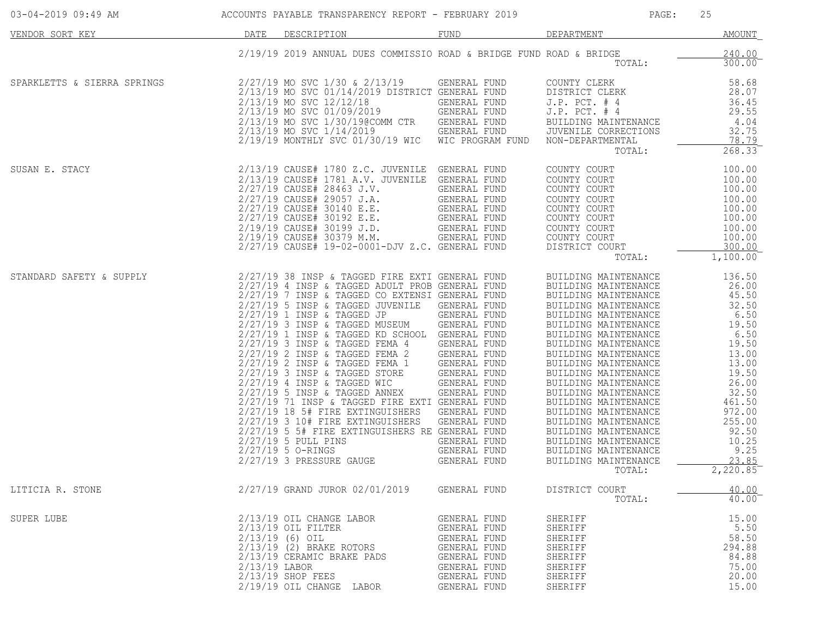| 03-04-2019 09:49 AM         |      | ACCOUNTS PAYABLE TRANSPARENCY REPORT - FEBRUARY 2019                                                                                                                                                                                                                                                                                                                                                                                                                                                                                                                                                                                                                                                                                                                |                                                                                                                                                                                                                                              | PAGE:                                                                                                                                                                                                                                                                                                                                                                                                                                                                                                  | 25                                                                                                                                                                                            |
|-----------------------------|------|---------------------------------------------------------------------------------------------------------------------------------------------------------------------------------------------------------------------------------------------------------------------------------------------------------------------------------------------------------------------------------------------------------------------------------------------------------------------------------------------------------------------------------------------------------------------------------------------------------------------------------------------------------------------------------------------------------------------------------------------------------------------|----------------------------------------------------------------------------------------------------------------------------------------------------------------------------------------------------------------------------------------------|--------------------------------------------------------------------------------------------------------------------------------------------------------------------------------------------------------------------------------------------------------------------------------------------------------------------------------------------------------------------------------------------------------------------------------------------------------------------------------------------------------|-----------------------------------------------------------------------------------------------------------------------------------------------------------------------------------------------|
| VENDOR SORT KEY             | DATE | DESCRIPTION                                                                                                                                                                                                                                                                                                                                                                                                                                                                                                                                                                                                                                                                                                                                                         | <b>FUND</b>                                                                                                                                                                                                                                  | DEPARTMENT                                                                                                                                                                                                                                                                                                                                                                                                                                                                                             | AMOUNT                                                                                                                                                                                        |
|                             |      | 2/19/19 2019 ANNUAL DUES COMMISSIO ROAD & BRIDGE FUND ROAD & BRIDGE                                                                                                                                                                                                                                                                                                                                                                                                                                                                                                                                                                                                                                                                                                 |                                                                                                                                                                                                                                              | TOTAL:                                                                                                                                                                                                                                                                                                                                                                                                                                                                                                 | 240.00<br>300.00                                                                                                                                                                              |
| SPARKLETTS & SIERRA SPRINGS |      | 2/27/19 MO SVC 1/30 & 2/13/19<br>2/13/19 MO SVC 01/14/2019 DISTRICT GENERAL FUND<br>2/13/19 MO SVC 12/12/18<br>2/13/19 MO SVC 01/09/2019<br>2/13/19 MO SVC 1/30/19@COMM CTR<br>2/13/19 MO SVC 1/14/2019<br>2/19/19 MONTHLY SVC 01/30/19 WIC                                                                                                                                                                                                                                                                                                                                                                                                                                                                                                                         | GENERAL FUND<br>GENERAL FUND<br>GENERAL FUND<br>GENERAL FUND<br>GENERAL FUND<br>WIC PROGRAM FUND                                                                                                                                             | COUNTY CLERK<br>DISTRICT CLERK<br>$J.P.$ PCT. $#4$<br>$J.P.$ PCT. $#4$<br>BUILDING MAINTENANCE<br>JUVENILE CORRECTIONS<br>NON-DEPARTMENTAL<br>TOTAL:                                                                                                                                                                                                                                                                                                                                                   | 58.68<br>28.07<br>36.45<br>29.55<br>4.04<br>32.75<br>78.79<br>268.33                                                                                                                          |
| SUSAN E. STACY              |      | 2/13/19 CAUSE# 1780 Z.C. JUVENILE GENERAL FUND<br>2/13/19 CAUSE# 1781 A.V. JUVENILE<br>2/27/19 CAUSE# 28463 J.V.<br>2/27/19 CAUSE# 29057 J.A.<br>2/27/19 CAUSE# 30140 E.E.<br>2/27/19 CAUSE# 30192 E.E.<br>2/19/19 CAUSE# 30199 J.D.<br>2/19/19 CAUSE# 30379 M.M.<br>2/27/19 CAUSE# 19-02-0001-DJV Z.C. GENERAL FUND                                                                                                                                                                                                                                                                                                                                                                                                                                                | GENERAL FUND<br>GENERAL FUND<br>GENERAL FUND<br>GENERAL FUND<br>GENERAL FUND<br>GENERAL FUND<br>GENERAL FUND                                                                                                                                 | COUNTY COURT<br>COUNTY COURT<br>COUNTY COURT<br>COUNTY COURT<br>COUNTY COURT<br>COUNTY COURT<br>COUNTY COURT<br>COUNTY COURT<br>DISTRICT COURT<br>TOTAL:                                                                                                                                                                                                                                                                                                                                               | 100.00<br>100.00<br>100.00<br>100.00<br>100.00<br>100.00<br>100.00<br>100.00<br>300.00<br>1,100.00                                                                                            |
| STANDARD SAFETY & SUPPLY    |      | 2/27/19 38 INSP & TAGGED FIRE EXTI GENERAL FUND<br>2/27/19 4 INSP & TAGGED ADULT PROB GENERAL FUND<br>2/27/19 7 INSP & TAGGED CO EXTENSI GENERAL FUND<br>2/27/19 5 INSP & TAGGED JUVENILE<br>2/27/19 1 INSP & TAGGED JP<br>2/27/19 3 INSP & TAGGED MUSEUM<br>$2/27/19$ 1 INSP & TAGGED KD SCHOOL<br>2/27/19 3 INSP & TAGGED FEMA 4<br>2/27/19 2 INSP & TAGGED FEMA 2<br>2/27/19 2 INSP & TAGGED FEMA 1<br>$2/27/19$ 3 INSP & TAGGED STORE<br>$2/27/19$ 4 INSP & TAGGED WIC<br>$2/27/19$ 5 INSP & TAGGED ANNEX<br>2/27/19 71 INSP & TAGGED FIRE EXTI GENERAL FUND<br>2/27/19 18 5# FIRE EXTINGUISHERS<br>2/27/19 3 10# FIRE EXTINGUISHERS<br>2/27/19 5 5# FIRE EXTINGUISHERS RE GENERAL FUND<br>2/27/19 5 PULL PINS<br>2/27/19 5 O-RINGS<br>2/27/19 3 PRESSURE GAUGE | GENERAL FUND<br>GENERAL FUND<br>GENERAL FUND<br>GENERAL FUND<br>GENERAL FUND<br>GENERAL FUND<br>GENERAL FUND<br>GENERAL FUND<br>GENERAL FUND<br>GENERAL FUND<br>GENERAL FUND<br>GENERAL FUND<br>GENERAL FUND<br>GENERAL FUND<br>GENERAL FUND | BUILDING MAINTENANCE<br>BUILDING MAINTENANCE<br>BUILDING MAINTENANCE<br>BUILDING MAINTENANCE<br>BUILDING MAINTENANCE<br>BUILDING MAINTENANCE<br>BUILDING MAINTENANCE<br>BUILDING MAINTENANCE<br>BUILDING MAINTENANCE<br>BUILDING MAINTENANCE<br>BUILDING MAINTENANCE<br>BUILDING MAINTENANCE<br>BUILDING MAINTENANCE<br>BUILDING MAINTENANCE<br>BUILDING MAINTENANCE<br>BUILDING MAINTENANCE<br>BUILDING MAINTENANCE<br>BUILDING MAINTENANCE<br>BUILDING MAINTENANCE<br>BUILDING MAINTENANCE<br>TOTAL: | 136.50<br>26.00<br>45.50<br>32.50<br>6.50<br>19.50<br>6.50<br>19.50<br>13.00<br>13.00<br>19.50<br>26.00<br>32.50<br>461.50<br>972.00<br>255.00<br>92.50<br>10.25<br>9.25<br>23.85<br>2,220.85 |
| LITICIA R. STONE            |      | 2/27/19 GRAND JUROR 02/01/2019                                                                                                                                                                                                                                                                                                                                                                                                                                                                                                                                                                                                                                                                                                                                      | GENERAL FUND                                                                                                                                                                                                                                 | DISTRICT COURT<br>TOTAL:                                                                                                                                                                                                                                                                                                                                                                                                                                                                               | 40.00<br>40.00                                                                                                                                                                                |
| SUPER LUBE                  |      | 2/13/19 OIL CHANGE LABOR<br>$2/13/19$ OIL FILTER<br>$2/13/19$ (6) OIL<br>2/13/19 (2) BRAKE ROTORS<br>2/13/19 CERAMIC BRAKE PADS<br>$2/13/19$ LABOR<br>2/13/19 SHOP FEES<br>2/19/19 OIL CHANGE LABOR                                                                                                                                                                                                                                                                                                                                                                                                                                                                                                                                                                 | GENERAL FUND<br>GENERAL FUND<br>GENERAL FUND<br>GENERAL FUND<br>GENERAL FUND<br>GENERAL FUND<br>GENERAL FUND<br>GENERAL FUND                                                                                                                 | SHERIFF<br>SHERIFF<br>SHERIFF<br>SHERIFF<br>SHERIFF<br>SHERIFF<br>SHERIFF<br>SHERIFF                                                                                                                                                                                                                                                                                                                                                                                                                   | 15.00<br>5.50<br>58.50<br>294.88<br>84.88<br>75.00<br>20.00<br>15.00                                                                                                                          |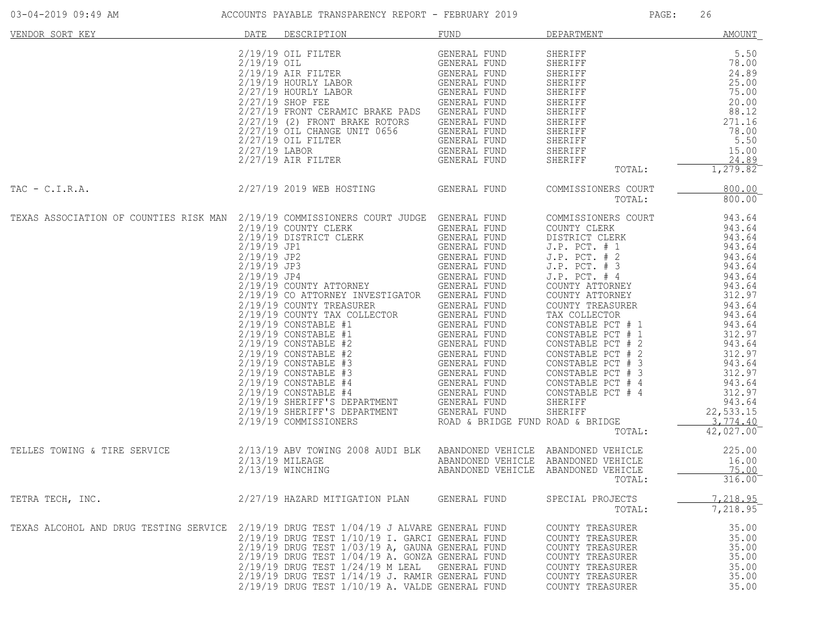| VENDOR SORT KEY                                                                        | DATE | DESCRIPTION                                                                                                                                                                                                                                                                                                                                                                                                                                                                       | FUND                                | DEPARTMENT                                                                                                                                                                                                                                                                                                                                              | AMOUNT                                                                                                                                                                                   |
|----------------------------------------------------------------------------------------|------|-----------------------------------------------------------------------------------------------------------------------------------------------------------------------------------------------------------------------------------------------------------------------------------------------------------------------------------------------------------------------------------------------------------------------------------------------------------------------------------|-------------------------------------|---------------------------------------------------------------------------------------------------------------------------------------------------------------------------------------------------------------------------------------------------------------------------------------------------------------------------------------------------------|------------------------------------------------------------------------------------------------------------------------------------------------------------------------------------------|
|                                                                                        |      | 19/19 OIL FILTER GENERAL FUND CANNON CONSTAL FUND CONSTAL FUND CONSTAL FUND CONSTAL FUND CONSTAL FUND CONSTAL FUND CONSTAL FUND CONSTAL FUND CONSTAL FUND CONSTAL FUND CONSTAL FUND CONSTAL FUND CONSTAL FUND CONSTAL FUND CON<br>2/27/19 FRONT CERAMIC BRAKE PADS GENERAL FUND<br>2/27/19 (2) FRONT BRAKE ROTORS<br>2/27/19 OIL CHANGE UNIT 0656 GENERAL FUND<br>2/27/19 OIL CHANGE UNIT 0656 GENERAL FUND<br>2/27/19 OIL FILTER GENERAL FUND<br>2/27/19 AIR FILTER GENERAL FUND |                                     | SHERIFF 5.50<br>SHERIFF 78.00<br>SHERIFF 78.00<br>SHERIFF 24.89<br>SHERIFF 75.00<br>SHERIFF 75.00<br>SHERIFF 20.00<br>SHERIFF 88.12<br>SHERIFF 78.00<br>SHERIFF 78.00<br>SHERIFF 78.00<br>SHERIFF 5.50<br>SHERIFF 5.50<br>SHERIFF 5.50<br>SHERIFF 78.00<br>2<br>TOTAL:                                                                                  | 1,279.82                                                                                                                                                                                 |
| 2/27/19 2019 WEB HOSTING<br>$TAC - C.I.R.A.$                                           |      |                                                                                                                                                                                                                                                                                                                                                                                                                                                                                   | GENERAL FUND                        | COMMISSIONERS COURT<br>TOTAL:                                                                                                                                                                                                                                                                                                                           | 800.00<br>800.00                                                                                                                                                                         |
| TEXAS ASSOCIATION OF COUNTIES RISK MAN 2/19/19 COMMISSIONERS COURT JUDGE GENERAL FUND  |      | 2/19/19 COMMISSIONERS COOKI JOBGE GENERAL FOND<br>2/19/19 DISTRICT CLERK GENERAL FUND<br>2/19/19 JP1 GENERAL FUND<br>2/19/19 JP2 GENERAL FUND<br>2/19/19 JP3 GENERAL FUND<br>2/19/19 JP4 GENERAL FUND<br>2/19/19 COUNTY ATTORNEY GENERAL F<br>2/19/19 CO ATTORNEY INVESTIGATOR GENERAL FUND                                                                                                                                                                                       |                                     | COMMISSIONERS COURT<br>COUNTY CLERK<br>DISTRICT CLERK<br>$J.P.$ PCT. $# 1$<br>J.P. PCT. # 2<br>J.P. PCT. # 3<br>$J.P.$ PCT. $#4$<br>COUNTY ATTORNEY<br>COUNTY ATTORNEY<br>CONSTABLE PCT # 1<br>CONSTABLE PCT # 2<br>CONSTABLE PCT # 2<br>CONSTABLE PCT # 2<br>CONSTABLE PCT # 3<br>CONSTABLE PCT # 3<br>312.97<br>312.97<br>CONSTABLE PCT # 4<br>TOTAL: | 943.64<br>943.64<br>943.64<br>943.64<br>943.64<br>943.64<br>943.64<br>943.64<br>312.97<br>943.64<br>943.64<br>943.64<br>943.64<br>312.97<br>943.64<br>22,533.15<br>3,774.40<br>42,027.00 |
| TELLES TOWING & TIRE SERVICE                                                           |      | 2/13/19 ABV TOWING 2008 AUDI BLK ABANDONED VEHICLE ABANDONED VEHICLE (225.00)<br>2/13/19 MILEAGE (2008 AUDI BLK ABANDONED VEHICLE ABANDONED VEHICLE (16.00)<br>2/13/19 WINCHING (ABANDONED VEHICLE ABANDONED VEHICLE (2008)<br>$2/13/19$ WINCHING                                                                                                                                                                                                                                 | ABANDONED VEHICLE ABANDONED VEHICLE | TOTAL:                                                                                                                                                                                                                                                                                                                                                  | 316.00                                                                                                                                                                                   |
| TETRA TECH, INC.                                                                       |      | 2/27/19 HAZARD MITIGATION PLAN GENERAL FUND                                                                                                                                                                                                                                                                                                                                                                                                                                       |                                     | SPECIAL PROJECTS<br>TOTAL:                                                                                                                                                                                                                                                                                                                              | 7,218.95<br>7,218.95                                                                                                                                                                     |
| TEXAS ALCOHOL AND DRUG TESTING SERVICE 2/19/19 DRUG TEST 1/04/19 J ALVARE GENERAL FUND |      | 2/19/19 DRUG TEST 1/10/19 I. GARCI GENERAL FUND<br>$2/19/19$ DRUG TEST $1/03/19$ A, GAUNA GENERAL FUND<br>$2/19/19$ DRUG TEST $1/04/19$ A. GONZA GENERAL FUND<br>$2/19/19$ DRUG TEST $1/24/19$ M LEAL GENERAL FUND<br>2/19/19 DRUG TEST 1/14/19 J. RAMIR GENERAL FUND<br>$2/19/19$ DRUG TEST $1/10/19$ A. VALDE GENERAL FUND                                                                                                                                                      |                                     | COUNTY TREASURER<br>COUNTY TREASURER<br>COUNTY TREASURER<br>COUNTY TREASURER<br>COUNTY TREASURER<br>COUNTY TREASURER<br>COUNTY TREASURER                                                                                                                                                                                                                | 35.00<br>35.00<br>35.00<br>35.00<br>35.00<br>35.00<br>35.00                                                                                                                              |

03-04-2019 09:49 AM ACCOUNTS PAYABLE TRANSPARENCY REPORT - FEBRUARY 2019 PAGE: 26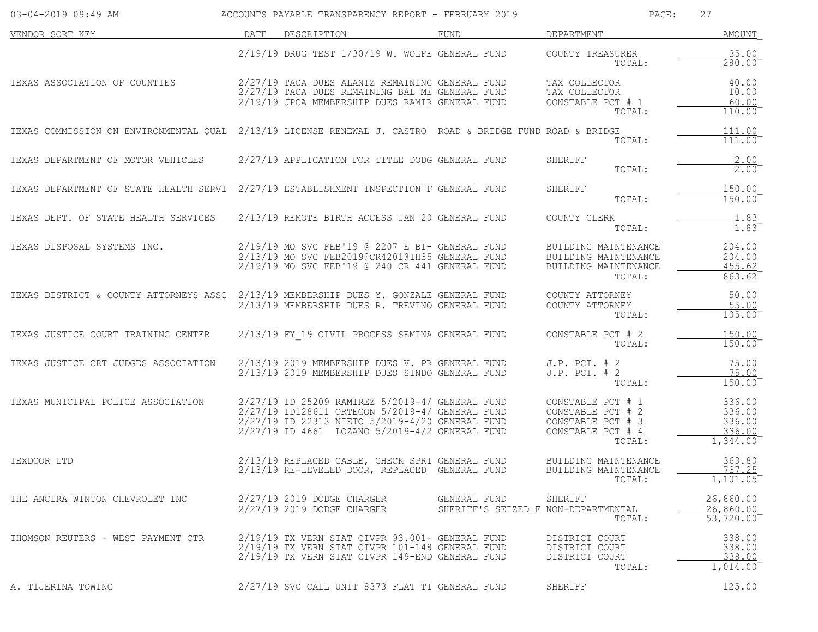| 03-04-2019 09:49 AM                                                                                       |      | ACCOUNTS PAYABLE TRANSPARENCY REPORT - FEBRUARY 2019                                                                                                                                                    |                                                     | PAGE:                                                                                      | 27                                               |
|-----------------------------------------------------------------------------------------------------------|------|---------------------------------------------------------------------------------------------------------------------------------------------------------------------------------------------------------|-----------------------------------------------------|--------------------------------------------------------------------------------------------|--------------------------------------------------|
| VENDOR SORT KEY                                                                                           | DATE | DESCRIPTION                                                                                                                                                                                             | FUND                                                | DEPARTMENT                                                                                 | AMOUNT                                           |
|                                                                                                           |      | $2/19/19$ DRUG TEST $1/30/19$ W. WOLFE GENERAL FUND                                                                                                                                                     |                                                     | COUNTY TREASURER<br>TOTAL:                                                                 | 35.00<br>280.00                                  |
| TEXAS ASSOCIATION OF COUNTIES                                                                             |      | 2/27/19 TACA DUES ALANIZ REMAINING GENERAL FUND<br>2/27/19 TACA DUES REMAINING BAL ME GENERAL FUND<br>2/19/19 JPCA MEMBERSHIP DUES RAMIR GENERAL FUND                                                   |                                                     | TAX COLLECTOR<br>TAX COLLECTOR<br>CONSTABLE PCT # 1<br>TOTAL:                              | 40.00<br>10.00<br>60.00<br>$110.00^{-}$          |
| TEXAS COMMISSION ON ENVIRONMENTAL OUAL 2/13/19 LICENSE RENEWAL J. CASTRO ROAD & BRIDGE FUND ROAD & BRIDGE |      |                                                                                                                                                                                                         |                                                     | TOTAL:                                                                                     | 111.00<br>111.00                                 |
| TEXAS DEPARTMENT OF MOTOR VEHICLES                                                                        |      | 2/27/19 APPLICATION FOR TITLE DODG GENERAL FUND                                                                                                                                                         |                                                     | SHERIFF<br>TOTAL:                                                                          | 2.00<br>2.00                                     |
| TEXAS DEPARTMENT OF STATE HEALTH SERVI 2/27/19 ESTABLISHMENT INSPECTION F GENERAL FUND                    |      |                                                                                                                                                                                                         |                                                     | SHERIFF<br>TOTAL:                                                                          | 150.00<br>150.00                                 |
| TEXAS DEPT. OF STATE HEALTH SERVICES                                                                      |      | 2/13/19 REMOTE BIRTH ACCESS JAN 20 GENERAL FUND                                                                                                                                                         |                                                     | COUNTY CLERK<br>TOTAL:                                                                     | 1.83<br>1.83                                     |
| TEXAS DISPOSAL SYSTEMS INC.                                                                               |      | 2/19/19 MO SVC FEB'19 @ 2207 E BI- GENERAL FUND<br>2/13/19 MO SVC FEB2019@CR4201@IH35 GENERAL FUND<br>2/19/19 MO SVC FEB'19 @ 240 CR 441 GENERAL FUND                                                   |                                                     | BUILDING MAINTENANCE<br>BUILDING MAINTENANCE<br>BUILDING MAINTENANCE<br>TOTAL:             | 204.00<br>204.00<br>455.62<br>863.62             |
| TEXAS DISTRICT & COUNTY ATTORNEYS ASSC 2/13/19 MEMBERSHIP DUES Y. GONZALE GENERAL FUND                    |      | 2/13/19 MEMBERSHIP DUES R. TREVINO GENERAL FUND                                                                                                                                                         |                                                     | COUNTY ATTORNEY<br>COUNTY ATTORNEY<br>TOTAL:                                               | 50.00<br>55.00<br>105.00                         |
| TEXAS JUSTICE COURT TRAINING CENTER                                                                       |      | 2/13/19 FY 19 CIVIL PROCESS SEMINA GENERAL FUND                                                                                                                                                         |                                                     | CONSTABLE PCT # 2<br>TOTAL:                                                                | 150.00<br>150.00                                 |
| TEXAS JUSTICE CRT JUDGES ASSOCIATION                                                                      |      | 2/13/19 2019 MEMBERSHIP DUES V. PR GENERAL FUND<br>2/13/19 2019 MEMBERSHIP DUES SINDO GENERAL FUND                                                                                                      |                                                     | $J.P.$ PCT. $# 2$<br>$J.P.$ PCT. $# 2$<br>TOTAL:                                           | 75.00<br>75.00<br>150.00                         |
| TEXAS MUNICIPAL POLICE ASSOCIATION                                                                        |      | 2/27/19 ID 25209 RAMIREZ 5/2019-4/ GENERAL FUND<br>2/27/19 ID128611 ORTEGON 5/2019-4/ GENERAL FUND<br>2/27/19 ID 22313 NIETO 5/2019-4/20 GENERAL FUND<br>2/27/19 ID 4661 LOZANO 5/2019-4/2 GENERAL FUND |                                                     | CONSTABLE PCT # 1<br>CONSTABLE PCT # 2<br>CONSTABLE PCT # 3<br>CONSTABLE PCT # 4<br>TOTAL: | 336.00<br>336.00<br>336.00<br>336.00<br>1,344.00 |
| TEXDOOR LTD                                                                                               |      | 2/13/19 REPLACED CABLE, CHECK SPRI GENERAL FUND<br>2/13/19 RE-LEVELED DOOR, REPLACED GENERAL FUND                                                                                                       |                                                     | BUILDING MAINTENANCE<br>BUILDING MAINTENANCE<br>TOTAL:                                     | 363.80<br>737.25<br>$1,101.05$ <sup>-</sup>      |
| THE ANCIRA WINTON CHEVROLET INC                                                                           |      | 2/27/19 2019 DODGE CHARGER<br>2/27/19 2019 DODGE CHARGER                                                                                                                                                | GENERAL FUND<br>SHERIFF'S SEIZED F NON-DEPARTMENTAL | SHERIFF<br>TOTAL:                                                                          | 26,860.00<br>26,860.00<br>53,720.00              |
| THOMSON REUTERS - WEST PAYMENT CTR                                                                        |      | 2/19/19 TX VERN STAT CIVPR 93.001- GENERAL FUND<br>2/19/19 TX VERN STAT CIVPR 101-148 GENERAL FUND<br>2/19/19 TX VERN STAT CIVPR 149-END GENERAL FUND                                                   |                                                     | DISTRICT COURT<br>DISTRICT COURT<br>DISTRICT COURT<br>TOTAL:                               | 338.00<br>338.00<br>338.00<br>1,014.00           |
| A. TIJERINA TOWING                                                                                        |      | 2/27/19 SVC CALL UNIT 8373 FLAT TI GENERAL FUND                                                                                                                                                         |                                                     | SHERIFF                                                                                    | 125.00                                           |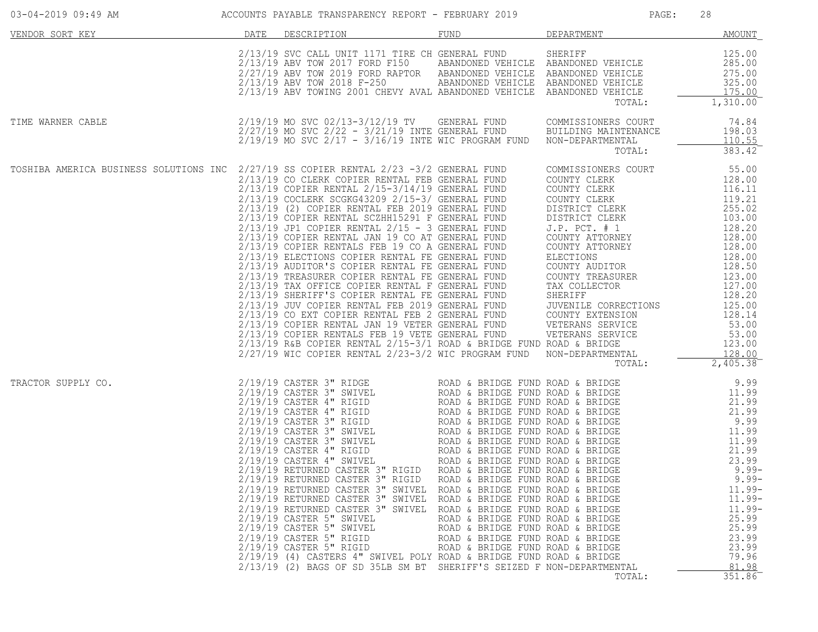| 03-04-2019 09:49 AM                  ACCOUNTS PAYABLE TRANSPARENCY REPORT - FEBRUARY 2019 |      |                                                                                                                                                                                                                                                                                                                                                                                                                                                                                                                                                                                                                                                                                                                                                                                                                                                                                                                                                                                                                                                                |                                                                                                                                              | PAGE:                                                                                                                                                                                                                                                                       | 28                                                                                                                                                                                                                 |
|-------------------------------------------------------------------------------------------|------|----------------------------------------------------------------------------------------------------------------------------------------------------------------------------------------------------------------------------------------------------------------------------------------------------------------------------------------------------------------------------------------------------------------------------------------------------------------------------------------------------------------------------------------------------------------------------------------------------------------------------------------------------------------------------------------------------------------------------------------------------------------------------------------------------------------------------------------------------------------------------------------------------------------------------------------------------------------------------------------------------------------------------------------------------------------|----------------------------------------------------------------------------------------------------------------------------------------------|-----------------------------------------------------------------------------------------------------------------------------------------------------------------------------------------------------------------------------------------------------------------------------|--------------------------------------------------------------------------------------------------------------------------------------------------------------------------------------------------------------------|
| VENDOR SORT KEY                                                                           | DATE | DESCRIPTION                                                                                                                                                                                                                                                                                                                                                                                                                                                                                                                                                                                                                                                                                                                                                                                                                                                                                                                                                                                                                                                    | FUND                                                                                                                                         | DEPARTMENT                                                                                                                                                                                                                                                                  | AMOUNT                                                                                                                                                                                                             |
|                                                                                           |      | 2/13/19 SVC CALL UNIT 1171 TIRE CH GENERAL FUND SHERIFF<br>2/13/19 ABV TOW 2017 FORD F150<br>2/27/19 ABV TOW 2019 FORD RAPTOR ABANDONED VEHICLE ABANDONED VEHICLE<br>2/13/19 ABV TOW 2018 F-250 ABANDONED VEHICLE ABANDONED VEHICLE<br>2/13/19 ABV TOWING 2001 CHEVY AVAL ABANDONED VEHICLE ABANDONED VEHICLE                                                                                                                                                                                                                                                                                                                                                                                                                                                                                                                                                                                                                                                                                                                                                  |                                                                                                                                              | TOTAL:                                                                                                                                                                                                                                                                      | 125.00<br>285.00<br>275.00<br>325.00<br>175.00<br>1,310.00                                                                                                                                                         |
| TIME WARNER CABLE                                                                         |      | 2/19/19 MO SVC 02/13-3/12/19 TV GENERAL FUND COMMISSIONERS COURT<br>2/27/19 MO SVC 2/22 - 3/21/19 TNTE GENERAL FUND BUILDING MAINTENANCE<br>$2/27/19$ MO SVC $2/22 - 3/21/19$ INTE GENERAL FUND BUILDING MAINTENANCE<br>$2/19/19$ MO SVC $2/17$ - $3/16/19$ INTE WIC PROGRAM FUND NON-DEPARTMENTAL                                                                                                                                                                                                                                                                                                                                                                                                                                                                                                                                                                                                                                                                                                                                                             |                                                                                                                                              | TOTAL:                                                                                                                                                                                                                                                                      | 74.84<br>198.03<br>110.55<br>383.42                                                                                                                                                                                |
| TOSHIBA AMERICA BUSINESS SOLUTIONS INC 2/27/19 SS COPIER RENTAL 2/23 -3/2 GENERAL FUND    |      | 2/13/19 CO CLERK COPIER RENTAL FEB GENERAL FUND<br>2/13/19 COPIER RENTAL 2/15-3/14/19 GENERAL FUND<br>2/13/19 COCLERK SCGKG43209 2/15-3/ GENERAL FUND<br>2/13/19 (2) COPIER RENTAL FEB 2019 GENERAL FUND<br>2/13/19 COPIER RENTAL SCZHH15291 F GENERAL FUND<br>$2/13/19$ JP1 COPIER RENTAL $2/15$ - 3 GENERAL FUND<br>2/13/19 COPIER RENTAL JAN 19 CO AT GENERAL FUND<br>2/13/19 COPIER RENTALS FEB 19 CO A GENERAL FUND<br>2/13/19 ELECTIONS COPIER RENTAL FE GENERAL FUND<br>2/13/19 AUDITOR'S COPIER RENTAL FE GENERAL FUND<br>2/13/19 TREASURER COPIER RENTAL FE GENERAL FUND<br>2/13/19 TREASURER COPIER RENTAL FE GENERAL FUND COUNTI TREASURER<br>2/13/19 TAX OFFICE COPIER RENTAL F GENERAL FUND TAX COLLECTOR<br>2/13/19 JUV COPIER RENTAL FEB 2019 GENERAL FUND JUVENILE CORRECTIONS<br>2/13/19 CO EXT COPIER RENT<br>$2/13/19$ COPIER RENTALS FEB 19 VETE GENERAL FUND WETERANS SERVICE 53.00<br>2/13/19 R&B COPIER RENTAL 2/15-3/1 ROAD & BRIDGE FUND ROAD & BRIDGE 123.00<br>2/27/19 WIC COPIER RENTAL 2/23-3/2 WIC PROGRAM FUND NON-DEPARTMENTAL |                                                                                                                                              | COMMISSIONERS COURT<br>COUNTY CLERK<br>COUNTY CLERK<br>COUNTY CLERK<br>COUNTY CLERK<br>DISTRICT CLERK<br>DISTRICT CLERK<br>J.P. PCT. # 1<br>COUNTY ATTORNEY<br>COUNTY ATTORNEY<br>ELECTIONS<br>COUNTY ATTORNEY<br>ELECTIONS<br>COUNTY AUDITOR<br>COUNTY TREASURER<br>TOTAL: | 55.00<br>128.00<br>116.11<br>119.21<br>119.21<br>255.02<br>$103.00$<br>$128.20$<br>128.20<br>128.00<br>128.00<br>128.00<br>128.50<br>123.00<br>127.00<br>128.20<br>125.00<br>128.14<br>53.00<br>128.00<br>2,405.38 |
| TRACTOR SUPPLY CO.                                                                        |      | 2/19/19 RETURNED CASTER 3" RIGID ROAD & BRIDGE FUND ROAD & BRIDGE<br>2/19/19 RETURNED CASTER 3" RIGID ROAD & BRIDGE FUND ROAD & BRIDGE<br>2/19/19 RETURNED CASTER 3" SWIVEL ROAD & BRIDGE FUND ROAD & BRIDGE<br>2/19/19 RETURNED CASTER 3" SWIVEL ROAD & BRIDGE FUND ROAD & BRIDGE<br>2/19/19 RETURNED CASTER 3" SWIVEL ROAD & BRIDGE FUND ROAD & BRIDGE<br>$2/19/19$ CASTER 5" SWIVEL<br>$2/19/19$ CASTER 5" SWIVEL<br>$2/19/19$ CASTER $5"$ RIGID<br>2/19/19 CASTER 5" RIGID<br>2/19/19 (4) CASTERS 4" SWIVEL POLY ROAD & BRIDGE FUND ROAD & BRIDGE<br>2/13/19 (2) BAGS OF SD 35LB SM BT SHERIFF'S SEIZED F NON-DEPARTMENTAL                                                                                                                                                                                                                                                                                                                                                                                                                                 | ROAD & BRIDGE FUND ROAD & BRIDGE<br>ROAD & BRIDGE FUND ROAD & BRIDGE<br>ROAD & BRIDGE FUND ROAD & BRIDGE<br>ROAD & BRIDGE FUND ROAD & BRIDGE | TOTAL:                                                                                                                                                                                                                                                                      | $9.99 -$<br>$9.99 -$<br>$11.99 -$<br>$11.99 -$<br>$11.99 -$<br>25.99<br>25.99<br>23.99<br>23.99<br>79.96<br>81.98<br>351.86                                                                                        |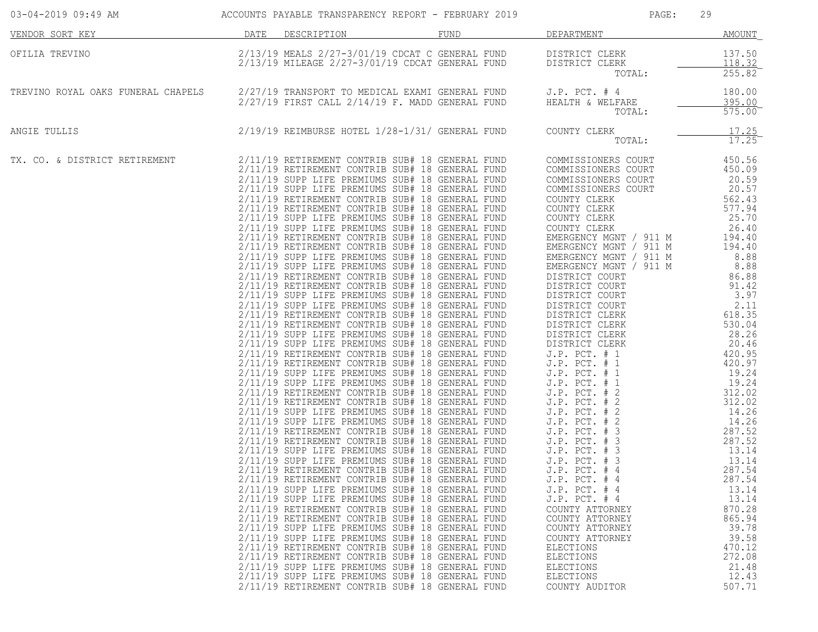| 03-04-2019 09:49 AM ACCOUNTS PAYABLE TRANSPARENCY REPORT - FEBRUARY 2019                         |                  |                                                                                                                                                                                                                                                                                                                                                                                                                                                                                                                                                                                                                                                                                                                                                                                                                                                                                                                                                                                                                                                          | PAGE:                                                                                                                                                                                                                                                                                                                                                                        | 29                                                                                                                                                                                      |
|--------------------------------------------------------------------------------------------------|------------------|----------------------------------------------------------------------------------------------------------------------------------------------------------------------------------------------------------------------------------------------------------------------------------------------------------------------------------------------------------------------------------------------------------------------------------------------------------------------------------------------------------------------------------------------------------------------------------------------------------------------------------------------------------------------------------------------------------------------------------------------------------------------------------------------------------------------------------------------------------------------------------------------------------------------------------------------------------------------------------------------------------------------------------------------------------|------------------------------------------------------------------------------------------------------------------------------------------------------------------------------------------------------------------------------------------------------------------------------------------------------------------------------------------------------------------------------|-----------------------------------------------------------------------------------------------------------------------------------------------------------------------------------------|
| <u>VENDOR SORT KEY</u>                                                                           | DATE DESCRIPTION | FUND                                                                                                                                                                                                                                                                                                                                                                                                                                                                                                                                                                                                                                                                                                                                                                                                                                                                                                                                                                                                                                                     | DEPARTMENT <b>AND SEPARTMENT</b>                                                                                                                                                                                                                                                                                                                                             | AMOUNT                                                                                                                                                                                  |
| OFILIA TREVINO                                                                                   |                  | 2/13/19 MEALS 2/27-3/01/19 CDCAT C GENERAL FUND DISTRICT CLERK<br>2/13/19 MILEAGE 2/27-3/01/19 CDCAT GENERAL FUND DISTRICT CLERK                                                                                                                                                                                                                                                                                                                                                                                                                                                                                                                                                                                                                                                                                                                                                                                                                                                                                                                         | TOTAL:                                                                                                                                                                                                                                                                                                                                                                       | $\frac{137.50}{118.32}$<br>$255.82$ <sup>-</sup>                                                                                                                                        |
| TREVINO ROYAL OAKS FUNERAL CHAPELS 2/27/19 TRANSPORT TO MEDICAL EXAMI GENERAL FUND J.P. PCT. # 4 |                  |                                                                                                                                                                                                                                                                                                                                                                                                                                                                                                                                                                                                                                                                                                                                                                                                                                                                                                                                                                                                                                                          | $2/27/19$ FIRST CALL $2/14/19$ F. MADD GENERAL FUND HEALTH & WELFARE<br>TOTAL:                                                                                                                                                                                                                                                                                               | 180.00<br>395.00<br>$\overline{575.00}^{-}$                                                                                                                                             |
| ANGIE TULLIS                                                                                     |                  | 2/19/19 REIMBURSE HOTEL 1/28-1/31/ GENERAL FUND COUNTY CLERK                                                                                                                                                                                                                                                                                                                                                                                                                                                                                                                                                                                                                                                                                                                                                                                                                                                                                                                                                                                             | TOTAL:                                                                                                                                                                                                                                                                                                                                                                       | 17.25<br>17.25                                                                                                                                                                          |
| TX. CO. & DISTRICT RETIREMENT                                                                    |                  | 2/11/19 RETIREMENT CONTRIB SUB# 18 GENERAL FUND<br>2/11/19 RETIREMENT CONTRIB SUB# 18 GENERAL FUND<br>2/11/19 SUPP LIFE PREMIUMS SUB# 18 GENERAL FUND<br>2/11/19 SUPP LIFE PREMIUMS SUB# 18 GENERAL FUND<br>2/11/19 RETIREMENT CONTRIB SUB# 18 GENERAL FUND<br>2/11/19 RETIREMENT CONTRIB SUB# 18 GENERAL FUND<br>2/11/19 SUPP LIFE PREMIUMS SUB# 18 GENERAL FUND<br>2/11/19 SUPP LIFE PREMIUMS SUB# 18 GENERAL FUND<br>2/11/19 RETIREMENT CONTRIB SUB# 18 GENERAL FUND<br>2/11/19 SUPP LIFE PREMIUMS SUB# 18 GENERAL FUND<br>2/11/19 SUPP LIFE PREMIUMS SUB# 18 GENERAL FUND<br>2/11/19 RETIREMENT CONTRIB SUB# 18 GENERAL FUND<br>2/11/19 RETIREMENT CONTRIB SUB# 18 GENERAL FUND<br>2/11/19 SUPP LIFE PREMIUMS SUB# 18 GENERAL FUND<br>2/11/19 SUPP LIFE PREMIUMS SUB# 18 GENERAL FUND<br>2/11/19 RETIREMENT CONTRIB SUB# 18 GENERAL FUND<br>2/11/19 RETIREMENT CONTRIB SUB# 18 GENERAL FUND<br>2/11/19 SUPP LIFE PREMIUMS SUB# 18 GENERAL FUND<br>2/11/19 SUPP LIFE PREMIUMS SUB# 18 GENERAL FUND<br>2/11/19 RETIREMENT CONTRIB SUB# 18 GENERAL FUND | COMMISSIONERS COURT<br>COMMISSIONERS COURT 450.09<br>COMMISSIONERS COURT<br>COMMISSIONERS COURT<br>COUNTY CLERK<br>COUNTY CLERK<br>COUNTY CLERK<br>COUNTY CLERK<br>$J.P.$ PCT. # 4<br>$J.P.$ PCT. $#4$<br>$J.P.$ PCT. $#4$<br>COUNTY ATTORNEY<br>COUNTY ATTORNEY<br>COUNTY ATTORNEY<br>COUNTY ATTORNEY<br>ELECTIONS<br>ELECTIONS<br>ELECTIONS<br>ELECTIONS<br>COUNTY AUDITOR | 450.56<br>20.59<br>$\frac{20.57}{562.43}$<br>577.94<br>25.70<br>26.40<br>287.54<br>13.14<br>13.14<br>870.28<br>865.94<br>39.78<br>39.58<br>470.12<br>272.08<br>21.48<br>12.43<br>507.71 |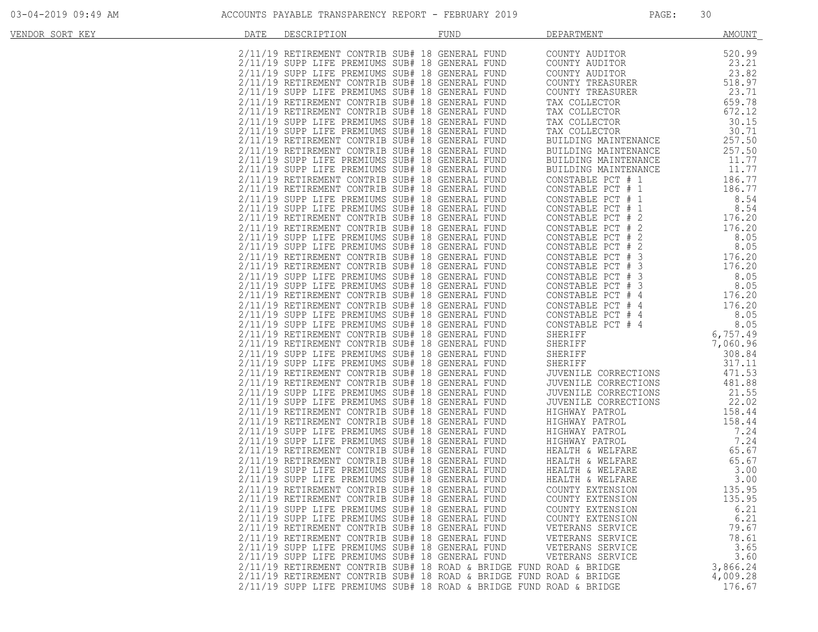| VENDOR SORT KEY | DATE | DESCRIPTION                                                                                                                                           | FUND | DEPARTMENT                                                                                                                                                                                                                                           | <b>AMOUNT</b>                |
|-----------------|------|-------------------------------------------------------------------------------------------------------------------------------------------------------|------|------------------------------------------------------------------------------------------------------------------------------------------------------------------------------------------------------------------------------------------------------|------------------------------|
|                 |      | 2/11/19 RETIREMENT CONTRIB SUB# 18 GENERAL FUND<br>2/11/19 SUPP LIFE PREMIUMS SUB# 18 GENERAL FUND                                                    |      | COUNTY AUDITOR<br>COUNTY AUDITOR                                                                                                                                                                                                                     | 520.99<br>23.21              |
|                 |      | 2/11/19 SUPP LIFE PREMIUMS SUB# 18 GENERAL FUND<br>2/11/19 RETIREMENT CONTRIB SUB# 18 GENERAL FUND<br>2/11/19 SUPP LIFE PREMIUMS SUB# 18 GENERAL FUND |      | COUNTY AUDITOR<br>COUNTY TREASURER<br>COUNTY TREASURER                                                                                                                                                                                               | 23.82<br>518.97<br>23.71     |
|                 |      | 2/11/19 RETIREMENT CONTRIB SUB# 18 GENERAL FUND<br>2/11/19 RETIREMENT CONTRIB SUB# 18 GENERAL FUND                                                    |      | TAX COLLECTOR<br>TAX COLLECTOR                                                                                                                                                                                                                       | 659.78<br>672.12             |
|                 |      | 2/11/19 SUPP LIFE PREMIUMS SUB# 18 GENERAL FUND<br>2/11/19 SUPP LIFE PREMIUMS SUB# 18 GENERAL FUND                                                    |      | TAX COLLECTOR<br>TAX COLLECTOR                                                                                                                                                                                                                       | 30.15<br>30.71               |
|                 |      | 2/11/19 RETIREMENT CONTRIB SUB# 18 GENERAL FUND<br>2/11/19 RETIREMENT CONTRIB SUB# 18 GENERAL FUND                                                    |      | BUILDING MAINTENANCE<br>BUILDING MAINTENANCE                                                                                                                                                                                                         | 257.50<br>257.50             |
|                 |      | 2/11/19 SUPP LIFE PREMIUMS SUB# 18 GENERAL FUND<br>2/11/19 SUPP LIFE PREMIUMS SUB# 18 GENERAL FUND<br>2/11/19 RETIREMENT CONTRIB SUB# 18 GENERAL FUND |      | BUILDING MAINTENANCE<br>BUILDING MAINTENANCE<br>CONSTABLE PCT # 1                                                                                                                                                                                    | 11.77<br>11.77<br>186.77     |
|                 |      | 2/11/19 RETIREMENT CONTRIB SUB# 18 GENERAL FUND<br>2/11/19 SUPP LIFE PREMIUMS SUB# 18 GENERAL FUND                                                    |      | CONSTABLE PCT # 1<br>CONSTABLE PCT # 1                                                                                                                                                                                                               | 186.77<br>8.54               |
|                 |      | 2/11/19 SUPP LIFE PREMIUMS SUB# 18 GENERAL FUND<br>2/11/19 RETIREMENT CONTRIB SUB# 18 GENERAL FUND                                                    |      | CONSTABLE PCT # 1                                                                                                                                                                                                                                    | 8.54<br>176.20               |
|                 |      | 2/11/19 RETIREMENT CONTRIB SUB# 18 GENERAL FUND<br>2/11/19 SUPP LIFE PREMIUMS SUB# 18 GENERAL FUND<br>2/11/19 SUPP LIFE PREMIUMS SUB# 18 GENERAL FUND |      |                                                                                                                                                                                                                                                      | 176.20<br>8.05<br>8.05       |
|                 |      | 2/11/19 RETIREMENT CONTRIB SUB# 18 GENERAL FUND<br>2/11/19 RETIREMENT CONTRIB SUB# 18 GENERAL FUND                                                    |      |                                                                                                                                                                                                                                                      | 176.20<br>176.20             |
|                 |      | 2/11/19 SUPP LIFE PREMIUMS SUB# 18 GENERAL FUND<br>2/11/19 SUPP LIFE PREMIUMS SUB# 18 GENERAL FUND<br>2/11/19 RETIREMENT CONTRIB SUB# 18 GENERAL FUND |      | CONSTABLE PCT # 1<br>CONSTABLE PCT # 2<br>CONSTABLE PCT # 2<br>CONSTABLE PCT # 2<br>CONSTABLE PCT # 3<br>CONSTABLE PCT # 3<br>CONSTABLE PCT # 3<br>CONSTABLE PCT # 4<br>CONSTABLE PCT # 4<br>CONSTABLE PCT # 4<br>CONSTABLE PCT # 4<br>CONSTABLE PCT | 8.05<br>8.05<br>176.20       |
|                 |      | 2/11/19 RETIREMENT CONTRIB SUB# 18 GENERAL FUND<br>2/11/19 SUPP LIFE PREMIUMS SUB# 18 GENERAL FUND                                                    |      | CONSTABLE PCT # 4<br>CONSTABLE PCT # 4                                                                                                                                                                                                               | 176.20<br>8.05               |
|                 |      | 2/11/19 SUPP LIFE PREMIUMS SUB# 18 GENERAL FUND<br>2/11/19 RETIREMENT CONTRIB SUB# 18 GENERAL FUND                                                    |      | CONSTABLE PCT # 4<br>SHERIFF                                                                                                                                                                                                                         | 8.05<br>6,757.49<br>7,060.96 |
|                 |      | 2/11/19 RETIREMENT CONTRIB SUB# 18 GENERAL FUND<br>2/11/19 SUPP LIFE PREMIUMS SUB# 18 GENERAL FUND<br>2/11/19 SUPP LIFE PREMIUMS SUB# 18 GENERAL FUND |      | SHERIFF<br>SHERIFF<br>SHERIFF<br>JUVENILE CORRECTIONS                                                                                                                                                                                                | 308.84<br>317.11             |
|                 |      | 2/11/19 RETIREMENT CONTRIB SUB# 18 GENERAL FUND<br>2/11/19 RETIREMENT CONTRIB SUB# 18 GENERAL FUND                                                    |      | JUVENILE CORRECTIONS                                                                                                                                                                                                                                 | 471.53<br>481.88             |
|                 |      | 2/11/19 SUPP LIFE PREMIUMS SUB# 18 GENERAL FUND<br>2/11/19 SUPP LIFE PREMIUMS SUB# 18 GENERAL FUND                                                    |      | JUVENILE CORRECTIONS<br>JUVENILE CORRECTIONS                                                                                                                                                                                                         | 21.55<br>22.02               |
|                 |      | 2/11/19 RETIREMENT CONTRIB SUB# 18 GENERAL FUND<br>2/11/19 RETIREMENT CONTRIB SUB# 18 GENERAL FUND<br>2/11/19 SUPP LIFE PREMIUMS SUB# 18 GENERAL FUND |      | HIGHWAY PATROL<br>HIGHWAY PATROL                                                                                                                                                                                                                     | 158.44<br>158.44<br>7.24     |
|                 |      | 2/11/19 SUPP LIFE PREMIUMS SUB# 18 GENERAL FUND<br>2/11/19 RETIREMENT CONTRIB SUB# 18 GENERAL FUND                                                    |      | HIGHWAY PATROL<br>HIGHWAY PATROL<br>URAIRY PATROL<br>HEALTH & WELFARE                                                                                                                                                                                | 7.24<br>65.67                |
|                 |      | 2/11/19 RETIREMENT CONTRIB SUB# 18 GENERAL FUND<br>2/11/19 SUPP LIFE PREMIUMS SUB# 18 GENERAL FUND<br>2/11/19 SUPP LIFE PREMIUMS SUB# 18 GENERAL FUND |      | HEALTH & WELFARE<br>HEALTH & WELFARE                                                                                                                                                                                                                 | 65.67<br>3.00<br>3.00        |
|                 |      | 2/11/19 RETIREMENT CONTRIB SUB# 18 GENERAL FUND<br>2/11/19 RETIREMENT CONTRIB SUB# 18 GENERAL FUND                                                    |      | HEALTH & WELFARE<br>COUNTY EXTENSION<br>COUNTY EXTENSION                                                                                                                                                                                             | 135.95<br>135.95             |
|                 |      | 2/11/19 SUPP LIFE PREMIUMS SUB# 18 GENERAL FUND<br>2/11/19 SUPP LIFE PREMIUMS SUB# 18 GENERAL FUND                                                    |      | COUNTY EXTENSION<br>COUNTY EXTENSION                                                                                                                                                                                                                 | 6.21<br>6.21                 |
|                 |      | 2/11/19 RETIREMENT CONTRIB SUB# 18 GENERAL FUND<br>2/11/19 RETIREMENT CONTRIB SUB# 18 GENERAL FUND<br>2/11/19 SUPP LIFE PREMIUMS SUB# 18 GENERAL FUND |      | VETERANS SERVICE<br>VETERANS SERVICE<br>VETERANS SERVICE                                                                                                                                                                                             | 79.67<br>78.61<br>3.65       |
|                 |      | 2/11/19 SUPP LIFE PREMIUMS SUB# 18 GENERAL FUND<br>2/11/19 RETIREMENT CONTRIB SUB# 18 ROAD & BRIDGE FUND ROAD & BRIDGE                                |      | VETERANS SERVICE                                                                                                                                                                                                                                     | 3.60<br>3,866.24             |
|                 |      | $2/11/19$ RETIREMENT CONTRIB SUB# 18 ROAD & BRIDGE FUND ROAD & BRIDGE<br>2/11/19 SUPP LIFE PREMIUMS SUB# 18 ROAD & BRIDGE FUND ROAD & BRIDGE          |      |                                                                                                                                                                                                                                                      | 4,009.28<br>176.67           |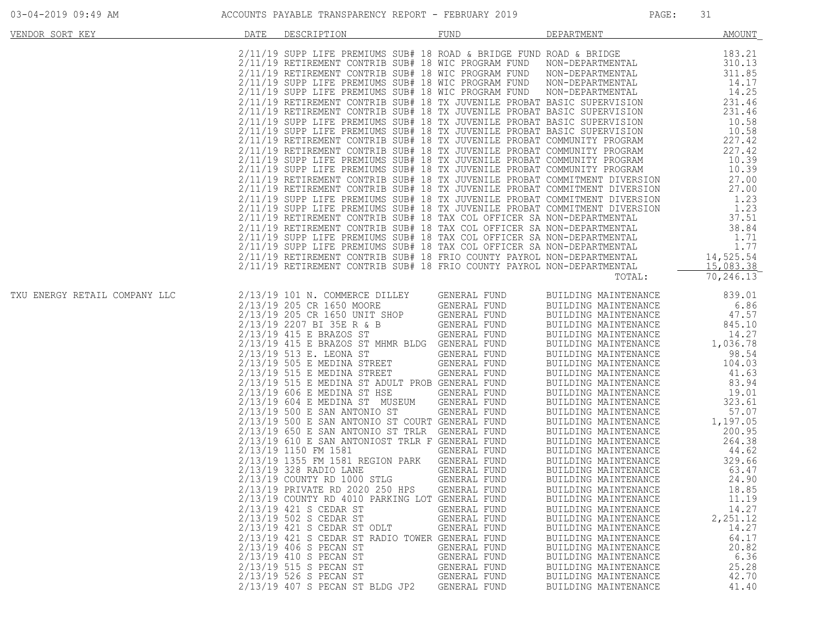| 03-04-2019 09:49 AM |  |  |
|---------------------|--|--|
|                     |  |  |

| VENDOR SORT KEY               | DATE | DESCRIPTION                                                                                                                                                                                                                                                                                                                                                                                                                                                                                                                                                                                                                                                                                                                                                                                                                                                                                                                                                                                                                                                                                                                                                                                                                                                                                                                                                                                                                                                                                              | <b>FUND</b>                                                                                                                                                                                                  | DEPARTMENT                                                                                                                                                                                                                                                                                                                                                                                   | <b>AMOUNT</b>                                                                                                                                              |
|-------------------------------|------|----------------------------------------------------------------------------------------------------------------------------------------------------------------------------------------------------------------------------------------------------------------------------------------------------------------------------------------------------------------------------------------------------------------------------------------------------------------------------------------------------------------------------------------------------------------------------------------------------------------------------------------------------------------------------------------------------------------------------------------------------------------------------------------------------------------------------------------------------------------------------------------------------------------------------------------------------------------------------------------------------------------------------------------------------------------------------------------------------------------------------------------------------------------------------------------------------------------------------------------------------------------------------------------------------------------------------------------------------------------------------------------------------------------------------------------------------------------------------------------------------------|--------------------------------------------------------------------------------------------------------------------------------------------------------------------------------------------------------------|----------------------------------------------------------------------------------------------------------------------------------------------------------------------------------------------------------------------------------------------------------------------------------------------------------------------------------------------------------------------------------------------|------------------------------------------------------------------------------------------------------------------------------------------------------------|
|                               |      | 2/11/19 SUPP LIFE PREMIUMS SUB# 18 ROAD & BRIDGE FUND ROAD & BRIDGE<br>2/11/19 RETIREMENT CONTRIB SUB# 18 WIC PROGRAM FUND<br>2/11/19 RETIREMENT CONTRIB SUB# 18 WIC PROGRAM FUND<br>2/11/19 SUPP LIFE PREMIUMS SUB# 18 WIC PROGRAM FUND NON-DEPARTMENTAL<br>2/11/19 SUPP LIFE PREMIUMS SUB# 18 WIC PROGRAM FUND<br>2/11/19 RETIREMENT CONTRIB SUB# 18 TX JUVENILE PROBAT BASIC SUPERVISION<br>2/11/19 RETIREMENT CONTRIB SUB# 18 TX JUVENILE PROBAT BASIC SUPERVISION<br>2/11/19 SUPP LIFE PREMIUMS SUB# 18 TX JUVENILE PROBAT BASIC SUPERVISION<br>2/11/19 SUPP LIFE PREMIUMS SUB# 18 TX JUVENILE PROBAT BASIC SUPERVISION<br>2/11/19 RETIREMENT CONTRIB SUB# 18 TX JUVENILE PROBAT COMMUNITY PROGRAM<br>2/11/19 RETIREMENT CONTRIB SUB# 18 TX JUVENILE PROBAT COMMUNITY PROGRAM<br>2/11/19 SUPP LIFE PREMIUMS SUB# 18 TX JUVENILE PROBAT COMMUNITY PROGRAM<br>2/11/19 SUPP LIFE PREMIUMS SUB# 18 TX JUVENILE PROBAT COMMUNITY PROGRAM<br>2/11/19 RETIREMENT CONTRIB SUB# 18 TX JUVENILE PROBAT COMMITMENT DIVERSION<br>2/11/19 RETIREMENT CONTRIB SUB# 18 TX JUVENILE PROBAT COMMITMENT DIVERSION<br>2/11/19 SUPP LIFE PREMIUMS SUB# 18 TX JUVENILE PROBAT COMMITMENT DIVERSION<br>2/11/19 SUPP LIFE PREMIUMS SUB# 18 TX JUVENILE PROBAT COMMITMENT DIVERSION<br>2/11/19 SUPP LIFE PREMIUMS SUB# 18 TAX COL OFFICER SA NON-DEPARTMENTAL<br>2/11/19 RETIREMENT CONTRIB SUB# 18 TAX COL OFFICER SA NON-DEPARTMENTAL 38.84<br>2/11/19 SUPP LIFE PREMIUMS SUB# 18 TAX COL OFFICER SA NON-DEPARTMENTAL 1.7 |                                                                                                                                                                                                              | NON-DEPARTMENTAL<br>NON-DEPARTMENTAL<br>NON-DEPARTMENTAL                                                                                                                                                                                                                                                                                                                                     | 183.21<br>310.13<br>311.85<br>14.17<br>14.25<br>231.46<br>231.46<br>10.58<br>10.58<br>227.42<br>227.42<br>10.39<br>10.39<br>27.00<br>27.00<br>1.23<br>1.23 |
|                               |      | 2/11/19 RETIREMENT CONTRIB SUB# 18 FRIO COUNTY PAYROL NON-DEPARTMENTAL                                                                                                                                                                                                                                                                                                                                                                                                                                                                                                                                                                                                                                                                                                                                                                                                                                                                                                                                                                                                                                                                                                                                                                                                                                                                                                                                                                                                                                   |                                                                                                                                                                                                              | TOTAL:                                                                                                                                                                                                                                                                                                                                                                                       | 15,083.38<br>70, 246.13                                                                                                                                    |
| TXU ENERGY RETAIL COMPANY LLC |      | 2/13/19 101 N. COMMERCE DILLEY<br>2/13/19 205 CR 1650 MOORE<br>2/13/19 205 CR 1650 UNIT SHOP<br>2/13/19 2207 BI 35E R & B<br>2/13/19 415 E BRAZOS ST<br>2/13/19 415 E BRAZOS ST MHMR BLDG GENERAL FUND<br>2/13/19 513 E. LEONA ST<br>2/13/19 505 E MEDINA STREET<br>2/13/19 515 E MEDINA STREET<br>2/13/19 515 E MEDINA ST ADULT PROB GENERAL FUND<br>$2/13/19$ 606 E MEDINA ST HSE<br>2/13/19 604 E MEDINA ST MUSEUM<br>2/13/19 500 E SAN ANTONIO ST<br>2/13/19 500 E SAN ANTONIO ST COURT GENERAL FUND<br>2/13/19 650 E SAN ANTONIO ST TRLR GENERAL FUND<br>2/13/19 610 E SAN ANTONIOST TRLR F GENERAL FUND                                                                                                                                                                                                                                                                                                                                                                                                                                                                                                                                                                                                                                                                                                                                                                                                                                                                                            | GENERAL FUND<br>GENERAL FUND<br>GENERAL FUND<br>GENERAL FUND<br>GENERAL FUND<br>GENERAL FUND<br>GENERAL FUND<br>GENERAL FUND<br>GENERAL FUND<br>GENERAL FUND<br>GENERAL FUND                                 | BUILDING MAINTENANCE<br>BUILDING MAINTENANCE<br>BUILDING MAINTENANCE<br>BUILDING MAINTENANCE<br>BUILDING MAINTENANCE<br>BUILDING MAINTENANCE<br>BUILDING MAINTENANCE<br>BUILDING MAINTENANCE<br>BUILDING MAINTENANCE<br>BUILDING MAINTENANCE<br>BUILDING MAINTENANCE<br>BUILDING MAINTENANCE<br>BUILDING MAINTENANCE<br>BUILDING MAINTENANCE<br>BUILDING MAINTENANCE<br>BUILDING MAINTENANCE | 839.01<br>6.86<br>47.57<br>845.10<br>14.27<br>1,036.78<br>98.54<br>104.03<br>41.63<br>83.94<br>19.01<br>323.61<br>57.07<br>1,197.05<br>200.95<br>264.38    |
|                               |      | 2/13/19 1150 FM 1581<br>2/13/19 1355 FM 1581 REGION PARK<br>2/13/19 328 RADIO LANE<br>2/13/19 COUNTY RD 1000 STLG<br>2/13/19 PRIVATE RD 2020 250 HPS<br>2/13/19 COUNTY RD 4010 PARKING LOT GENERAL FUND<br>2/13/19 421 S CEDAR ST<br>2/13/19 502 S CEDAR ST<br>2/13/19 421 S CEDAR ST ODLT<br>2/13/19 421 S CEDAR ST RADIO TOWER GENERAL FUND<br>2/13/19 406 S PECAN ST<br>2/13/19 410 S PECAN ST<br>2/13/19 515 S PECAN ST<br>2/13/19 526 S PECAN ST<br>2/13/19 407 S PECAN ST BLDG JP2                                                                                                                                                                                                                                                                                                                                                                                                                                                                                                                                                                                                                                                                                                                                                                                                                                                                                                                                                                                                                 | GENERAL FUND<br>GENERAL FUND<br>GENERAL FUND<br>GENERAL FUND<br>GENERAL FUND<br>GENERAL FUND<br>GENERAL FUND<br>GENERAL FUND<br>GENERAL FUND<br>GENERAL FUND<br>GENERAL FUND<br>GENERAL FUND<br>GENERAL FUND | BUILDING MAINTENANCE<br>BUILDING MAINTENANCE<br>BUILDING MAINTENANCE<br>BUILDING MAINTENANCE<br>BUILDING MAINTENANCE<br>BUILDING MAINTENANCE<br>BUILDING MAINTENANCE<br>BUILDING MAINTENANCE<br>BUILDING MAINTENANCE<br>BUILDING MAINTENANCE<br>BUILDING MAINTENANCE<br>BUILDING MAINTENANCE<br>BUILDING MAINTENANCE<br>BUILDING MAINTENANCE<br>BUILDING MAINTENANCE                         | 44.62<br>329.66<br>63.47<br>24.90<br>18.85<br>11.19<br>14.27<br>2,251.12<br>14.27<br>64.17<br>20.82<br>6.36<br>25.28<br>42.70<br>41.40                     |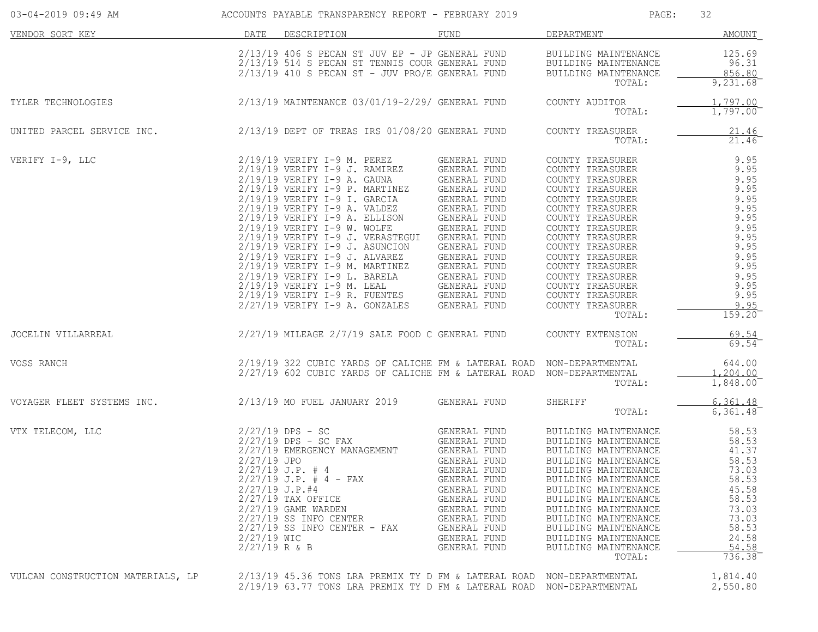| 03-04-2019 09:49 AM               |                                                 | ACCOUNTS PAYABLE TRANSPARENCY REPORT - FEBRUARY 2019                                                                                                                                                                                                                                                                                                                                                                                                                                                                                                                                |                                                                                                                                                                                                                              | PAGE:                                                                                                                                                                                                                                                                                                                                  | 32                                                                                                                                     |
|-----------------------------------|-------------------------------------------------|-------------------------------------------------------------------------------------------------------------------------------------------------------------------------------------------------------------------------------------------------------------------------------------------------------------------------------------------------------------------------------------------------------------------------------------------------------------------------------------------------------------------------------------------------------------------------------------|------------------------------------------------------------------------------------------------------------------------------------------------------------------------------------------------------------------------------|----------------------------------------------------------------------------------------------------------------------------------------------------------------------------------------------------------------------------------------------------------------------------------------------------------------------------------------|----------------------------------------------------------------------------------------------------------------------------------------|
| VENDOR SORT KEY                   | DATE                                            | DESCRIPTION                                                                                                                                                                                                                                                                                                                                                                                                                                                                                                                                                                         | FUND                                                                                                                                                                                                                         | DEPARTMENT                                                                                                                                                                                                                                                                                                                             | AMOUNT                                                                                                                                 |
|                                   |                                                 | $2/13/19$ 406 S PECAN ST JUV EP - JP GENERAL FUND<br>2/13/19 514 S PECAN ST TENNIS COUR GENERAL FUND<br>$2/13/19$ 410 S PECAN ST - JUV PRO/E GENERAL FUND                                                                                                                                                                                                                                                                                                                                                                                                                           |                                                                                                                                                                                                                              | BUILDING MAINTENANCE<br>BUILDING MAINTENANCE<br>BUILDING MAINTENANCE<br>TOTAL:                                                                                                                                                                                                                                                         | 125.69<br>96.31<br>856.80<br>9,231.68                                                                                                  |
| TYLER TECHNOLOGIES                |                                                 | 2/13/19 MAINTENANCE 03/01/19-2/29/ GENERAL FUND                                                                                                                                                                                                                                                                                                                                                                                                                                                                                                                                     |                                                                                                                                                                                                                              | COUNTY AUDITOR<br>TOTAL:                                                                                                                                                                                                                                                                                                               | 1.797.00<br>1,797.00                                                                                                                   |
| UNITED PARCEL SERVICE INC.        |                                                 | $2/13/19$ DEPT OF TREAS IRS $01/08/20$ GENERAL FUND                                                                                                                                                                                                                                                                                                                                                                                                                                                                                                                                 |                                                                                                                                                                                                                              | COUNTY TREASURER<br>TOTAL:                                                                                                                                                                                                                                                                                                             | $\frac{21.46}{21.46}$                                                                                                                  |
| VERIFY I-9, LLC                   |                                                 | 2/19/19 VERIFY I-9 M. PEREZ<br>$2/19/19$ VERIFY I-9 J. RAMIREZ<br>2/19/19 VERIFY I-9 A. GAUNA<br>2/19/19 VERIFY I-9 P. MARTINEZ<br>$2/19/19$ VERIFY I-9 I. GARCIA<br>$2/19/19$ VERIFY I-9 A. VALDEZ<br>$2/19/19$ VERIFY I-9 A. ELLISON<br>2/19/19 VERIFY I-9 W. WOLFE<br>2/19/19 VERIFY I-9 J. VERASTEGUI GENERAL FUND<br>$2/19/19$ VERIFY I-9 J. ASUNCION<br>$2/19/19$ VERIFY I-9 J. ALVAREZ<br>$2/19/19$ VERIFY I-9 M. MARTINEZ<br>$2/19/19$ VERIFY I-9 L. BARELA<br>2/19/19 VERIFY I-9 M. LEAL<br>2/19/19 VERIFY I-9 R. FUENTES GENERAL FUND<br>$2/27/19$ VERIFY I-9 A. GONZALES | GENERAL FUND<br>GENERAL FUND<br>GENERAL FUND<br>GENERAL FUND<br>GENERAL FUND<br>GENERAL FUND<br>GENERAL FUND<br>GENERAL FUND<br>GENERAL FUND<br>GENERAL FUND<br>GENERAL FUND<br>GENERAL FUND<br>GENERAL FUND<br>GENERAL FUND | COUNTY TREASURER<br>COUNTY TREASURER<br>COUNTY TREASURER<br>COUNTY TREASURER<br>COUNTY TREASURER<br>COUNTY TREASURER<br>COUNTY TREASURER<br>COUNTY TREASURER<br>COUNTY TREASURER<br>COUNTY TREASURER<br>COUNTY TREASURER<br>COUNTY TREASURER<br>COUNTY TREASURER<br>COUNTY TREASURER<br>COUNTY TREASURER<br>COUNTY TREASURER<br>TOTAL: | 9.95<br>9.95<br>9.95<br>9.95<br>9.95<br>9.95<br>9.95<br>9.95<br>9.95<br>9.95<br>9.95<br>9.95<br>9.95<br>9.95<br>9.95<br>9.95<br>159.20 |
| JOCELIN VILLARREAL                |                                                 | $2/27/19$ MILEAGE $2/7/19$ SALE FOOD C GENERAL FUND                                                                                                                                                                                                                                                                                                                                                                                                                                                                                                                                 |                                                                                                                                                                                                                              | COUNTY EXTENSION<br>TOTAL:                                                                                                                                                                                                                                                                                                             | $\frac{69.54}{69.54}$                                                                                                                  |
| VOSS RANCH                        |                                                 | 2/19/19 322 CUBIC YARDS OF CALICHE FM & LATERAL ROAD NON-DEPARTMENTAL<br>2/27/19 602 CUBIC YARDS OF CALICHE FM & LATERAL ROAD NON-DEPARTMENTAL                                                                                                                                                                                                                                                                                                                                                                                                                                      |                                                                                                                                                                                                                              | TOTAL:                                                                                                                                                                                                                                                                                                                                 | 644.00<br>1,204.00<br>1,848.00                                                                                                         |
| VOYAGER FLEET SYSTEMS INC.        |                                                 | 2/13/19 MO FUEL JANUARY 2019                                                                                                                                                                                                                                                                                                                                                                                                                                                                                                                                                        | GENERAL FUND                                                                                                                                                                                                                 | SHERIFF<br>TOTAL:                                                                                                                                                                                                                                                                                                                      | 6, 361.48<br>6,361.48                                                                                                                  |
| VTX TELECOM, LLC                  | $2/27/19$ JPO<br>2/27/19 WIC<br>$2/27/19$ R & B | $2/27/19$ DPS - SC<br>$2/27/19$ DPS - SC FAX<br>2/27/19 EMERGENCY MANAGEMENT<br>$2/27/19$ J.P. # 4<br>$2/27/19$ J.P. # 4 - FAX<br>$2/27/19$ J.P.#4<br>$2/27/19$ TAX OFFICE<br>$2/27/19$ GAME WARDEN<br>$2/27/19$ SS INFO CENTER<br>$2/27/19$ SS INFO CENTER - FAX                                                                                                                                                                                                                                                                                                                   | GENERAL FUND<br>GENERAL FUND<br>GENERAL FUND<br>GENERAL FUND<br>GENERAL FUND<br>GENERAL FUND<br>GENERAL FUND<br>GENERAL FUND<br>GENERAL FUND<br>GENERAL FUND<br>GENERAL FUND<br>GENERAL FUND<br>GENERAL FUND                 | BUILDING MAINTENANCE<br>BUILDING MAINTENANCE<br>BUILDING MAINTENANCE<br>BUILDING MAINTENANCE<br>BUILDING MAINTENANCE<br>BUILDING MAINTENANCE<br>BUILDING MAINTENANCE<br>BUILDING MAINTENANCE<br>BUILDING MAINTENANCE<br>BUILDING MAINTENANCE<br>BUILDING MAINTENANCE<br>BUILDING MAINTENANCE<br>BUILDING MAINTENANCE<br>TOTAL:         | 58.53<br>58.53<br>41.37<br>58.53<br>73.03<br>58.53<br>45.58<br>58.53<br>73.03<br>73.03<br>58.53<br>24.58<br>54.58<br>736.38            |
| VULCAN CONSTRUCTION MATERIALS, LP |                                                 | 2/13/19 45.36 TONS LRA PREMIX TY D FM & LATERAL ROAD<br>2/19/19 63.77 TONS LRA PREMIX TY D FM & LATERAL ROAD NON-DEPARTMENTAL                                                                                                                                                                                                                                                                                                                                                                                                                                                       |                                                                                                                                                                                                                              | NON-DEPARTMENTAL                                                                                                                                                                                                                                                                                                                       | 1,814.40<br>2,550.80                                                                                                                   |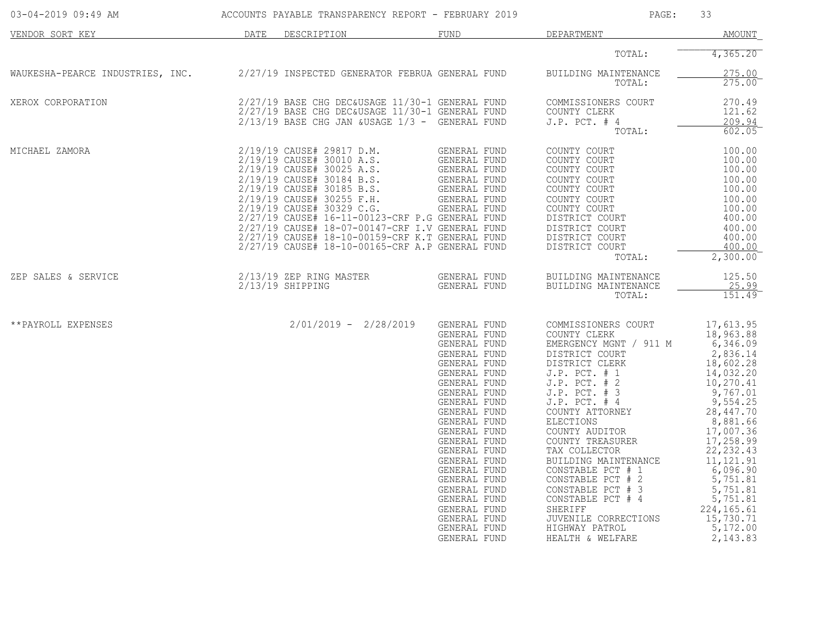| 03-04-2019 09:49 AM              |      | ACCOUNTS PAYABLE TRANSPARENCY REPORT - FEBRUARY 2019                                                                                                                                                                                                                                                                                                                                                                |                                                                                                                                                                                                                                                                                                                                                                              | PAGE:                                                                                                                                                                                                                                                                                                                                                                                                                                                            | 33                                                                                                                                                                                                                                                                                               |
|----------------------------------|------|---------------------------------------------------------------------------------------------------------------------------------------------------------------------------------------------------------------------------------------------------------------------------------------------------------------------------------------------------------------------------------------------------------------------|------------------------------------------------------------------------------------------------------------------------------------------------------------------------------------------------------------------------------------------------------------------------------------------------------------------------------------------------------------------------------|------------------------------------------------------------------------------------------------------------------------------------------------------------------------------------------------------------------------------------------------------------------------------------------------------------------------------------------------------------------------------------------------------------------------------------------------------------------|--------------------------------------------------------------------------------------------------------------------------------------------------------------------------------------------------------------------------------------------------------------------------------------------------|
| VENDOR SORT KEY                  | DATE | DESCRIPTION                                                                                                                                                                                                                                                                                                                                                                                                         | FUND                                                                                                                                                                                                                                                                                                                                                                         | DEPARTMENT                                                                                                                                                                                                                                                                                                                                                                                                                                                       | <b>AMOUNT</b>                                                                                                                                                                                                                                                                                    |
|                                  |      |                                                                                                                                                                                                                                                                                                                                                                                                                     |                                                                                                                                                                                                                                                                                                                                                                              | TOTAL:                                                                                                                                                                                                                                                                                                                                                                                                                                                           | 4,365.20                                                                                                                                                                                                                                                                                         |
| WAUKESHA-PEARCE INDUSTRIES, INC. |      | 2/27/19 INSPECTED GENERATOR FEBRUA GENERAL FUND                                                                                                                                                                                                                                                                                                                                                                     |                                                                                                                                                                                                                                                                                                                                                                              | BUILDING MAINTENANCE<br>TOTAL:                                                                                                                                                                                                                                                                                                                                                                                                                                   | 275.00<br>275.00                                                                                                                                                                                                                                                                                 |
| XEROX CORPORATION                |      | 2/27/19 BASE CHG DEC&USAGE 11/30-1 GENERAL FUND<br>2/27/19 BASE CHG DEC&USAGE 11/30-1 GENERAL FUND<br>2/13/19 BASE CHG JAN &USAGE 1/3 - GENERAL FUND                                                                                                                                                                                                                                                                |                                                                                                                                                                                                                                                                                                                                                                              | COMMISSIONERS COURT<br>COUNTY CLERK<br>$J.P.$ PCT. $#4$<br>TOTAL:                                                                                                                                                                                                                                                                                                                                                                                                | 270.49<br>121.62<br>209.94<br>602.05                                                                                                                                                                                                                                                             |
| MICHAEL ZAMORA                   |      | 2/19/19 CAUSE# 29817 D.M.<br>2/19/19 CAUSE# 30010 A.S.<br>2/19/19 CAUSE# 30025 A.S.<br>2/19/19 CAUSE# 30184 B.S.<br>2/19/19 CAUSE# 30185 B.S.<br>2/19/19 CAUSE# 30255 F.H.<br>2/19/19 CAUSE# 30329 C.G.<br>2/27/19 CAUSE# 16-11-00123-CRF P.G GENERAL FUND<br>2/27/19 CAUSE# 18-07-00147-CRF I.V GENERAL FUND<br>2/27/19 CAUSE# 18-10-00159-CRF K.T GENERAL FUND<br>2/27/19 CAUSE# 18-10-00165-CRF A.P GENERAL FUND | GENERAL FUND<br>GENERAL FUND<br>GENERAL FUND<br>GENERAL FUND<br>GENERAL FUND<br>GENERAL FUND<br>GENERAL FUND<br>GENERAL FUND                                                                                                                                                                                                                                                 | COUNTY COURT<br>COUNTY COURT<br>COUNTY COURT<br>COUNTY COURT<br>COUNTY COURT<br>COUNTY COURT<br>COUNTY COURT<br>DISTRICT COURT<br>DISTRICT COURT<br>DISTRICT COURT<br>DISTRICT COURT<br>TOTAL:                                                                                                                                                                                                                                                                   | 100.00<br>100.00<br>100.00<br>100.00<br>100.00<br>100.00<br>100.00<br>400.00<br>400.00<br>400.00<br>400.00<br>2,300.00                                                                                                                                                                           |
| ZEP SALES & SERVICE              |      | 2/13/19 ZEP RING MASTER<br>$2/13/19$ SHIPPING                                                                                                                                                                                                                                                                                                                                                                       | GENERAL FUND<br>GENERAL FUND                                                                                                                                                                                                                                                                                                                                                 | BUILDING MAINTENANCE<br>BUILDING MAINTENANCE<br>TOTAL:                                                                                                                                                                                                                                                                                                                                                                                                           | 125.50<br>25.99<br>151.49                                                                                                                                                                                                                                                                        |
| **PAYROLL EXPENSES               |      | $2/01/2019 - 2/28/2019$                                                                                                                                                                                                                                                                                                                                                                                             | GENERAL FUND<br>GENERAL FUND<br>GENERAL FUND<br>GENERAL FUND<br>GENERAL FUND<br>GENERAL FUND<br>GENERAL FUND<br>GENERAL FUND<br>GENERAL FUND<br>GENERAL FUND<br>GENERAL FUND<br>GENERAL FUND<br>GENERAL FUND<br>GENERAL FUND<br>GENERAL FUND<br>GENERAL FUND<br>GENERAL FUND<br>GENERAL FUND<br>GENERAL FUND<br>GENERAL FUND<br>GENERAL FUND<br>GENERAL FUND<br>GENERAL FUND | COMMISSIONERS COURT<br>COUNTY CLERK<br>EMERGENCY MGNT / 911 M<br>DISTRICT COURT<br>DISTRICT CLERK<br>$J.P.$ PCT. $# 1$<br>$J.P.$ PCT. $# 2$<br>$J.P.$ PCT. $# 3$<br>$J.P.$ PCT. $#4$<br>COUNTY ATTORNEY<br>ELECTIONS<br>COUNTY AUDITOR<br>COUNTY TREASURER<br>TAX COLLECTOR<br>BUILDING MAINTENANCE<br>CONSTABLE PCT # 1<br>CONSTABLE PCT # 2<br>CONSTABLE PCT # 3<br>CONSTABLE PCT # 4<br>SHERIFF<br>JUVENILE CORRECTIONS<br>HIGHWAY PATROL<br>HEALTH & WELFARE | 17,613.95<br>18,963.88<br>6,346.09<br>2,836.14<br>18,602.28<br>14,032.20<br>10,270.41<br>9,767.01<br>9,554.25<br>28,447.70<br>8,881.66<br>17,007.36<br>17,258.99<br>22, 232.43<br>11, 121.91<br>6,096.90<br>5,751.81<br>5,751.81<br>5,751.81<br>224, 165.61<br>15,730.71<br>5,172.00<br>2,143.83 |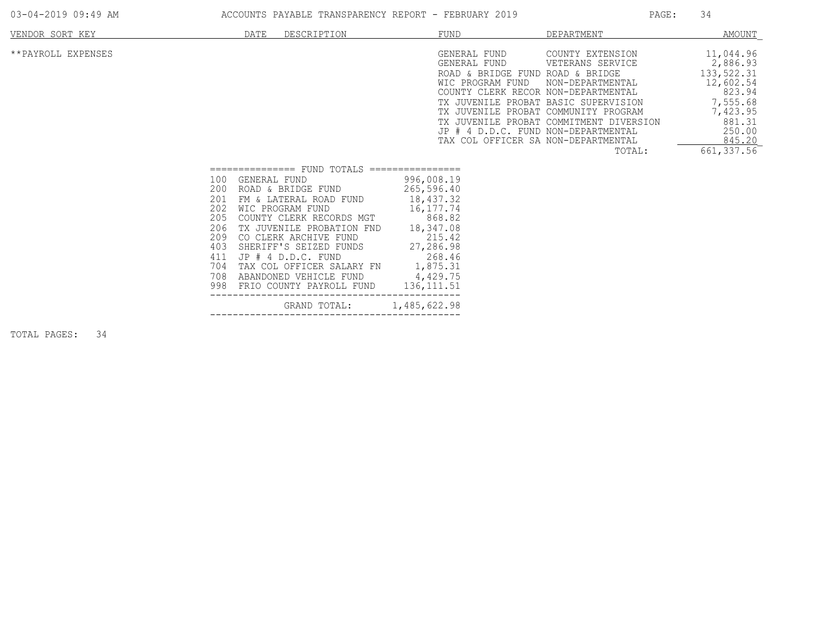| 03-04-2019 09:49 AM |  |  |
|---------------------|--|--|
|                     |  |  |

ACCOUNTS PAYABLE TRANSPARENCY REPORT - FEBRUARY 2019 PAGE: 34

| VENDOR SORT KEY    |                                                                                  | DATE<br>DESCRIPTION                                                                                                                                                                                                                                                                                                                           | FUND                                                                                                                                                                   | DEPARTMENT                                                                                                                                                                                                                                                                                                                                                                 | <u>AMOUNT</u>                                                                                                                   |
|--------------------|----------------------------------------------------------------------------------|-----------------------------------------------------------------------------------------------------------------------------------------------------------------------------------------------------------------------------------------------------------------------------------------------------------------------------------------------|------------------------------------------------------------------------------------------------------------------------------------------------------------------------|----------------------------------------------------------------------------------------------------------------------------------------------------------------------------------------------------------------------------------------------------------------------------------------------------------------------------------------------------------------------------|---------------------------------------------------------------------------------------------------------------------------------|
| **PAYROLL EXPENSES |                                                                                  |                                                                                                                                                                                                                                                                                                                                               | GENERAL FUND<br>GENERAL FUND                                                                                                                                           | COUNTY EXTENSION<br>VETERANS SERVICE<br>ROAD & BRIDGE FUND ROAD & BRIDGE<br>WIC PROGRAM FUND<br>NON-DEPARTMENTAL<br>COUNTY CLERK RECOR NON-DEPARTMENTAL<br>TX JUVENILE PROBAT BASIC SUPERVISION<br>TX JUVENILE PROBAT COMMUNITY PROGRAM<br>TX JUVENILE PROBAT COMMITMENT DIVERSION<br>JP # 4 D.D.C. FUND NON-DEPARTMENTAL<br>TAX COL OFFICER SA NON-DEPARTMENTAL<br>TOTAL: | 11,044.96<br>2,886.93<br>133,522.31<br>12,602.54<br>823.94<br>7,555.68<br>7,423.95<br>881.31<br>250.00<br>845.20<br>661, 337.56 |
|                    | 100<br>200<br>201<br>202<br>205<br>206<br>209<br>403<br>411<br>704<br>708<br>998 | FUND TOTALS<br>===============<br>GENERAL FUND<br>ROAD & BRIDGE FUND<br>FM & LATERAL ROAD FUND<br>WIC PROGRAM FUND<br>COUNTY CLERK RECORDS MGT<br>TX JUVENILE PROBATION FND<br>CO CLERK ARCHIVE FUND<br>SHERIFF'S SEIZED FUNDS<br>$JP$ $#$ 4 $D.D.C.$ FUND<br>TAX COL OFFICER SALARY FN<br>ABANDONED VEHICLE FUND<br>FRIO COUNTY PAYROLL FUND | ================<br>996,008.19<br>265,596.40<br>18,437.32<br>16, 177.74<br>868.82<br>18,347.08<br>215.42<br>27,286.98<br>268.46<br>1,875.31<br>4,429.75<br>136, 111.51 |                                                                                                                                                                                                                                                                                                                                                                            |                                                                                                                                 |
|                    |                                                                                  | GRAND TOTAL:                                                                                                                                                                                                                                                                                                                                  | 1,485,622.98                                                                                                                                                           |                                                                                                                                                                                                                                                                                                                                                                            |                                                                                                                                 |

TOTAL PAGES: 34

--------------------------------------------